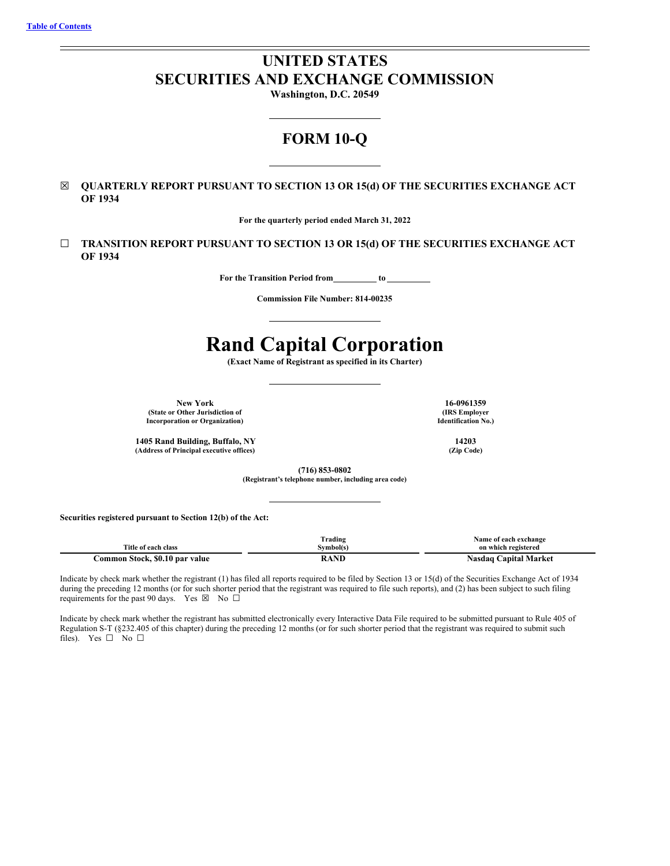## **UNITED STATES SECURITIES AND EXCHANGE COMMISSION**

**Washington, D.C. 20549**

# **FORM 10-Q**

☒ **QUARTERLY REPORT PURSUANT TO SECTION 13 OR 15(d) OF THE SECURITIES EXCHANGE ACT OF 1934**

**For the quarterly period ended March 31, 2022**

☐ **TRANSITION REPORT PURSUANT TO SECTION 13 OR 15(d) OF THE SECURITIES EXCHANGE ACT OF 1934**

**For the Transition Period from to**

**Commission File Number: 814-00235**

# **Rand Capital Corporation**

**(Exact Name of Registrant as specified in its Charter)**

**New York 16-0961359 (State or Other Jurisdiction of Incorporation or Organization)**

**1405 Rand Building, Buffalo, NY 14203 (Address of Principal executive offices) (Zip Code)**

**(IRS Employer Identification No.)**

**(716) 853-0802 (Registrant's telephone number, including area code)**

**Securities registered pursuant to Section 12(b) of the Act:**

|                                | Trading       | Name of each exchange |
|--------------------------------|---------------|-----------------------|
| Title of each class            | Svmbol(s)     | on which registered   |
| Common Stock, \$0.10 par value | A NIF<br>KANL | Nasdaq Capital Market |

Indicate by check mark whether the registrant (1) has filed all reports required to be filed by Section 13 or 15(d) of the Securities Exchange Act of 1934 during the preceding 12 months (or for such shorter period that the registrant was required to file such reports), and (2) has been subject to such filing requirements for the past 90 days. Yes  $\boxtimes$  No  $\Box$ 

Indicate by check mark whether the registrant has submitted electronically every Interactive Data File required to be submitted pursuant to Rule 405 of Regulation S-T (§232.405 of this chapter) during the preceding 12 months (or for such shorter period that the registrant was required to submit such files). Yes  $\square$  No  $\square$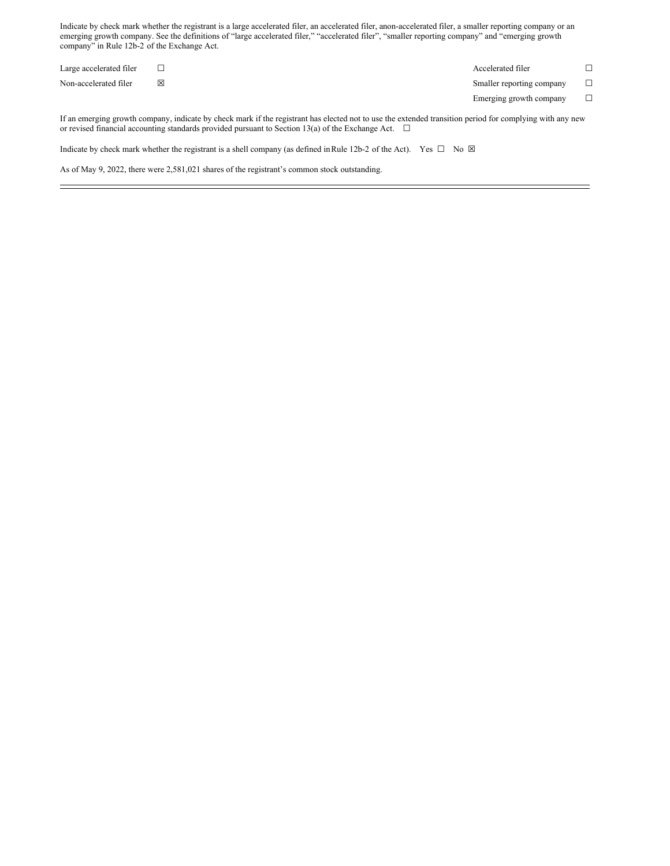Indicate by check mark whether the registrant is a large accelerated filer, an accelerated filer, anon-accelerated filer, a smaller reporting company or an emerging growth company. See the definitions of "large accelerated filer," "accelerated filer", "smaller reporting company" and "emerging growth company" in Rule 12b-2 of the Exchange Act.

| Large accelerated filer |   | Accelerated filer         |  |
|-------------------------|---|---------------------------|--|
| Non-accelerated filer   | × | Smaller reporting company |  |
|                         |   | Emerging growth company   |  |

If an emerging growth company, indicate by check mark if the registrant has elected not to use the extended transition period for complying with any new or revised financial accounting standards provided pursuant to Section 13(a) of the Exchange Act.  $\Box$ 

Indicate by check mark whether the registrant is a shell company (as defined in Rule 12b-2 of the Act). Yes  $\Box$  No  $\boxtimes$ 

As of May 9, 2022, there were 2,581,021 shares of the registrant's common stock outstanding.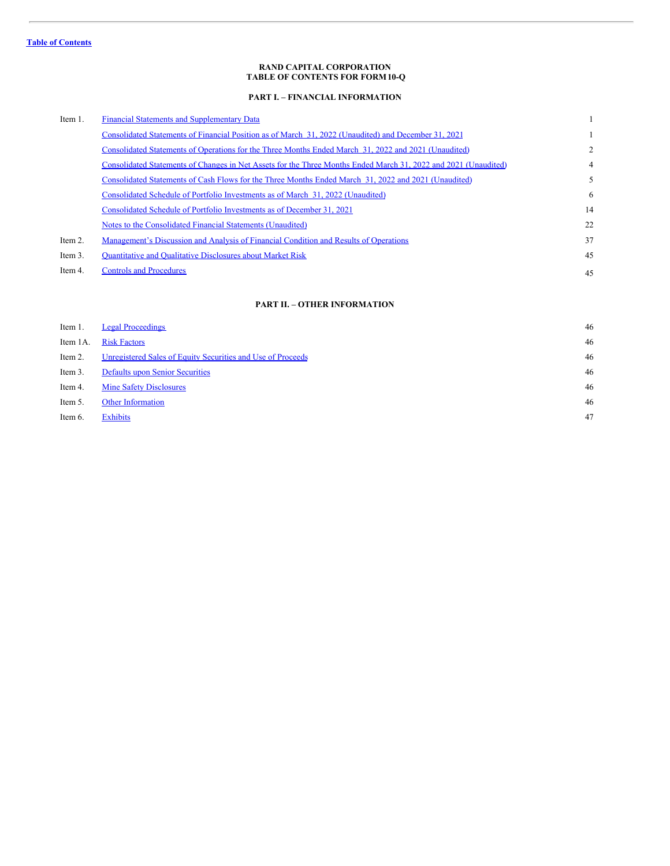## <span id="page-2-0"></span>**RAND CAPITAL CORPORATION TABLE OF CONTENTS FOR FORM10-Q**

## **PART I. – FINANCIAL INFORMATION**

| Item 1. | <b>Financial Statements and Supplementary Data</b>                                                              |    |
|---------|-----------------------------------------------------------------------------------------------------------------|----|
|         | Consolidated Statements of Financial Position as of March 31, 2022 (Unaudited) and December 31, 2021            |    |
|         | Consolidated Statements of Operations for the Three Months Ended March 31, 2022 and 2021 (Unaudited)            | 2  |
|         | Consolidated Statements of Changes in Net Assets for the Three Months Ended March 31, 2022 and 2021 (Unaudited) | 4  |
|         | Consolidated Statements of Cash Flows for the Three Months Ended March 31, 2022 and 2021 (Unaudited)            |    |
|         | Consolidated Schedule of Portfolio Investments as of March 31, 2022 (Unaudited)                                 | 6  |
|         | Consolidated Schedule of Portfolio Investments as of December 31, 2021                                          | 14 |
|         | Notes to the Consolidated Financial Statements (Unaudited)                                                      | 22 |
| Item 2. | Management's Discussion and Analysis of Financial Condition and Results of Operations                           | 37 |
| Item 3. | <b>Quantitative and Qualitative Disclosures about Market Risk</b>                                               | 45 |
| Item 4. | <b>Controls and Procedures</b>                                                                                  | 45 |

## **PART II. – OTHER INFORMATION**

| Item 1.  | <b>Legal Proceedings</b>                                    | 46 |
|----------|-------------------------------------------------------------|----|
| Item 1A. | <b>Risk Factors</b>                                         | 46 |
| Item 2.  | Unregistered Sales of Equity Securities and Use of Proceeds | 46 |
| Item 3.  | <b>Defaults upon Senior Securities</b>                      | 46 |
| Item 4.  | <b>Mine Safety Disclosures</b>                              | 46 |
| Item 5.  | <b>Other Information</b>                                    | 46 |
| Item 6.  | Exhibits                                                    | 47 |
|          |                                                             |    |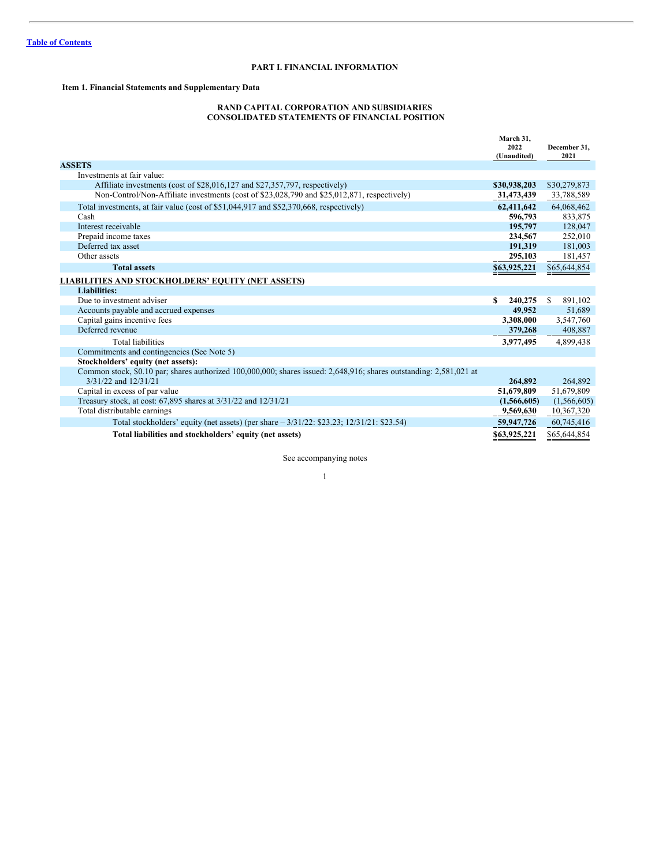## **PART I. FINANCIAL INFORMATION**

## <span id="page-3-0"></span>**Item 1. Financial Statements and Supplementary Data**

#### <span id="page-3-1"></span>**RAND CAPITAL CORPORATION AND SUBSIDIARIES CONSOLIDATED STATEMENTS OF FINANCIAL POSITION**

|                                                                                                                     | March 31,<br>2022 | December 31.             |
|---------------------------------------------------------------------------------------------------------------------|-------------------|--------------------------|
|                                                                                                                     | (Unaudited)       | 2021                     |
| <b>ASSETS</b>                                                                                                       |                   |                          |
| Investments at fair value:                                                                                          |                   |                          |
| Affiliate investments (cost of \$28,016,127 and \$27,357,797, respectively)                                         | \$30,938,203      | \$30,279,873             |
| Non-Control/Non-Affiliate investments (cost of \$23,028,790 and \$25,012,871, respectively)                         | 31,473,439        | 33,788,589               |
| Total investments, at fair value (cost of \$51,044,917 and \$52,370,668, respectively)                              | 62,411,642        | 64,068,462               |
| Cash                                                                                                                | 596,793           | 833,875                  |
| Interest receivable                                                                                                 | 195,797           | 128,047                  |
| Prepaid income taxes                                                                                                | 234,567           | 252,010                  |
| Deferred tax asset                                                                                                  | 191,319           | 181,003                  |
| Other assets                                                                                                        | 295,103           | 181,457                  |
| <b>Total assets</b>                                                                                                 | \$63,925,221      | \$65,644,854             |
| <b>LIABILITIES AND STOCKHOLDERS' EQUITY (NET ASSETS)</b>                                                            |                   |                          |
| <b>Liabilities:</b>                                                                                                 |                   |                          |
| Due to investment adviser                                                                                           | S<br>240,275      | 891,102<br><sup>\$</sup> |
| Accounts payable and accrued expenses                                                                               | 49,952            | 51,689                   |
| Capital gains incentive fees                                                                                        | 3,308,000         | 3,547,760                |
| Deferred revenue                                                                                                    | 379,268           | 408,887                  |
| <b>Total liabilities</b>                                                                                            | 3,977,495         | 4,899,438                |
| Commitments and contingencies (See Note 5)                                                                          |                   |                          |
| Stockholders' equity (net assets):                                                                                  |                   |                          |
| Common stock, \$0.10 par; shares authorized 100,000,000; shares issued: 2,648,916; shares outstanding: 2,581,021 at |                   |                          |
| 3/31/22 and 12/31/21                                                                                                | 264,892           | 264,892                  |
| Capital in excess of par value                                                                                      | 51,679,809        | 51,679,809               |
| Treasury stock, at cost: 67,895 shares at 3/31/22 and 12/31/21                                                      | (1,566,605)       | (1, 566, 605)            |
| Total distributable earnings                                                                                        | 9,569,630         | 10,367,320               |
| Total stockholders' equity (net assets) (per share $-3/31/22$ : \$23.23; 12/31/21: \$23.54)                         | 59,947,726        | 60,745,416               |
| Total liabilities and stockholders' equity (net assets)                                                             | \$63,925,221      | \$65,644,854             |
|                                                                                                                     |                   |                          |

See accompanying notes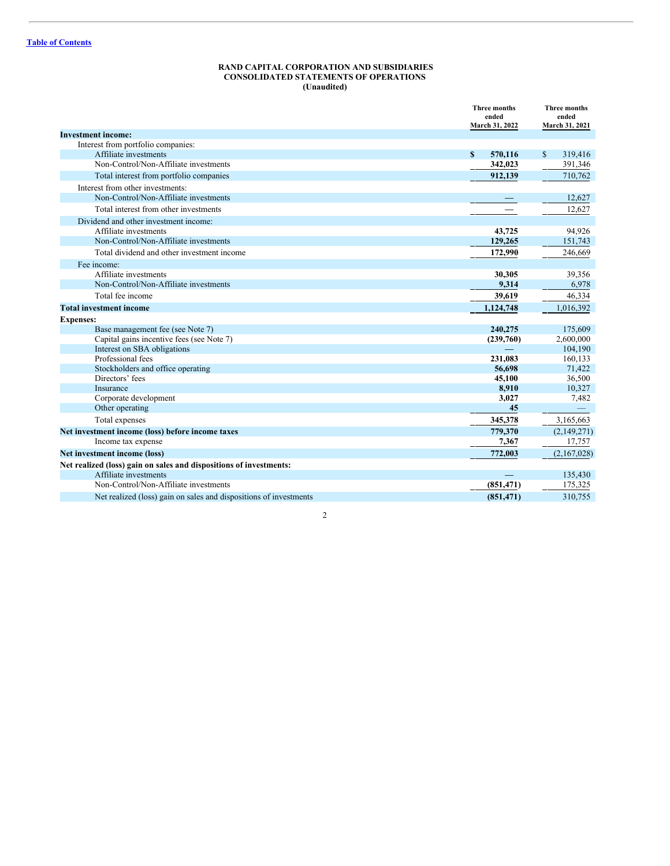#### <span id="page-4-0"></span>**RAND CAPITAL CORPORATION AND SUBSIDIARIES CONSOLIDATED STATEMENTS OF OPERATIONS (Unaudited)**

|                                                                    |              | <b>Three months</b><br>ended |              | <b>Three months</b><br>ended |  |
|--------------------------------------------------------------------|--------------|------------------------------|--------------|------------------------------|--|
|                                                                    |              | March 31, 2022               |              | March 31, 2021               |  |
| <b>Investment income:</b>                                          |              |                              |              |                              |  |
| Interest from portfolio companies:                                 |              |                              |              |                              |  |
| Affiliate investments                                              | $\mathbf{s}$ | 570,116                      | $\mathbb{S}$ | 319,416                      |  |
| Non-Control/Non-Affiliate investments                              |              | 342,023                      |              | 391,346                      |  |
| Total interest from portfolio companies                            |              | 912,139                      |              | 710,762                      |  |
| Interest from other investments:                                   |              |                              |              |                              |  |
| Non-Control/Non-Affiliate investments                              |              |                              |              | 12,627                       |  |
| Total interest from other investments                              |              |                              |              | 12,627                       |  |
| Dividend and other investment income:                              |              |                              |              |                              |  |
| Affiliate investments                                              |              | 43,725                       |              | 94,926                       |  |
| Non-Control/Non-Affiliate investments                              |              | 129,265                      |              | 151,743                      |  |
| Total dividend and other investment income                         |              | 172,990                      |              | 246,669                      |  |
| Fee income:                                                        |              |                              |              |                              |  |
| Affiliate investments                                              |              | 30,305                       |              | 39,356                       |  |
| Non-Control/Non-Affiliate investments                              |              | 9,314                        |              | 6,978                        |  |
| Total fee income                                                   |              | 39,619                       |              | 46,334                       |  |
| <b>Total investment income</b>                                     |              | 1,124,748                    |              | 1,016,392                    |  |
| <b>Expenses:</b>                                                   |              |                              |              |                              |  |
| Base management fee (see Note 7)                                   |              | 240,275                      |              | 175,609                      |  |
| Capital gains incentive fees (see Note 7)                          |              | (239,760)                    |              | 2,600,000                    |  |
| Interest on SBA obligations                                        |              |                              |              | 104,190                      |  |
| Professional fees                                                  |              | 231.083                      |              | 160,133                      |  |
| Stockholders and office operating                                  |              | 56,698                       |              | 71,422                       |  |
| Directors' fees                                                    |              | 45,100                       |              | 36,500                       |  |
| <b>Insurance</b>                                                   |              | 8,910                        |              | 10,327                       |  |
| Corporate development                                              |              | 3,027                        |              | 7,482                        |  |
| Other operating                                                    |              | 45                           |              |                              |  |
| Total expenses                                                     |              | 345,378                      |              | 3,165,663                    |  |
| Net investment income (loss) before income taxes                   |              | 779,370                      |              | (2,149,271)                  |  |
| Income tax expense                                                 |              | 7,367                        |              | 17,757                       |  |
| Net investment income (loss)                                       |              | 772,003                      |              | (2,167,028)                  |  |
| Net realized (loss) gain on sales and dispositions of investments: |              |                              |              |                              |  |
| Affiliate investments                                              |              |                              |              | 135,430                      |  |
| Non-Control/Non-Affiliate investments                              |              | (851, 471)                   |              | 175,325                      |  |
| Net realized (loss) gain on sales and dispositions of investments  |              | (851, 471)                   |              | 310,755                      |  |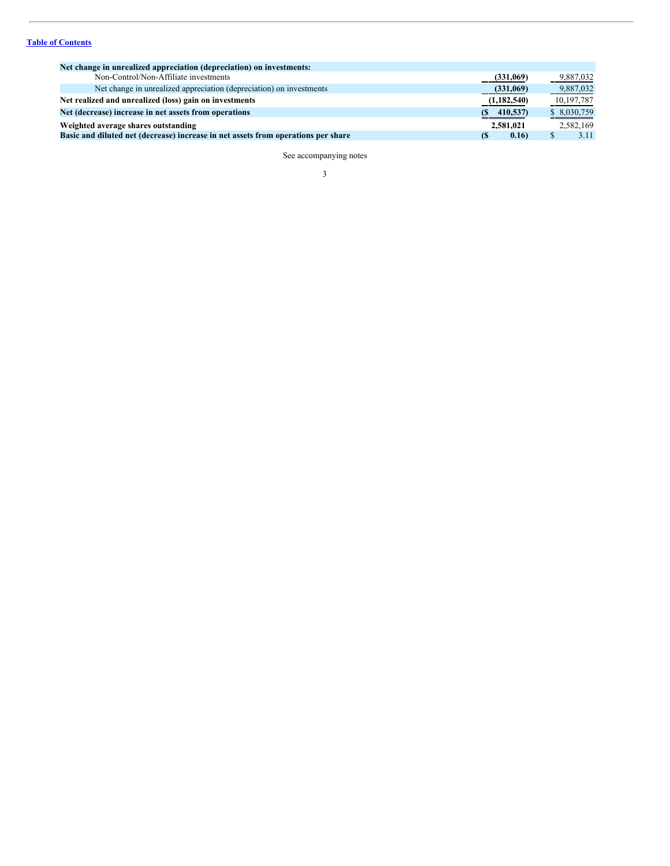| Net change in unrealized appreciation (depreciation) on investments:              |               |              |
|-----------------------------------------------------------------------------------|---------------|--------------|
| Non-Control/Non-Affiliate investments                                             | (331,069)     | 9,887,032    |
| Net change in unrealized appreciation (depreciation) on investments               | (331,069)     | 9,887,032    |
| Net realized and unrealized (loss) gain on investments                            | (1,182,540)   | 10, 197, 787 |
| Net (decrease) increase in net assets from operations                             | 410,537<br>68 | \$8,030,759  |
| Weighted average shares outstanding                                               | 2.581.021     | 2.582.169    |
| Basic and diluted net (decrease) increase in net assets from operations per share | 0.16          | 3.11         |

See accompanying notes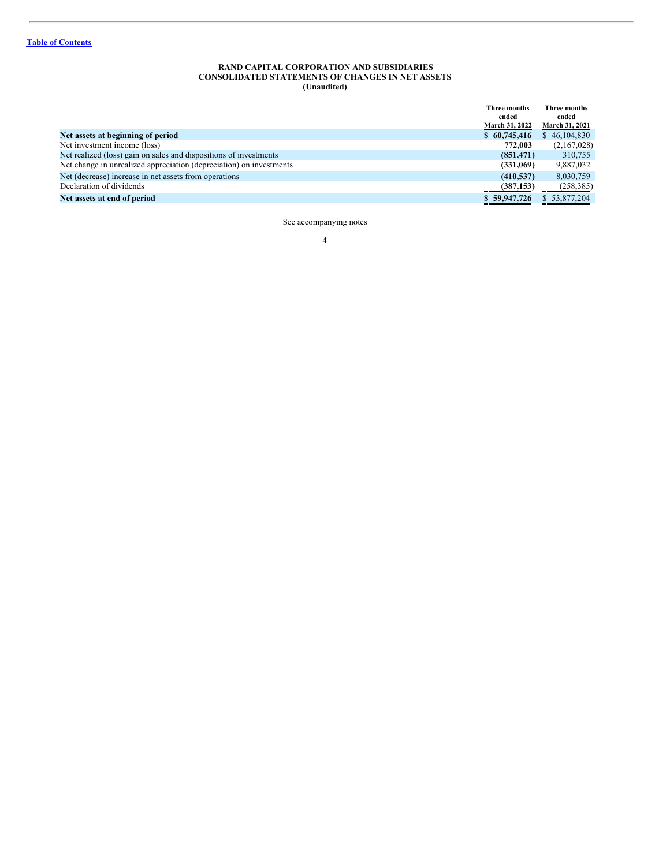#### <span id="page-6-0"></span>**RAND CAPITAL CORPORATION AND SUBSIDIARIES CONSOLIDATED STATEMENTS OF CHANGES IN NET ASSETS (Unaudited)**

|                                                                     | Three months<br>ended | <b>Three months</b><br>ended |
|---------------------------------------------------------------------|-----------------------|------------------------------|
|                                                                     | March 31, 2022        | March 31, 2021               |
| Net assets at beginning of period                                   | \$60,745,416          | \$46,104,830                 |
| Net investment income (loss)                                        | 772,003               | (2,167,028)                  |
| Net realized (loss) gain on sales and dispositions of investments   | (851, 471)            | 310,755                      |
| Net change in unrealized appreciation (depreciation) on investments | (331,069)             | 9,887,032                    |
| Net (decrease) increase in net assets from operations               | (410, 537)            | 8,030,759                    |
| Declaration of dividends                                            | (387, 153)            | (258, 385)                   |
| Net assets at end of period                                         | \$59,947,726          | \$53,877,204                 |

See accompanying notes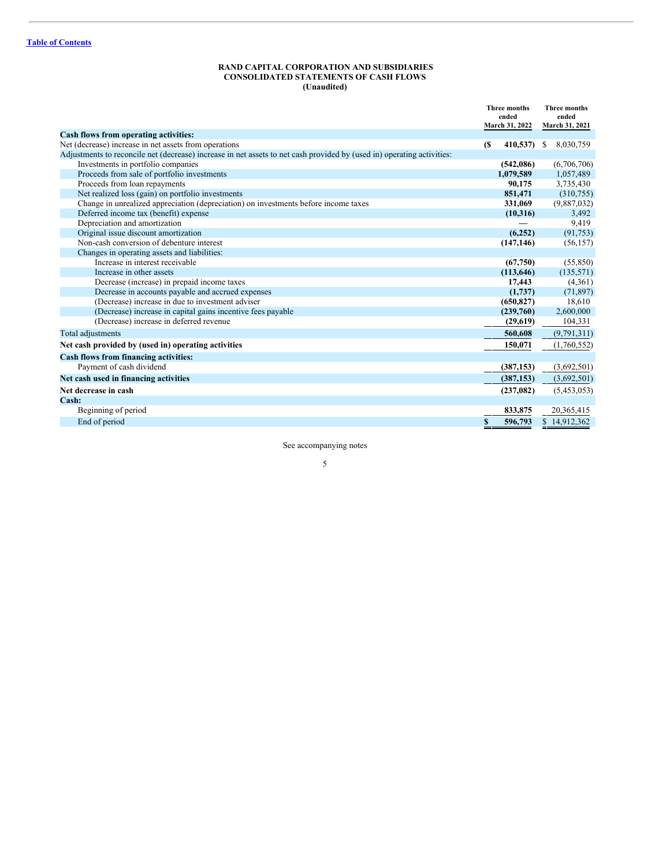#### <span id="page-7-0"></span>**RAND CAPITAL CORPORATION AND SUBSIDIARIES CONSOLIDATED STATEMENTS OF CASH FLOWS (Unaudited)**

|                                                                                                                        | <b>Three months</b><br>ended | <b>Three months</b><br>ended |  |
|------------------------------------------------------------------------------------------------------------------------|------------------------------|------------------------------|--|
|                                                                                                                        | March 31, 2022               | March 31, 2021               |  |
| Cash flows from operating activities:                                                                                  |                              |                              |  |
| Net (decrease) increase in net assets from operations                                                                  | (S<br>410,537)               | 8,030,759<br><sup>S</sup>    |  |
| Adjustments to reconcile net (decrease) increase in net assets to net cash provided by (used in) operating activities: |                              |                              |  |
| Investments in portfolio companies                                                                                     | (542,086)                    | (6,706,706)                  |  |
| Proceeds from sale of portfolio investments                                                                            | 1,079,589                    | 1,057,489                    |  |
| Proceeds from loan repayments                                                                                          | 90.175                       | 3,735,430                    |  |
| Net realized loss (gain) on portfolio investments                                                                      | 851,471                      | (310, 755)                   |  |
| Change in unrealized appreciation (depreciation) on investments before income taxes                                    | 331,069                      | (9,887,032)                  |  |
| Deferred income tax (benefit) expense                                                                                  | (10, 316)                    | 3,492                        |  |
| Depreciation and amortization                                                                                          |                              | 9,419                        |  |
| Original issue discount amortization                                                                                   | (6,252)                      | (91, 753)                    |  |
| Non-cash conversion of debenture interest                                                                              | (147, 146)                   | (56, 157)                    |  |
| Changes in operating assets and liabilities:                                                                           |                              |                              |  |
| Increase in interest receivable                                                                                        | (67,750)                     | (55, 850)                    |  |
| Increase in other assets                                                                                               | (113, 646)                   | (135, 571)                   |  |
| Decrease (increase) in prepaid income taxes                                                                            | 17,443                       | (4,361)                      |  |
| Decrease in accounts payable and accrued expenses                                                                      | (1,737)                      | (71, 897)                    |  |
| (Decrease) increase in due to investment adviser                                                                       | (650, 827)                   | 18,610                       |  |
| (Decrease) increase in capital gains incentive fees payable                                                            | (239,760)                    | 2,600,000                    |  |
| (Decrease) increase in deferred revenue                                                                                | (29,619)                     | 104,331                      |  |
| Total adjustments                                                                                                      | 560,608                      | (9,791,311)                  |  |
| Net cash provided by (used in) operating activities                                                                    | 150,071                      | (1,760,552)                  |  |
| <b>Cash flows from financing activities:</b>                                                                           |                              |                              |  |
| Payment of cash dividend                                                                                               | (387, 153)                   | (3,692,501)                  |  |
| Net cash used in financing activities                                                                                  | (387, 153)                   | (3,692,501)                  |  |
| Net decrease in cash                                                                                                   | (237,082)                    | (5,453,053)                  |  |
| Cash:                                                                                                                  |                              |                              |  |
| Beginning of period                                                                                                    | 833,875                      | 20,365,415                   |  |
| End of period                                                                                                          | 596,793<br>\$                | \$14,912,362                 |  |

See accompanying notes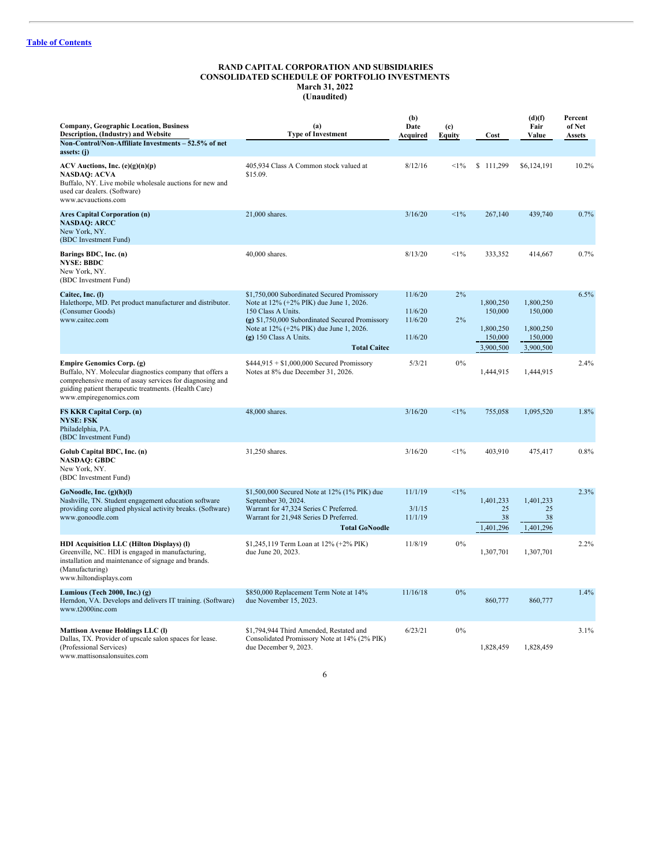<span id="page-8-0"></span>

| <b>Company, Geographic Location, Business</b><br>Description, (Industry) and Website                                                                                                                                                       | (a)<br><b>Type of Investment</b>                                                                                                                                                 | (b)<br>Date<br>Acquired       | (c)<br><b>Equity</b> | Cost                               | (d)(f)<br>Fair<br>Value            | Percent<br>of Net<br><b>Assets</b> |
|--------------------------------------------------------------------------------------------------------------------------------------------------------------------------------------------------------------------------------------------|----------------------------------------------------------------------------------------------------------------------------------------------------------------------------------|-------------------------------|----------------------|------------------------------------|------------------------------------|------------------------------------|
| Non-Control/Non-Affiliate Investments - 52.5% of net<br>assets: (j)                                                                                                                                                                        |                                                                                                                                                                                  |                               |                      |                                    |                                    |                                    |
| ACV Auctions, Inc. $(e)(g)(n)(p)$<br><b>NASDAQ: ACVA</b><br>Buffalo, NY. Live mobile wholesale auctions for new and<br>used car dealers. (Software)<br>www.acvauctions.com                                                                 | 405,934 Class A Common stock valued at<br>\$15.09.                                                                                                                               | 8/12/16                       | $<1\%$               | \$111,299                          | \$6,124,191                        | 10.2%                              |
| <b>Ares Capital Corporation (n)</b><br><b>NASDAO: ARCC</b><br>New York, NY.<br>(BDC Investment Fund)                                                                                                                                       | 21,000 shares.                                                                                                                                                                   | 3/16/20                       | $<1\%$               | 267,140                            | 439,740                            | 0.7%                               |
| Barings BDC, Inc. (n)<br><b>NYSE: BBDC</b><br>New York, NY.<br>(BDC Investment Fund)                                                                                                                                                       | 40,000 shares.                                                                                                                                                                   | 8/13/20                       | $<1\%$               | 333,352                            | 414,667                            | 0.7%                               |
| Caitec, Inc. (I)<br>Halethorpe, MD. Pet product manufacturer and distributor.<br>(Consumer Goods)<br>www.caitec.com                                                                                                                        | \$1,750,000 Subordinated Secured Promissory<br>Note at 12% (+2% PIK) due June 1, 2026.<br>150 Class A Units.<br>(g) \$1,750,000 Subordinated Secured Promissory                  | 11/6/20<br>11/6/20<br>11/6/20 | 2%<br>$2\%$          | 1,800,250<br>150,000               | 1,800,250<br>150,000               | 6.5%                               |
|                                                                                                                                                                                                                                            | Note at 12% (+2% PIK) due June 1, 2026.<br>$(g)$ 150 Class A Units.<br><b>Total Caitec</b>                                                                                       | 11/6/20                       |                      | 1,800,250<br>150,000<br>3,900,500  | 1,800,250<br>150,000<br>3,900,500  |                                    |
| <b>Empire Genomics Corp. (g)</b><br>Buffalo, NY. Molecular diagnostics company that offers a<br>comprehensive menu of assay services for diagnosing and<br>guiding patient therapeutic treatments. (Health Care)<br>www.empiregenomics.com | $$444,915 + $1,000,000$ Secured Promissory<br>Notes at 8% due December 31, 2026.                                                                                                 | 5/3/21                        | $0\%$                | 1,444,915                          | 1,444,915                          | 2.4%                               |
| <b>FS KKR Capital Corp. (n)</b><br><b>NYSE: FSK</b><br>Philadelphia, PA.<br>(BDC Investment Fund)                                                                                                                                          | 48,000 shares.                                                                                                                                                                   | 3/16/20                       | $<1\%$               | 755,058                            | 1,095,520                          | 1.8%                               |
| Golub Capital BDC, Inc. (n)<br><b>NASDAQ: GBDC</b><br>New York, NY.<br>(BDC Investment Fund)                                                                                                                                               | 31,250 shares.                                                                                                                                                                   | 3/16/20                       | $<1\%$               | 403,910                            | 475,417                            | 0.8%                               |
| GoNoodle, Inc. (g)(h)(l)<br>Nashville, TN. Student engagement education software<br>providing core aligned physical activity breaks. (Software)<br>www.gonoodle.com                                                                        | \$1,500,000 Secured Note at 12% (1% PIK) due<br>September 30, 2024.<br>Warrant for 47,324 Series C Preferred.<br>Warrant for 21,948 Series D Preferred.<br><b>Total GoNoodle</b> | 11/1/19<br>3/1/15<br>11/1/19  | $<1\%$               | 1,401,233<br>25<br>38<br>1,401,296 | 1,401,233<br>25<br>38<br>1,401,296 | 2.3%                               |
| <b>HDI Acquisition LLC (Hilton Displays) (I)</b><br>Greenville, NC. HDI is engaged in manufacturing,<br>installation and maintenance of signage and brands.<br>(Manufacturing)<br>www.hiltondisplays.com                                   | \$1,245,119 Term Loan at 12% (+2% PIK)<br>due June 20, 2023.                                                                                                                     | 11/8/19                       | $0\%$                | 1,307,701                          | 1,307,701                          | 2.2%                               |
| Lumious (Tech 2000, Inc.) (g)<br>Herndon, VA. Develops and delivers IT training. (Software)<br>www.t2000inc.com                                                                                                                            | \$850,000 Replacement Term Note at 14%<br>due November 15, 2023.                                                                                                                 | 11/16/18                      | $0\%$                | 860,777                            | 860,777                            | 1.4%                               |
| <b>Mattison Avenue Holdings LLC (I)</b><br>Dallas, TX. Provider of upscale salon spaces for lease.<br>(Professional Services)<br>www.mattisonsalonsuites.com                                                                               | \$1,794,944 Third Amended, Restated and<br>Consolidated Promissory Note at 14% (2% PIK)<br>due December 9, 2023.                                                                 | 6/23/21                       | 0%                   | 1,828,459                          | 1,828,459                          | 3.1%                               |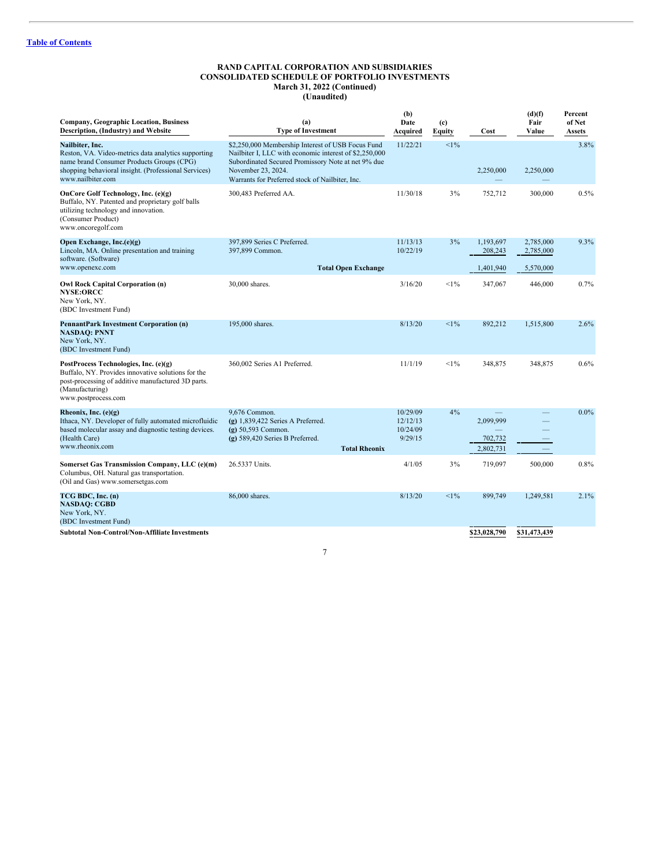| <b>Company, Geographic Location, Business</b><br>Description, (Industry) and Website                                                                                                             | (a)<br><b>Type of Investment</b>                                                                                                                                                                                                           | (b)<br>Date<br>Acquired                     | (c)<br><b>Equity</b> | Cost                              | (d)(f)<br>Fair<br>Value | Percent<br>of Net<br>Assets |
|--------------------------------------------------------------------------------------------------------------------------------------------------------------------------------------------------|--------------------------------------------------------------------------------------------------------------------------------------------------------------------------------------------------------------------------------------------|---------------------------------------------|----------------------|-----------------------------------|-------------------------|-----------------------------|
| Nailbiter, Inc.<br>Reston, VA. Video-metrics data analytics supporting<br>name brand Consumer Products Groups (CPG)<br>shopping behavioral insight. (Professional Services)<br>www.nailbiter.com | \$2,250,000 Membership Interest of USB Focus Fund<br>Nailbiter I, LLC with economic interest of \$2,250,000<br>Subordinated Secured Promissory Note at net 9% due<br>November 23, 2024.<br>Warrants for Preferred stock of Nailbiter, Inc. | 11/22/21                                    | $<1\%$               | 2,250,000                         | 2,250,000               | 3.8%                        |
| OnCore Golf Technology, Inc. (e)(g)<br>Buffalo, NY. Patented and proprietary golf balls<br>utilizing technology and innovation.<br>(Consumer Product)<br>www.oncoregolf.com                      | 300.483 Preferred AA.                                                                                                                                                                                                                      | 11/30/18                                    | 3%                   | 752.712                           | 300,000                 | $0.5\%$                     |
| Open Exchange, Inc.(e)(g)<br>Lincoln, MA. Online presentation and training<br>software. (Software)                                                                                               | 397,899 Series C Preferred.<br>397,899 Common.                                                                                                                                                                                             | 11/13/13<br>10/22/19                        | 3%                   | 1,193,697<br>208,243              | 2,785,000<br>2,785,000  | 9.3%                        |
| www.openexc.com                                                                                                                                                                                  | <b>Total Open Exchange</b>                                                                                                                                                                                                                 |                                             |                      | 1,401,940                         | 5,570,000               |                             |
| <b>Owl Rock Capital Corporation (n)</b><br><b>NYSE:ORCC</b><br>New York, NY.<br>(BDC Investment Fund)                                                                                            | 30,000 shares.                                                                                                                                                                                                                             | 3/16/20                                     | $< 1\%$              | 347,067                           | 446,000                 | 0.7%                        |
| PennantPark Investment Corporation (n)<br><b>NASDAQ: PNNT</b><br>New York, NY.<br>(BDC Investment Fund)                                                                                          | 195,000 shares.                                                                                                                                                                                                                            | 8/13/20                                     | $<1\%$               | 892,212                           | 1,515,800               | 2.6%                        |
| PostProcess Technologies, Inc. (e)(g)<br>Buffalo, NY. Provides innovative solutions for the<br>post-processing of additive manufactured 3D parts.<br>(Manufacturing)<br>www.postprocess.com      | 360,002 Series A1 Preferred.                                                                                                                                                                                                               | 11/1/19                                     | $< 1\%$              | 348,875                           | 348,875                 | $0.6\%$                     |
| Rheonix, Inc. (e)(g)<br>Ithaca, NY. Developer of fully automated microfluidic<br>based molecular assay and diagnostic testing devices.<br>(Health Care)<br>www.rheonix.com                       | 9,676 Common.<br>$(g)$ 1,839,422 Series A Preferred.<br>$(g)$ 50,593 Common.<br>$(g)$ 589,420 Series B Preferred.<br><b>Total Rheonix</b>                                                                                                  | 10/29/09<br>12/12/13<br>10/24/09<br>9/29/15 | 4%                   | 2,099,999<br>702,732<br>2,802,731 |                         | $0.0\%$                     |
| Somerset Gas Transmission Company, LLC (e)(m)<br>Columbus, OH. Natural gas transportation.<br>(Oil and Gas) www.somersetgas.com                                                                  | 26.5337 Units.                                                                                                                                                                                                                             | 4/1/05                                      | 3%                   | 719,097                           | 500,000                 | $0.8\%$                     |
| TCG BDC, Inc. (n)<br><b>NASDAQ: CGBD</b><br>New York, NY.<br>(BDC Investment Fund)                                                                                                               | 86,000 shares.                                                                                                                                                                                                                             | 8/13/20                                     | $1\%$                | 899,749                           | 1,249,581               | 2.1%                        |
| <b>Subtotal Non-Control/Non-Affiliate Investments</b>                                                                                                                                            |                                                                                                                                                                                                                                            |                                             |                      | \$23,028,790                      | \$31,473,439            |                             |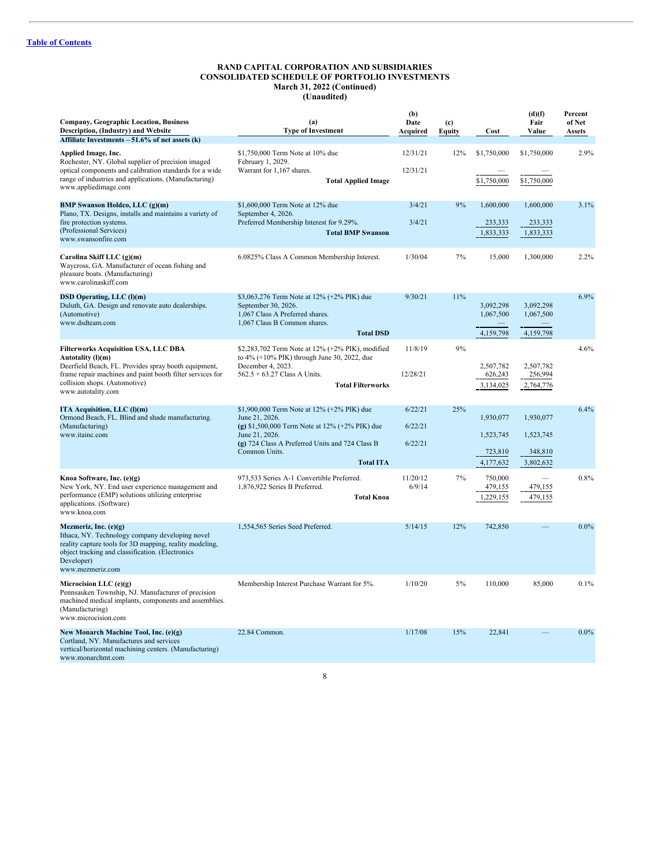| <b>Company, Geographic Location, Business</b><br>Description, (Industry) and Website                                                                                                                                      | (a)<br><b>Type of Investment</b>                                                                                                     | (b)<br>Date<br>Acquired | (c)<br><b>Equity</b> | Cost                            | (d)(f)<br>Fair<br>Value | Percent<br>of Net<br><b>Assets</b> |
|---------------------------------------------------------------------------------------------------------------------------------------------------------------------------------------------------------------------------|--------------------------------------------------------------------------------------------------------------------------------------|-------------------------|----------------------|---------------------------------|-------------------------|------------------------------------|
| Affiliate Investments $-51.6%$ of net assets (k)<br>Applied Image, Inc.<br>Rochester, NY. Global supplier of precision imaged<br>optical components and calibration standards for a wide                                  | \$1,750,000 Term Note at 10% due<br>February 1, 2029.<br>Warrant for 1,167 shares.                                                   | 12/31/21<br>12/31/21    | 12%                  | \$1,750,000                     | \$1,750,000             | 2.9%                               |
| range of industries and applications. (Manufacturing)<br>www.appliedimage.com                                                                                                                                             | <b>Total Applied Image</b>                                                                                                           |                         |                      | \$1,750,000                     | \$1,750,000             |                                    |
| <b>BMP Swanson Holdco, LLC (g)(m)</b><br>Plano, TX. Designs, installs and maintains a variety of<br>fire protection systems.                                                                                              | \$1,600,000 Term Note at 12% due<br>September 4, 2026.<br>Preferred Membership Interest for 9.29%.                                   | 3/4/21<br>3/4/21        | 9%                   | 1,600,000<br>233,333            | 1,600,000<br>233,333    | 3.1%                               |
| (Professional Services)<br>www.swansonfire.com                                                                                                                                                                            | <b>Total BMP Swanson</b>                                                                                                             |                         |                      | 1,833,333                       | 1,833,333               |                                    |
| Carolina Skiff LLC (g)(m)<br>Waycross, GA. Manufacturer of ocean fishing and<br>pleasure boats. (Manufacturing)<br>www.carolinaskiff.com                                                                                  | 6.0825% Class A Common Membership Interest.                                                                                          | 1/30/04                 | 7%                   | 15,000                          | 1,300,000               | 2.2%                               |
| <b>DSD Operating, LLC (l)(m)</b><br>Duluth, GA. Design and renovate auto dealerships.<br>(Automotive)<br>www.dsdteam.com                                                                                                  | \$3,063,276 Term Note at 12% (+2% PIK) due<br>September 30, 2026.<br>1,067 Class A Preferred shares.<br>1,067 Class B Common shares. | 9/30/21                 | 11%                  | 3,092,298<br>1,067,500          | 3,092,298<br>1,067,500  | 6.9%                               |
|                                                                                                                                                                                                                           | <b>Total DSD</b>                                                                                                                     |                         |                      | 4,159,798                       | 4,159,798               |                                    |
| <b>Filterworks Acquisition USA, LLC DBA</b><br>Autotality (l)(m)<br>Deerfield Beach, FL. Provides spray booth equipment,                                                                                                  | \$2,283,702 Term Note at 12% (+2% PIK), modified<br>to $4\%$ (+10% PIK) through June 30, 2022, due<br>December 4, 2023.              | 11/8/19                 | 9%                   | 2,507,782                       | 2,507,782               | 4.6%                               |
| frame repair machines and paint booth filter services for<br>collision shops. (Automotive)<br>www.autotality.com                                                                                                          | 562.5 + 63.27 Class A Units.<br><b>Total Filterworks</b>                                                                             | 12/28/21                |                      | 626,243<br>3,134,025            | 256,994<br>2,764,776    |                                    |
| ITA Acquisition, LLC (I)(m)<br>Ormond Beach, FL. Blind and shade manufacturing.<br>(Manufacturing)                                                                                                                        | \$1,900,000 Term Note at 12% (+2% PIK) due<br>June 21, 2026.<br>(g) \$1,500,000 Term Note at $12\%$ (+2% PIK) due                    | 6/22/21<br>6/22/21      | 25%                  | 1,930,077                       | 1,930,077               | 6.4%                               |
| www.itainc.com                                                                                                                                                                                                            | June 21, 2026.<br>(g) 724 Class A Preferred Units and 724 Class B                                                                    | 6/22/21                 |                      | 1,523,745                       | 1,523,745               |                                    |
|                                                                                                                                                                                                                           | Common Units.<br><b>Total ITA</b>                                                                                                    |                         |                      | 723,810<br>4,177,632            | 348,810<br>3,802,632    |                                    |
| Knoa Software, Inc. (e)(g)<br>New York, NY. End user experience management and<br>performance (EMP) solutions utilizing enterprise                                                                                        | 973,533 Series A-1 Convertible Preferred.<br>1,876,922 Series B Preferred.<br>Total Knoa                                             | 11/20/12<br>6/9/14      | 7%                   | 750,000<br>479,155<br>1,229,155 | 479,155<br>479,155      | 0.8%                               |
| applications. (Software)<br>www.knoa.com                                                                                                                                                                                  |                                                                                                                                      |                         |                      |                                 |                         |                                    |
| Mezmeriz, Inc. (e)(g)<br>Ithaca, NY. Technology company developing novel<br>reality capture tools for 3D mapping, reality modeling,<br>object tracking and classification. (Electronics<br>Developer)<br>www.mezmeriz.com | 1,554,565 Series Seed Preferred.                                                                                                     | 5/14/15                 | 12%                  | 742,850                         |                         | $0.0\%$                            |
| Microcision LLC (e)(g)<br>Pennsauken Township, NJ. Manufacturer of precision<br>machined medical implants, components and assemblies.<br>(Manufacturing)<br>www.microcision.com                                           | Membership Interest Purchase Warrant for 5%.                                                                                         | 1/10/20                 | 5%                   | 110,000                         | 85,000                  | $0.1\%$                            |
| New Monarch Machine Tool, Inc. (e)(g)<br>Cortland, NY. Manufactures and services<br>vertical/horizontal machining centers. (Manufacturing)<br>www.monarchmt.com                                                           | 22.84 Common.                                                                                                                        | 1/17/08                 | 15%                  | 22,841                          |                         | $0.0\%$                            |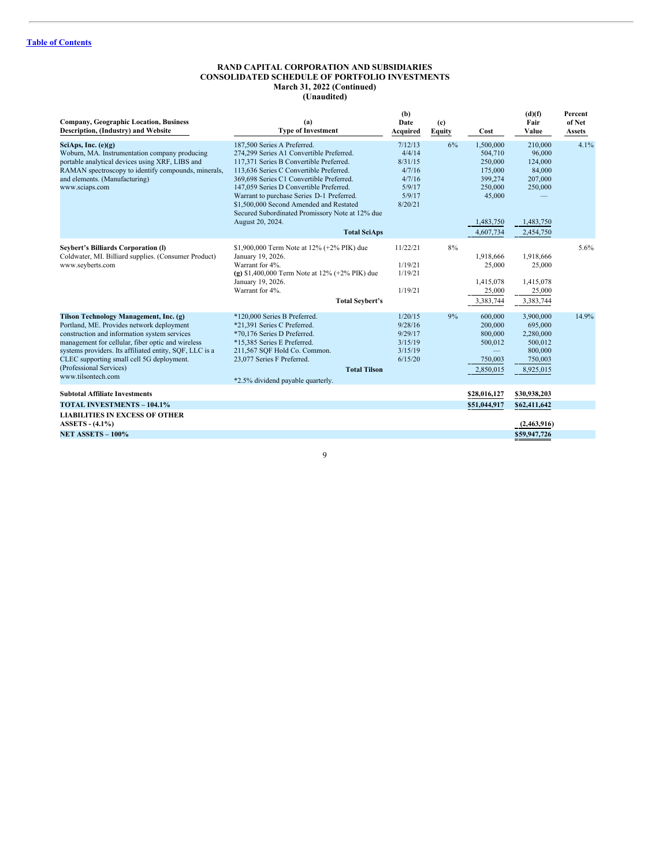| Company, Geographic Location, Business<br>Description, (Industry) and Website                                                                                                                                                                                                                                                                     | (a)<br><b>Type of Investment</b>                                                                                                                                                                                                                                                                                                                                                                | (b)<br>Date<br>Acquired                                                         | (c)<br><b>Equity</b> | Cost                                                                       | (d)(f)<br>Fair<br>Value                                                         | Percent<br>of Net<br><b>Assets</b> |
|---------------------------------------------------------------------------------------------------------------------------------------------------------------------------------------------------------------------------------------------------------------------------------------------------------------------------------------------------|-------------------------------------------------------------------------------------------------------------------------------------------------------------------------------------------------------------------------------------------------------------------------------------------------------------------------------------------------------------------------------------------------|---------------------------------------------------------------------------------|----------------------|----------------------------------------------------------------------------|---------------------------------------------------------------------------------|------------------------------------|
| SciAps, Inc. $(e)(g)$<br>Woburn, MA. Instrumentation company producing<br>portable analytical devices using XRF, LIBS and<br>RAMAN spectroscopy to identify compounds, minerals,<br>and elements. (Manufacturing)<br>www.sciaps.com                                                                                                               | 187,500 Series A Preferred.<br>274,299 Series A1 Convertible Preferred.<br>117,371 Series B Convertible Preferred.<br>113,636 Series C Convertible Preferred.<br>369,698 Series C1 Convertible Preferred.<br>147,059 Series D Convertible Preferred.<br>Warrant to purchase Series D-1 Preferred.<br>\$1,500,000 Second Amended and Restated<br>Secured Subordinated Promissory Note at 12% due | 7/12/13<br>4/4/14<br>8/31/15<br>4/7/16<br>4/7/16<br>5/9/17<br>5/9/17<br>8/20/21 | 6%                   | 1,500,000<br>504,710<br>250,000<br>175,000<br>399,274<br>250,000<br>45,000 | 210,000<br>96,000<br>124,000<br>84,000<br>207,000<br>250,000                    | $4.1\%$                            |
|                                                                                                                                                                                                                                                                                                                                                   | August 20, 2024.<br><b>Total SciAps</b>                                                                                                                                                                                                                                                                                                                                                         |                                                                                 |                      | 1,483,750<br>4,607,734                                                     | 1,483,750<br>2,454,750                                                          |                                    |
| Seybert's Billiards Corporation (I)<br>Coldwater, MI. Billiard supplies. (Consumer Product)<br>www.seyberts.com                                                                                                                                                                                                                                   | \$1,900,000 Term Note at 12% (+2% PIK) due<br>January 19, 2026.<br>Warrant for 4%.<br>(g) \$1,400,000 Term Note at $12\%$ (+2% PIK) due<br>January 19, 2026.<br>Warrant for 4%.<br><b>Total Seybert's</b>                                                                                                                                                                                       | 11/22/21<br>1/19/21<br>1/19/21<br>1/19/21                                       | 8%                   | 1,918,666<br>25,000<br>1,415,078<br>25,000<br>3,383,744                    | 1,918,666<br>25,000<br>1,415,078<br>25,000<br>3,383,744                         | 5.6%                               |
| Tilson Technology Management, Inc. (g)<br>Portland, ME. Provides network deployment<br>construction and information system services<br>management for cellular, fiber optic and wireless<br>systems providers. Its affiliated entity, SQF, LLC is a<br>CLEC supporting small cell 5G deployment.<br>(Professional Services)<br>www.tilsontech.com | *120,000 Series B Preferred.<br>*21,391 Series C Preferred.<br>*70.176 Series D Preferred.<br>*15,385 Series E Preferred.<br>211,567 SQF Hold Co. Common.<br>23,077 Series F Preferred.<br><b>Total Tilson</b><br>*2.5% dividend payable quarterly.                                                                                                                                             | 1/20/15<br>9/28/16<br>9/29/17<br>3/15/19<br>3/15/19<br>6/15/20                  | 9%                   | 600,000<br>200,000<br>800,000<br>500,012<br>750,003<br>2,850,015           | 3,900,000<br>695,000<br>2,280,000<br>500,012<br>800,000<br>750,003<br>8,925,015 | 14.9%                              |
| <b>Subtotal Affiliate Investments</b>                                                                                                                                                                                                                                                                                                             |                                                                                                                                                                                                                                                                                                                                                                                                 |                                                                                 |                      | \$28,016,127                                                               | \$30,938,203                                                                    |                                    |
| <b>TOTAL INVESTMENTS - 104.1%</b><br><b>LIABILITIES IN EXCESS OF OTHER</b>                                                                                                                                                                                                                                                                        |                                                                                                                                                                                                                                                                                                                                                                                                 |                                                                                 |                      | \$51,044,917                                                               | \$62,411,642                                                                    |                                    |
| ASSETS - (4.1%)                                                                                                                                                                                                                                                                                                                                   |                                                                                                                                                                                                                                                                                                                                                                                                 |                                                                                 |                      |                                                                            | (2,463,916)                                                                     |                                    |
| <b>NET ASSETS - 100%</b>                                                                                                                                                                                                                                                                                                                          |                                                                                                                                                                                                                                                                                                                                                                                                 |                                                                                 |                      |                                                                            | \$59,947,726                                                                    |                                    |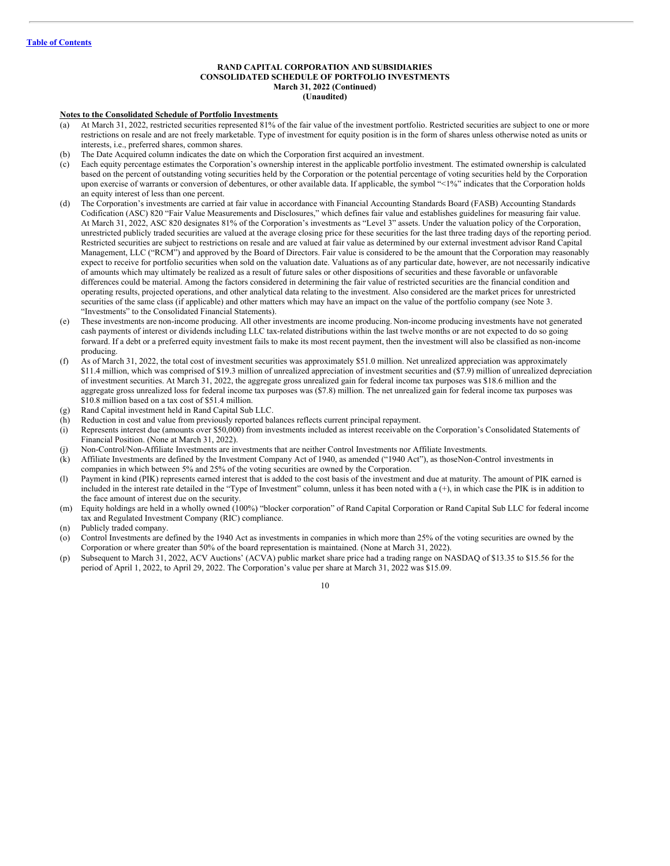#### **Notes to the Consolidated Schedule of Portfolio Investments**

- (a) At March 31, 2022, restricted securities represented 81% of the fair value of the investment portfolio. Restricted securities are subject to one or more restrictions on resale and are not freely marketable. Type of investment for equity position is in the form of shares unless otherwise noted as units or interests, i.e., preferred shares, common shares.
- (b) The Date Acquired column indicates the date on which the Corporation first acquired an investment.
- (c) Each equity percentage estimates the Corporation's ownership interest in the applicable portfolio investment. The estimated ownership is calculated based on the percent of outstanding voting securities held by the Corporation or the potential percentage of voting securities held by the Corporation upon exercise of warrants or conversion of debentures, or other available data. If applicable, the symbol "<1%" indicates that the Corporation holds an equity interest of less than one percent.
- (d) The Corporation's investments are carried at fair value in accordance with Financial Accounting Standards Board (FASB) Accounting Standards Codification (ASC) 820 "Fair Value Measurements and Disclosures," which defines fair value and establishes guidelines for measuring fair value. At March 31, 2022, ASC 820 designates 81% of the Corporation's investments as "Level 3" assets. Under the valuation policy of the Corporation, unrestricted publicly traded securities are valued at the average closing price for these securities for the last three trading days of the reporting period. Restricted securities are subject to restrictions on resale and are valued at fair value as determined by our external investment advisor Rand Capital Management, LLC ("RCM") and approved by the Board of Directors. Fair value is considered to be the amount that the Corporation may reasonably expect to receive for portfolio securities when sold on the valuation date. Valuations as of any particular date, however, are not necessarily indicative of amounts which may ultimately be realized as a result of future sales or other dispositions of securities and these favorable or unfavorable differences could be material. Among the factors considered in determining the fair value of restricted securities are the financial condition and operating results, projected operations, and other analytical data relating to the investment. Also considered are the market prices for unrestricted securities of the same class (if applicable) and other matters which may have an impact on the value of the portfolio company (see Note 3. "Investments" to the Consolidated Financial Statements).
- (e) These investments are non-income producing. All other investments are income producing. Non-income producing investments have not generated cash payments of interest or dividends including LLC tax-related distributions within the last twelve months or are not expected to do so going forward. If a debt or a preferred equity investment fails to make its most recent payment, then the investment will also be classified as non-income producing.
- (f) As of March 31, 2022, the total cost of investment securities was approximately \$51.0 million. Net unrealized appreciation was approximately \$11.4 million, which was comprised of \$19.3 million of unrealized appreciation of investment securities and (\$7.9) million of unrealized depreciation of investment securities. At March 31, 2022, the aggregate gross unrealized gain for federal income tax purposes was \$18.6 million and the aggregate gross unrealized loss for federal income tax purposes was (\$7.8) million. The net unrealized gain for federal income tax purposes was \$10.8 million based on a tax cost of \$51.4 million.
- (g) Rand Capital investment held in Rand Capital Sub LLC.
- (h) Reduction in cost and value from previously reported balances reflects current principal repayment.
- (i) Represents interest due (amounts over \$50,000) from investments included as interest receivable on the Corporation's Consolidated Statements of Financial Position. (None at March 31, 2022).
- (j) Non-Control/Non-Affiliate Investments are investments that are neither Control Investments nor Affiliate Investments.
- (k) Affiliate Investments are defined by the Investment Company Act of 1940, as amended ("1940 Act"), as thoseNon-Control investments in companies in which between 5% and 25% of the voting securities are owned by the Corporation.
- (l) Payment in kind (PIK) represents earned interest that is added to the cost basis of the investment and due at maturity. The amount of PIK earned is included in the interest rate detailed in the "Type of Investment" column, unless it has been noted with a (+), in which case the PIK is in addition to the face amount of interest due on the security.
- (m) Equity holdings are held in a wholly owned (100%) "blocker corporation" of Rand Capital Corporation or Rand Capital Sub LLC for federal income tax and Regulated Investment Company (RIC) compliance.
- (n) Publicly traded company.
- (o) Control Investments are defined by the 1940 Act as investments in companies in which more than 25% of the voting securities are owned by the Corporation or where greater than 50% of the board representation is maintained. (None at March 31, 2022).
- (p) Subsequent to March 31, 2022, ACV Auctions' (ACVA) public market share price had a trading range on NASDAQ of \$13.35 to \$15.56 for the period of April 1, 2022, to April 29, 2022. The Corporation's value per share at March 31, 2022 was \$15.09.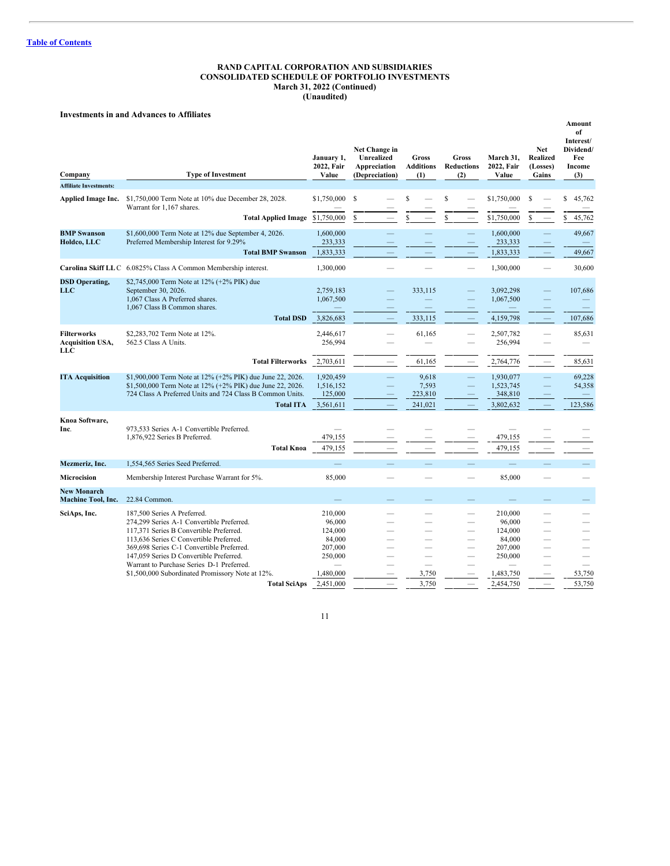## **Investments in and Advances to Affiliates**

| Company                                         | <b>Type of Investment</b>                                                          |                     | January 1,<br>2022, Fair<br>Value |    | Net Change in<br><b>Unrealized</b><br>Appreciation<br>(Depreciation) | <b>Gross</b><br><b>Additions</b><br>(1) |    | <b>Gross</b><br><b>Reductions</b><br>(2)             | March 31,<br>2022, Fair<br>Value | Net<br><b>Realized</b><br>(Losses)<br>Gains | Amount<br>of<br>Interest/<br>Dividend/<br>Fee<br>Income<br>(3) |
|-------------------------------------------------|------------------------------------------------------------------------------------|---------------------|-----------------------------------|----|----------------------------------------------------------------------|-----------------------------------------|----|------------------------------------------------------|----------------------------------|---------------------------------------------|----------------------------------------------------------------|
| <b>Affiliate Investments:</b>                   |                                                                                    |                     |                                   |    |                                                                      |                                         |    |                                                      |                                  |                                             |                                                                |
| Applied Image Inc.                              | \$1,750,000 Term Note at 10% due December 28, 2028.<br>Warrant for 1,167 shares.   |                     | \$1,750,000                       | S  |                                                                      | S                                       | S  |                                                      | \$1,750,000                      | S                                           | \$<br>45,762                                                   |
|                                                 | <b>Total Applied Image</b>                                                         |                     | \$1,750,000                       | \$ | $\qquad \qquad$                                                      | Ŝ                                       | \$ | $\overline{\phantom{m}}$                             | \$1,750,000                      | S<br>$\overline{\phantom{m}}$               | 45,762<br>\$                                                   |
| <b>BMP</b> Swanson                              | \$1,600,000 Term Note at 12% due September 4, 2026.                                |                     | 1,600,000                         |    |                                                                      |                                         |    | 二                                                    | 1,600,000                        | ═                                           | 49,667                                                         |
| Holdco, LLC                                     | Preferred Membership Interest for 9.29%                                            |                     | 233,333                           |    |                                                                      |                                         |    | $\qquad \qquad -$                                    | 233,333                          | -                                           |                                                                |
|                                                 | <b>Total BMP Swanson</b>                                                           |                     | 1,833,333                         |    |                                                                      |                                         |    |                                                      | 1,833,333                        |                                             | 49,667                                                         |
|                                                 | Carolina Skiff LLC 6.0825% Class A Common Membership interest.                     |                     | 1,300,000                         |    |                                                                      |                                         |    |                                                      | 1,300,000                        |                                             | 30,600                                                         |
| <b>DSD</b> Operating,                           | \$2,745,000 Term Note at 12% (+2% PIK) due                                         |                     |                                   |    |                                                                      |                                         |    |                                                      |                                  |                                             |                                                                |
| LLC                                             | September 30, 2026.<br>1,067 Class A Preferred shares.                             |                     | 2,759,183                         |    |                                                                      | 333,115                                 |    | $\overline{\phantom{0}}$                             | 3,092,298                        |                                             | 107,686                                                        |
|                                                 | 1,067 Class B Common shares.                                                       |                     | 1,067,500                         |    |                                                                      |                                         |    |                                                      | 1,067,500                        |                                             |                                                                |
|                                                 |                                                                                    | <b>Total DSD</b>    | 3,826,683                         |    |                                                                      | 333,115                                 |    |                                                      | 4,159,798                        | $\qquad \qquad -$                           | 107,686                                                        |
| <b>Filterworks</b>                              | \$2,283,702 Term Note at 12%.                                                      |                     | 2,446,617                         |    | $\overline{\phantom{0}}$                                             | 61,165                                  |    |                                                      | 2,507,782                        | ÷,                                          | 85,631                                                         |
| <b>Acquisition USA,</b><br>LLC                  | 562.5 Class A Units.                                                               |                     | 256,994                           |    |                                                                      |                                         |    |                                                      | 256,994                          |                                             |                                                                |
|                                                 | <b>Total Filterworks</b>                                                           |                     | 2,703,611                         |    | $\qquad \qquad$                                                      | 61,165                                  |    |                                                      | 2,764,776                        |                                             | 85,631                                                         |
| <b>ITA Acquisition</b>                          | \$1,900,000 Term Note at 12% (+2% PIK) due June 22, 2026.                          |                     | 1,920,459                         |    | $\overline{\phantom{0}}$                                             | 9,618                                   |    | $\overline{\phantom{0}}$                             | 1,930,077                        |                                             | 69,228                                                         |
|                                                 | \$1,500,000 Term Note at 12% (+2% PIK) due June 22, 2026.                          |                     | 1,516,152                         |    |                                                                      | 7,593                                   |    | $\overline{\phantom{0}}$                             | 1,523,745                        | $\overline{\phantom{0}}$                    | 54,358                                                         |
|                                                 | 724 Class A Preferred Units and 724 Class B Common Units.                          |                     | 125,000                           |    |                                                                      | 223,810                                 |    |                                                      | 348,810                          |                                             |                                                                |
|                                                 |                                                                                    | <b>Total ITA</b>    | 3,561,611                         |    | $\overline{\phantom{m}}$                                             | 241,021                                 |    |                                                      | 3,802,632                        | $\qquad \qquad - \qquad$                    | 123,586                                                        |
| Knoa Software,                                  |                                                                                    |                     |                                   |    |                                                                      |                                         |    |                                                      |                                  |                                             |                                                                |
| Inc.                                            | 973,533 Series A-1 Convertible Preferred.<br>1,876,922 Series B Preferred.         |                     | 479,155                           |    |                                                                      |                                         |    |                                                      | 479,155                          |                                             |                                                                |
|                                                 |                                                                                    | <b>Total Knoa</b>   | 479,155                           |    | $\overline{\phantom{m}}$                                             |                                         |    | $\qquad \qquad -$                                    | 479,155                          |                                             |                                                                |
|                                                 |                                                                                    |                     |                                   |    |                                                                      |                                         |    |                                                      |                                  |                                             |                                                                |
| Mezmeriz, Inc.                                  | 1,554,565 Series Seed Preferred.                                                   |                     | $\sim$                            |    |                                                                      |                                         |    | $\overline{\phantom{0}}$                             | $=$                              |                                             | -                                                              |
| Microcision                                     | Membership Interest Purchase Warrant for 5%.                                       |                     | 85,000                            |    |                                                                      |                                         |    |                                                      | 85,000                           |                                             |                                                                |
| <b>New Monarch</b><br><b>Machine Tool, Inc.</b> | 22.84 Common.                                                                      |                     |                                   |    |                                                                      |                                         |    |                                                      |                                  |                                             |                                                                |
| SciAps, Inc.                                    | 187,500 Series A Preferred.                                                        |                     | 210,000                           |    |                                                                      |                                         |    |                                                      | 210,000                          |                                             |                                                                |
|                                                 | 274,299 Series A-1 Convertible Preferred.                                          |                     | 96,000                            |    |                                                                      |                                         |    | $\overline{\phantom{0}}$                             | 96,000                           |                                             |                                                                |
|                                                 | 117,371 Series B Convertible Preferred.<br>113.636 Series C Convertible Preferred. |                     | 124,000<br>84,000                 |    |                                                                      |                                         |    | $\overline{\phantom{0}}$<br>$\overline{\phantom{0}}$ | 124,000<br>84,000                |                                             | $\overline{\phantom{0}}$                                       |
|                                                 | 369,698 Series C-1 Convertible Preferred.                                          |                     | 207,000                           |    |                                                                      |                                         |    |                                                      | 207,000                          | $\overline{\phantom{0}}$                    |                                                                |
|                                                 | 147,059 Series D Convertible Preferred.                                            |                     | 250,000                           |    |                                                                      |                                         |    |                                                      | 250,000                          |                                             |                                                                |
|                                                 | Warrant to Purchase Series D-1 Preferred.                                          |                     |                                   |    |                                                                      | $\qquad \qquad$                         |    |                                                      |                                  |                                             |                                                                |
|                                                 | \$1,500,000 Subordinated Promissory Note at 12%.                                   |                     | 1,480,000                         |    |                                                                      | 3,750                                   |    |                                                      | 1,483,750                        |                                             | 53,750                                                         |
|                                                 |                                                                                    | <b>Total SciAps</b> | 2,451,000                         |    |                                                                      | 3,750                                   |    |                                                      | 2,454,750                        |                                             | 53,750                                                         |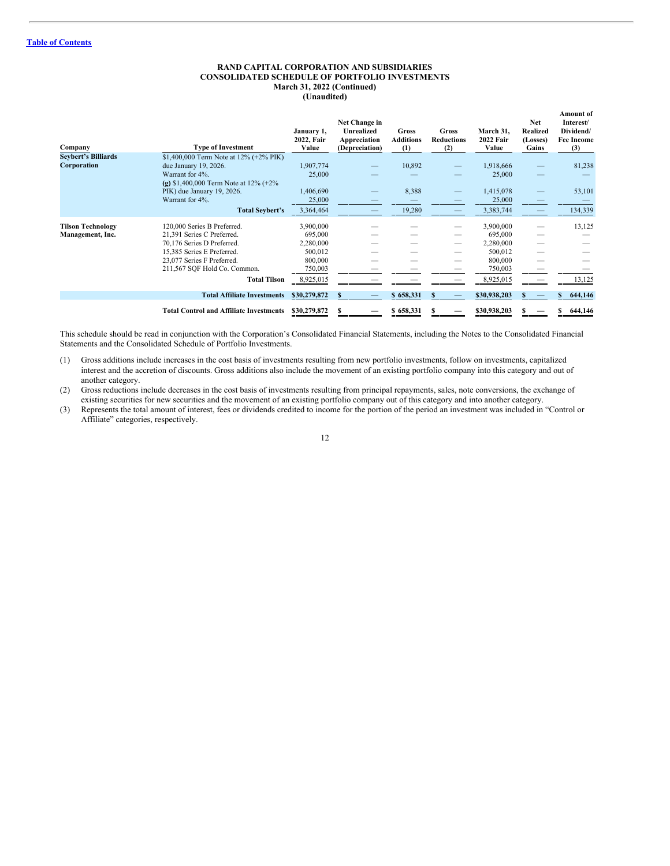| Company                    | <b>Type of Investment</b>                      | January 1,<br>2022, Fair<br>Value | Net Change in<br><b>Unrealized</b><br>Appreciation<br>(Depreciation) | Gross<br><b>Additions</b><br>(1) | Gross<br><b>Reductions</b><br>(2) | March 31.<br>2022 Fair<br>Value | <b>Net</b><br>Realized<br>(Losses)<br>Gains | <b>Amount</b> of<br>Interest/<br>Dividend/<br><b>Fee Income</b><br>(3) |
|----------------------------|------------------------------------------------|-----------------------------------|----------------------------------------------------------------------|----------------------------------|-----------------------------------|---------------------------------|---------------------------------------------|------------------------------------------------------------------------|
| <b>Seybert's Billiards</b> | \$1,400,000 Term Note at $12\%$ (+2% PIK)      |                                   |                                                                      |                                  |                                   |                                 |                                             |                                                                        |
| Corporation                | due January 19, 2026.                          | 1,907,774                         |                                                                      | 10,892                           |                                   | 1,918,666                       |                                             | 81,238                                                                 |
|                            | Warrant for 4%.                                | 25,000                            |                                                                      |                                  |                                   | 25,000                          |                                             |                                                                        |
|                            | (g) \$1,400,000 Term Note at $12\%$ (+2%)      |                                   |                                                                      |                                  |                                   |                                 |                                             |                                                                        |
|                            | PIK) due January 19, 2026.                     | 1,406,690                         |                                                                      | 8,388                            |                                   | 1,415,078                       |                                             | 53,101                                                                 |
|                            | Warrant for 4%.                                | 25,000                            |                                                                      |                                  |                                   | 25,000                          |                                             |                                                                        |
|                            | <b>Total Seybert's</b>                         | 3,364,464                         |                                                                      | 19,280                           |                                   | 3,383,744                       |                                             | 134,339                                                                |
| <b>Tilson Technology</b>   | 120,000 Series B Preferred.                    | 3,900,000                         |                                                                      |                                  |                                   | 3,900,000                       |                                             | 13,125                                                                 |
| Management, Inc.           | 21,391 Series C Preferred.                     | 695,000                           |                                                                      |                                  |                                   | 695,000                         |                                             |                                                                        |
|                            | 70,176 Series D Preferred.                     | 2,280,000                         |                                                                      |                                  |                                   | 2,280,000                       |                                             |                                                                        |
|                            | 15,385 Series E Preferred.                     | 500,012                           |                                                                      |                                  |                                   | 500,012                         |                                             |                                                                        |
|                            | 23.077 Series F Preferred.                     | 800,000                           |                                                                      |                                  |                                   | 800,000                         |                                             |                                                                        |
|                            | 211,567 SQF Hold Co. Common.                   | 750,003                           |                                                                      |                                  |                                   | 750,003                         |                                             |                                                                        |
|                            | <b>Total Tilson</b>                            |                                   |                                                                      |                                  |                                   |                                 |                                             |                                                                        |
|                            |                                                | 8,925,015                         |                                                                      |                                  |                                   | 8,925,015                       |                                             | 13,125                                                                 |
|                            | <b>Total Affiliate Investments</b>             | \$30,279,872                      | S.                                                                   | \$658,331                        |                                   | \$30,938,203                    |                                             | 644,146                                                                |
|                            | <b>Total Control and Affiliate Investments</b> | \$30,279,872                      |                                                                      | \$658,331                        |                                   | \$30,938,203                    |                                             | 644,146                                                                |

This schedule should be read in conjunction with the Corporation's Consolidated Financial Statements, including the Notes to the Consolidated Financial Statements and the Consolidated Schedule of Portfolio Investments.

- (1) Gross additions include increases in the cost basis of investments resulting from new portfolio investments, follow on investments, capitalized interest and the accretion of discounts. Gross additions also include the movement of an existing portfolio company into this category and out of another category.
- (2) Gross reductions include decreases in the cost basis of investments resulting from principal repayments, sales, note conversions, the exchange of existing securities for new securities and the movement of an existing portfolio company out of this category and into another category.
- (3) Represents the total amount of interest, fees or dividends credited to income for the portion of the period an investment was included in "Control or Affiliate" categories, respectively.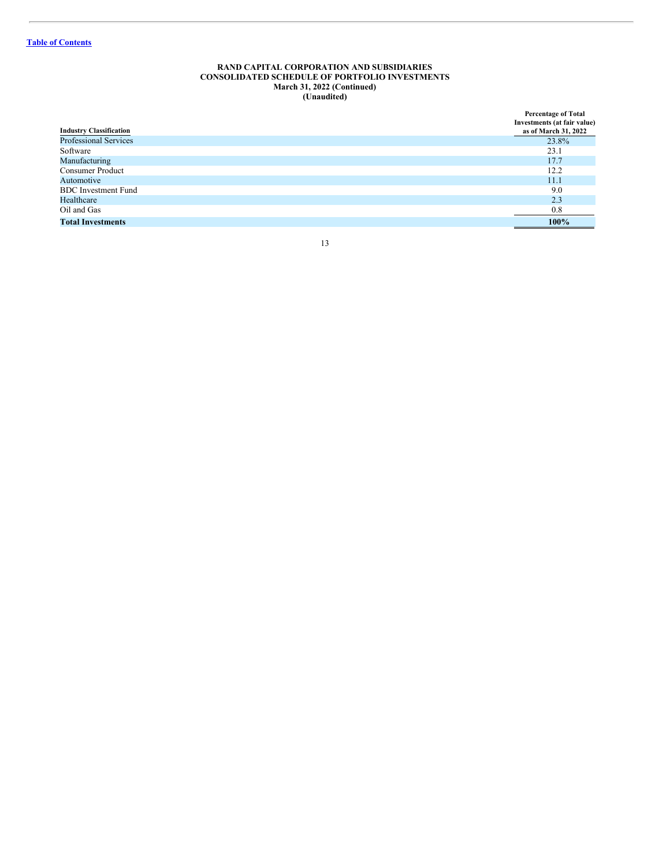| <b>Industry Classification</b> | <b>Percentage of Total</b><br>Investments (at fair value)<br>as of March 31, 2022 |
|--------------------------------|-----------------------------------------------------------------------------------|
| <b>Professional Services</b>   | 23.8%                                                                             |
| Software                       | 23.1                                                                              |
| Manufacturing                  | 17.7                                                                              |
| <b>Consumer Product</b>        | 12.2                                                                              |
| Automotive                     | 11.1                                                                              |
| <b>BDC</b> Investment Fund     | 9.0                                                                               |
| Healthcare                     | 2.3                                                                               |
| Oil and Gas                    | 0.8                                                                               |
| <b>Total Investments</b>       | 100%                                                                              |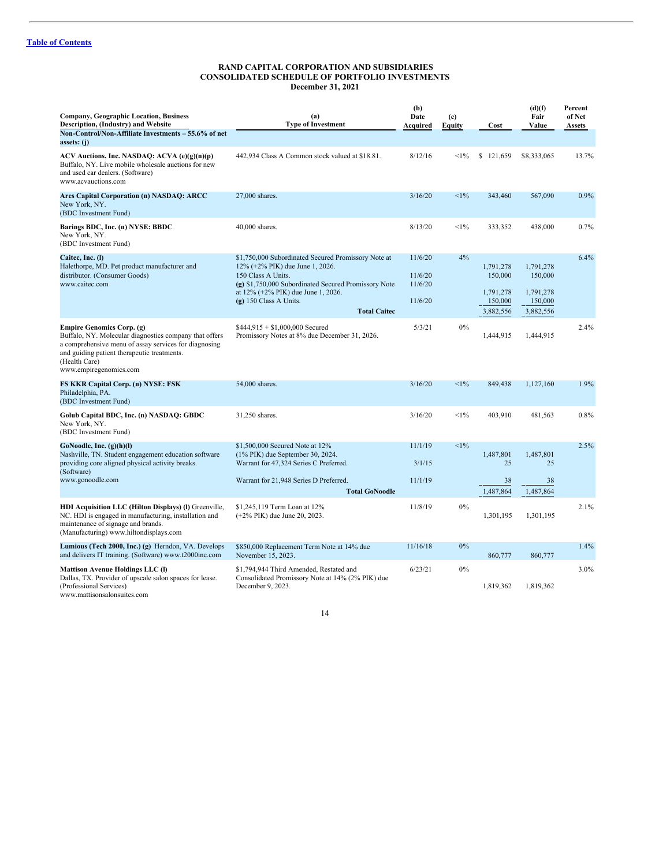<span id="page-16-0"></span>

| <b>Company, Geographic Location, Business</b><br>Description, (Industry) and Website                                                                                                                                                          | (a)<br><b>Type of Investment</b>                                                                                 | (b)<br>Date<br>Acquired | (c)<br><b>Equity</b> | Cost                 | (d)(f)<br>Fair<br>Value | Percent<br>of Net<br><b>Assets</b> |
|-----------------------------------------------------------------------------------------------------------------------------------------------------------------------------------------------------------------------------------------------|------------------------------------------------------------------------------------------------------------------|-------------------------|----------------------|----------------------|-------------------------|------------------------------------|
| Non-Control/Non-Affiliate Investments - 55.6% of net<br>assets: (j)                                                                                                                                                                           |                                                                                                                  |                         |                      |                      |                         |                                    |
| $ACV$ Auctions, Inc. NASDAQ: $ACVA$ (e)(g)(n)(p)<br>Buffalo, NY. Live mobile wholesale auctions for new<br>and used car dealers. (Software)<br>www.acvauctions.com                                                                            | 442,934 Class A Common stock valued at \$18.81.                                                                  | 8/12/16                 | $<1\%$               | \$121,659            | \$8,333,065             | 13.7%                              |
| Ares Capital Corporation (n) NASDAQ: ARCC<br>New York, NY.<br>(BDC Investment Fund)                                                                                                                                                           | 27,000 shares.                                                                                                   | 3/16/20                 | $1\%$                | 343,460              | 567,090                 | $0.9\%$                            |
| Barings BDC, Inc. (n) NYSE: BBDC<br>New York, NY.<br>(BDC Investment Fund)                                                                                                                                                                    | 40,000 shares.                                                                                                   | 8/13/20                 | $<1\%$               | 333,352              | 438,000                 | 0.7%                               |
| Caitec, Inc. (I)                                                                                                                                                                                                                              | \$1,750,000 Subordinated Secured Promissory Note at                                                              | 11/6/20                 | 4%                   |                      |                         | 6.4%                               |
| Halethorpe, MD. Pet product manufacturer and<br>distributor. (Consumer Goods)<br>www.caitec.com                                                                                                                                               | 12% (+2% PIK) due June 1, 2026.<br>150 Class A Units.<br>(g) \$1,750,000 Subordinated Secured Promissory Note    | 11/6/20<br>11/6/20      |                      | 1,791,278<br>150,000 | 1,791,278<br>150,000    |                                    |
|                                                                                                                                                                                                                                               | at 12% (+2% PIK) due June 1, 2026.<br>$(g)$ 150 Class A Units.                                                   | 11/6/20                 |                      | 1,791,278<br>150,000 | 1,791,278<br>150,000    |                                    |
|                                                                                                                                                                                                                                               | <b>Total Caitec</b>                                                                                              |                         |                      | 3,882,556            | 3,882,556               |                                    |
| <b>Empire Genomics Corp. (g)</b><br>Buffalo, NY. Molecular diagnostics company that offers<br>a comprehensive menu of assay services for diagnosing<br>and guiding patient therapeutic treatments.<br>(Health Care)<br>www.empiregenomics.com | $$444,915 + $1,000,000$ Secured<br>Promissory Notes at 8% due December 31, 2026.                                 | 5/3/21                  | $0\%$                | 1,444,915            | 1,444,915               | 2.4%                               |
| FS KKR Capital Corp. (n) NYSE: FSK<br>Philadelphia, PA.<br>(BDC Investment Fund)                                                                                                                                                              | 54,000 shares.                                                                                                   | 3/16/20                 | $<1\%$               | 849,438              | 1,127,160               | 1.9%                               |
| Golub Capital BDC, Inc. (n) NASDAQ: GBDC<br>New York, NY.<br>(BDC Investment Fund)                                                                                                                                                            | 31,250 shares.                                                                                                   | 3/16/20                 | $<1\%$               | 403,910              | 481,563                 | $0.8\%$                            |
| GoNode, Inc. (g)(h)(l)                                                                                                                                                                                                                        | \$1,500,000 Secured Note at 12%                                                                                  | 11/1/19                 | $<1\%$               |                      |                         | 2.5%                               |
| Nashville, TN. Student engagement education software<br>providing core aligned physical activity breaks.<br>(Software)                                                                                                                        | (1% PIK) due September 30, 2024.<br>Warrant for 47,324 Series C Preferred.                                       | 3/1/15                  |                      | 1,487,801<br>25      | 1,487,801<br>25         |                                    |
| www.gonoodle.com                                                                                                                                                                                                                              | Warrant for 21,948 Series D Preferred.                                                                           | 11/1/19                 |                      | 38                   | 38                      |                                    |
|                                                                                                                                                                                                                                               | <b>Total GoNoodle</b>                                                                                            |                         |                      | 1,487,864            | 1,487,864               |                                    |
| HDI Acquisition LLC (Hilton Displays) (I) Greenville,<br>NC. HDI is engaged in manufacturing, installation and<br>maintenance of signage and brands.<br>(Manufacturing) www.hiltondisplays.com                                                | \$1,245,119 Term Loan at 12%<br>(+2% PIK) due June 20, 2023.                                                     | 11/8/19                 | $0\%$                | 1,301,195            | 1,301,195               | 2.1%                               |
| Lumious (Tech 2000, Inc.) (g) Herndon, VA. Develops<br>and delivers IT training. (Software) www.t2000inc.com                                                                                                                                  | \$850,000 Replacement Term Note at 14% due<br>November 15, 2023.                                                 | 11/16/18                | $0\%$                | 860,777              | 860,777                 | 1.4%                               |
| <b>Mattison Avenue Holdings LLC (I)</b><br>Dallas, TX. Provider of upscale salon spaces for lease.<br>(Professional Services)                                                                                                                 | \$1,794,944 Third Amended, Restated and<br>Consolidated Promissory Note at 14% (2% PIK) due<br>December 9, 2023. | 6/23/21                 | $0\%$                | 1,819,362            | 1,819,362               | $3.0\%$                            |
| www.mattisonsalonsuites.com                                                                                                                                                                                                                   |                                                                                                                  |                         |                      |                      |                         |                                    |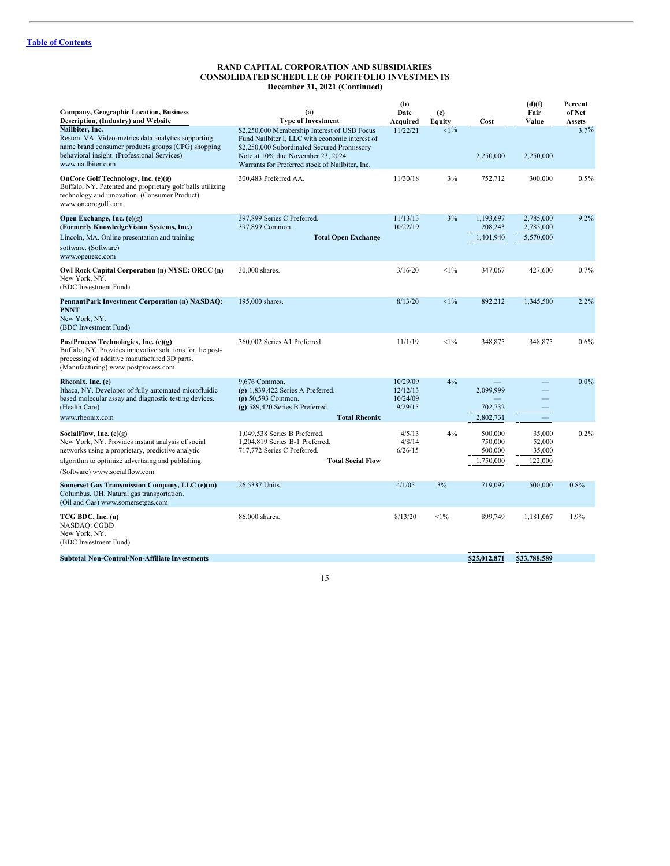| <b>Company, Geographic Location, Business</b><br>Description, (Industry) and Website                                                                                                                                      | (a)<br><b>Type of Investment</b>                                                                                                                                                                                                        | (b)<br>Date<br>Acquired                     | (c)<br><b>Equity</b> | Cost                                       | (d)(f)<br>Fair<br>Value               | Percent<br>of Net<br><b>Assets</b> |
|---------------------------------------------------------------------------------------------------------------------------------------------------------------------------------------------------------------------------|-----------------------------------------------------------------------------------------------------------------------------------------------------------------------------------------------------------------------------------------|---------------------------------------------|----------------------|--------------------------------------------|---------------------------------------|------------------------------------|
| Nailbiter, Inc.<br>Reston, VA. Video-metrics data analytics supporting<br>name brand consumer products groups (CPG) shopping<br>behavioral insight. (Professional Services)<br>www.nailbiter.com                          | \$2,250,000 Membership Interest of USB Focus<br>Fund Nailbiter I, LLC with economic interest of<br>\$2,250,000 Subordinated Secured Promissory<br>Note at 10% due November 23, 2024.<br>Warrants for Preferred stock of Nailbiter, Inc. | 11/22/21                                    | ${<}1\%$             | 2,250,000                                  | 2,250,000                             | 3.7%                               |
| OnCore Golf Technology, Inc. (e)(g)<br>Buffalo, NY. Patented and proprietary golf balls utilizing<br>technology and innovation. (Consumer Product)<br>www.oncoregolf.com                                                  | 300.483 Preferred AA.                                                                                                                                                                                                                   | 11/30/18                                    | 3%                   | 752,712                                    | 300,000                               | 0.5%                               |
| Open Exchange, Inc. (e)(g)<br>(Formerly KnowledgeVision Systems, Inc.)<br>Lincoln, MA. Online presentation and training<br>software. (Software)<br>www.openexc.com                                                        | 397,899 Series C Preferred.<br>397,899 Common.<br><b>Total Open Exchange</b>                                                                                                                                                            | 11/13/13<br>10/22/19                        | 3%                   | 1,193,697<br>208,243<br>1,401,940          | 2,785,000<br>2,785,000<br>5,570,000   | $9.2\%$                            |
| Owl Rock Capital Corporation (n) NYSE: ORCC (n)<br>New York, NY.<br>(BDC Investment Fund)                                                                                                                                 | 30,000 shares.                                                                                                                                                                                                                          | 3/16/20                                     | $<1\%$               | 347,067                                    | 427,600                               | 0.7%                               |
| PennantPark Investment Corporation (n) NASDAQ:<br><b>PNNT</b><br>New York, NY.<br>(BDC Investment Fund)                                                                                                                   | 195,000 shares.                                                                                                                                                                                                                         | 8/13/20                                     | $<1\%$               | 892,212                                    | 1,345,500                             | $2.2\%$                            |
| PostProcess Technologies, Inc. (e)(g)<br>Buffalo, NY. Provides innovative solutions for the post-<br>processing of additive manufactured 3D parts.<br>(Manufacturing) www.postprocess.com                                 | 360,002 Series A1 Preferred.                                                                                                                                                                                                            | 11/1/19                                     | $<1\%$               | 348,875                                    | 348,875                               | $0.6\%$                            |
| Rheonix, Inc. (e)<br>Ithaca, NY. Developer of fully automated microfluidic<br>based molecular assay and diagnostic testing devices.<br>(Health Care)                                                                      | 9.676 Common.<br>$(g)$ 1,839,422 Series A Preferred.<br>$(g)$ 50,593 Common.<br>$(g)$ 589,420 Series B Preferred.                                                                                                                       | 10/29/09<br>12/12/13<br>10/24/09<br>9/29/15 | 4%                   | 2,099,999<br>702,732                       | $\qquad \qquad$                       | $0.0\%$                            |
| www.rheonix.com                                                                                                                                                                                                           | <b>Total Rheonix</b>                                                                                                                                                                                                                    |                                             |                      | 2,802,731                                  |                                       |                                    |
| SocialFlow, Inc. $(e)(g)$<br>New York, NY. Provides instant analysis of social<br>networks using a proprietary, predictive analytic<br>algorithm to optimize advertising and publishing.<br>(Software) www.socialflow.com | 1,049,538 Series B Preferred.<br>1.204.819 Series B-1 Preferred.<br>717,772 Series C Preferred.<br><b>Total Social Flow</b>                                                                                                             | 4/5/13<br>4/8/14<br>6/26/15                 | 4%                   | 500,000<br>750,000<br>500,000<br>1,750,000 | 35,000<br>52,000<br>35,000<br>122,000 | 0.2%                               |
| Somerset Gas Transmission Company, LLC (e)(m)<br>Columbus, OH. Natural gas transportation.<br>(Oil and Gas) www.somersetgas.com                                                                                           | 26.5337 Units.                                                                                                                                                                                                                          | 4/1/05                                      | 3%                   | 719,097                                    | 500,000                               | 0.8%                               |
| TCG BDC, Inc. (n)<br>NASDAQ: CGBD<br>New York, NY.<br>(BDC Investment Fund)                                                                                                                                               | 86,000 shares.                                                                                                                                                                                                                          | 8/13/20                                     | $<1\%$               | 899,749                                    | 1,181,067                             | 1.9%                               |
| <b>Subtotal Non-Control/Non-Affiliate Investments</b>                                                                                                                                                                     |                                                                                                                                                                                                                                         |                                             |                      | \$25,012,871                               | \$33,788,589                          |                                    |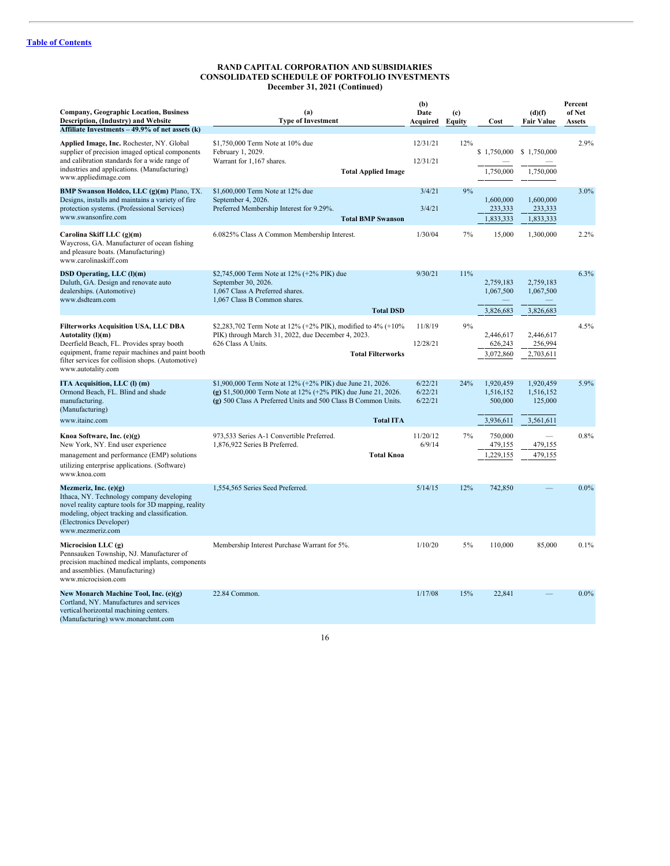| <b>Company, Geographic Location, Business</b><br>Description, (Industry) and Website                                                                                                                                                         | (a)<br><b>Type of Investment</b>                                                                                                                                                               |                            | (b)<br>Date<br>Acquired       | (c)<br><b>Equity</b> | Cost                                           | (d)(f)<br><b>Fair Value</b>                    | Percent<br>of Net<br><b>Assets</b> |
|----------------------------------------------------------------------------------------------------------------------------------------------------------------------------------------------------------------------------------------------|------------------------------------------------------------------------------------------------------------------------------------------------------------------------------------------------|----------------------------|-------------------------------|----------------------|------------------------------------------------|------------------------------------------------|------------------------------------|
| Affiliate Investments - 49.9% of net assets (k)                                                                                                                                                                                              |                                                                                                                                                                                                |                            |                               |                      |                                                |                                                |                                    |
| Applied Image, Inc. Rochester, NY. Global<br>supplier of precision imaged optical components<br>and calibration standards for a wide range of<br>industries and applications. (Manufacturing)<br>www.appliedimage.com                        | \$1,750,000 Term Note at 10% due<br>February 1, 2029.<br>Warrant for 1,167 shares.                                                                                                             | <b>Total Applied Image</b> | 12/31/21<br>12/31/21          | 12%                  | \$1,750,000<br>1,750,000                       | \$1.750,000<br>1,750,000                       | 2.9%                               |
| <b>BMP Swanson Holdco, LLC (g)(m) Plano, TX.</b><br>Designs, installs and maintains a variety of fire<br>protection systems. (Professional Services)<br>www.swansonfire.com                                                                  | \$1,600,000 Term Note at 12% due<br>September 4, 2026.<br>Preferred Membership Interest for 9.29%.                                                                                             | <b>Total BMP Swanson</b>   | 3/4/21<br>3/4/21              | 9%                   | 1,600,000<br>233,333<br>1,833,333              | 1,600,000<br>233,333<br>1,833,333              | 3.0%                               |
| Carolina Skiff LLC (g)(m)<br>Waycross, GA. Manufacturer of ocean fishing<br>and pleasure boats. (Manufacturing)<br>www.carolinaskiff.com                                                                                                     | 6.0825% Class A Common Membership Interest.                                                                                                                                                    |                            | 1/30/04                       | 7%                   | 15,000                                         | 1,300,000                                      | 2.2%                               |
| <b>DSD Operating, LLC (l)(m)</b><br>Duluth, GA. Design and renovate auto<br>dealerships. (Automotive)<br>www.dsdteam.com                                                                                                                     | \$2,745,000 Term Note at 12% (+2% PIK) due<br>September 30, 2026.<br>1,067 Class A Preferred shares.<br>1.067 Class B Common shares.                                                           |                            | 9/30/21                       | 11%                  | 2,759,183<br>1,067,500                         | 2,759,183<br>1,067,500                         | 6.3%                               |
|                                                                                                                                                                                                                                              |                                                                                                                                                                                                | <b>Total DSD</b>           |                               |                      | 3,826,683                                      | 3,826,683                                      |                                    |
| <b>Filterworks Acquisition USA, LLC DBA</b><br>Autotality (I)(m)<br>Deerfield Beach, FL. Provides spray booth<br>equipment, frame repair machines and paint booth<br>filter services for collision shops. (Automotive)<br>www.autotality.com | \$2,283,702 Term Note at 12% (+2% PIK), modified to 4% (+10%)<br>PIK) through March 31, 2022, due December 4, 2023.<br>626 Class A Units.                                                      | <b>Total Filterworks</b>   | 11/8/19<br>12/28/21           | 9%                   | 2,446,617<br>626,243<br>3,072,860              | 2,446,617<br>256,994<br>2,703,611              | 4.5%                               |
| ITA Acquisition, LLC (I) (m)<br>Ormond Beach, FL. Blind and shade<br>manufacturing.<br>(Manufacturing)<br>www.itainc.com                                                                                                                     | \$1,900,000 Term Note at 12% (+2% PIK) due June 21, 2026.<br>(g) \$1,500,000 Term Note at $12\%$ (+2% PIK) due June 21, 2026.<br>(g) 500 Class A Preferred Units and 500 Class B Common Units. | <b>Total ITA</b>           | 6/22/21<br>6/22/21<br>6/22/21 | 24%                  | 1,920,459<br>1,516,152<br>500,000<br>3,936,611 | 1.920.459<br>1,516,152<br>125,000<br>3,561,611 | 5.9%                               |
|                                                                                                                                                                                                                                              |                                                                                                                                                                                                |                            |                               |                      |                                                |                                                |                                    |
| Knoa Software, Inc. (e)(g)<br>New York, NY. End user experience<br>management and performance (EMP) solutions<br>utilizing enterprise applications. (Software)<br>www.knoa.com                                                               | 973,533 Series A-1 Convertible Preferred.<br>1,876,922 Series B Preferred.                                                                                                                     | <b>Total Knoa</b>          | 11/20/12<br>6/9/14            | 7%                   | 750,000<br>479,155<br>1,229,155                | 479,155<br>479,155                             | 0.8%                               |
| Mezmeriz, Inc. (e)(g)<br>Ithaca, NY. Technology company developing<br>novel reality capture tools for 3D mapping, reality<br>modeling, object tracking and classification.<br>(Electronics Developer)<br>www.mezmeriz.com                    | 1,554,565 Series Seed Preferred.                                                                                                                                                               |                            | 5/14/15                       | 12%                  | 742,850                                        |                                                | $0.0\%$                            |
| Microcision LLC (g)<br>Pennsauken Township, NJ. Manufacturer of<br>precision machined medical implants, components<br>and assemblies. (Manufacturing)<br>www.microcision.com                                                                 | Membership Interest Purchase Warrant for 5%.                                                                                                                                                   |                            | 1/10/20                       | $5\%$                | 110,000                                        | 85,000                                         | $0.1\%$                            |
| New Monarch Machine Tool, Inc. (e)(g)<br>Cortland, NY. Manufactures and services<br>vertical/horizontal machining centers.<br>(Manufacturing) www.monarchmt.com                                                                              | 22.84 Common.                                                                                                                                                                                  |                            | 1/17/08                       | 15%                  | 22,841                                         |                                                | $0.0\%$                            |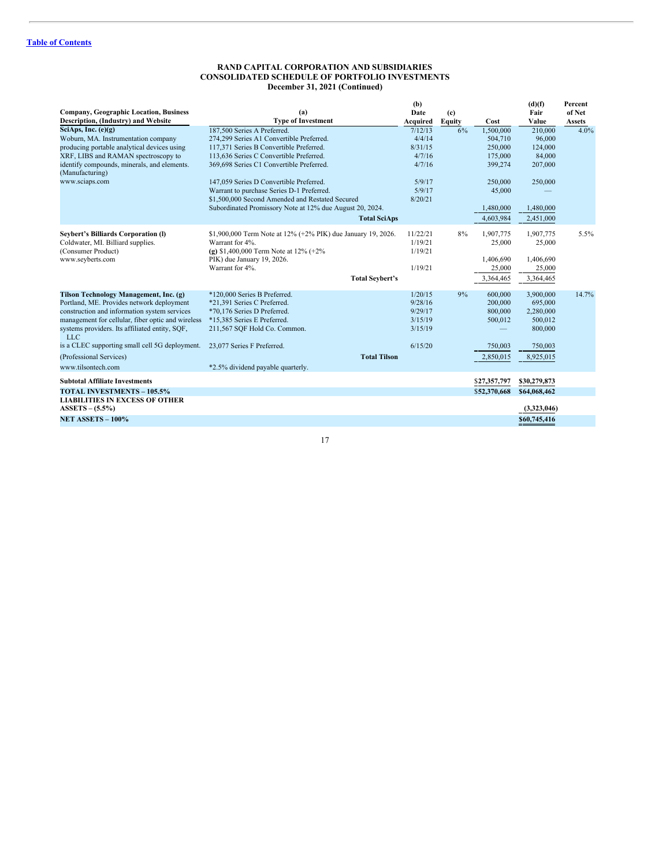|                                                                |                                                              | (b)      |        |              | (d)(f)       | Percent       |
|----------------------------------------------------------------|--------------------------------------------------------------|----------|--------|--------------|--------------|---------------|
| Company, Geographic Location, Business                         | (a)                                                          | Date     | (c)    |              | Fair         | of Net        |
| Description, (Industry) and Website                            | <b>Type of Investment</b>                                    | Acquired | Equity | Cost         | Value        | <b>Assets</b> |
| SciAps, Inc. $(e)(g)$                                          | 187,500 Series A Preferred.                                  | 7/12/13  | 6%     | 1,500,000    | 210,000      | $4.0\%$       |
| Woburn, MA. Instrumentation company                            | 274,299 Series A1 Convertible Preferred.                     | 4/4/14   |        | 504,710      | 96,000       |               |
| producing portable analytical devices using                    | 117,371 Series B Convertible Preferred.                      | 8/31/15  |        | 250,000      | 124,000      |               |
| XRF, LIBS and RAMAN spectroscopy to                            | 113,636 Series C Convertible Preferred.                      | 4/7/16   |        | 175,000      | 84,000       |               |
| identify compounds, minerals, and elements.<br>(Manufacturing) | 369,698 Series C1 Convertible Preferred.                     | 4/7/16   |        | 399,274      | 207,000      |               |
| www.sciaps.com                                                 | 147,059 Series D Convertible Preferred.                      | 5/9/17   |        | 250,000      | 250,000      |               |
|                                                                | Warrant to purchase Series D-1 Preferred.                    | 5/9/17   |        | 45,000       |              |               |
|                                                                | \$1,500,000 Second Amended and Restated Secured              | 8/20/21  |        |              |              |               |
|                                                                | Subordinated Promissory Note at 12% due August 20, 2024.     |          |        | 1,480,000    | 1,480,000    |               |
|                                                                | <b>Total SciAps</b>                                          |          |        | 4,603,984    | 2,451,000    |               |
| Seybert's Billiards Corporation (I)                            | \$1,900,000 Term Note at 12% (+2% PIK) due January 19, 2026. | 11/22/21 | 8%     | 1,907,775    | 1,907,775    | 5.5%          |
| Coldwater, MI. Billiard supplies.                              | Warrant for 4%.                                              | 1/19/21  |        | 25,000       | 25,000       |               |
| (Consumer Product)                                             | (g) \$1,400,000 Term Note at $12\%$ (+2%)                    | 1/19/21  |        |              |              |               |
| www.seyberts.com                                               | PIK) due January 19, 2026.                                   |          |        | 1,406,690    | 1,406,690    |               |
|                                                                | Warrant for 4%.                                              | 1/19/21  |        | 25,000       | 25,000       |               |
|                                                                | <b>Total Seybert's</b>                                       |          |        | 3,364,465    | 3,364,465    |               |
| Tilson Technology Management, Inc. (g)                         | *120,000 Series B Preferred.                                 | 1/20/15  | 9%     | 600,000      | 3,900,000    | 14.7%         |
| Portland, ME. Provides network deployment                      | *21,391 Series C Preferred.                                  | 9/28/16  |        | 200,000      | 695,000      |               |
| construction and information system services                   | *70.176 Series D Preferred.                                  | 9/29/17  |        | 800,000      | 2,280,000    |               |
| management for cellular, fiber optic and wireless              | *15,385 Series E Preferred.                                  | 3/15/19  |        | 500,012      | 500,012      |               |
| systems providers. Its affiliated entity, SQF,<br><b>LLC</b>   | 211,567 SQF Hold Co. Common.                                 | 3/15/19  |        |              | 800,000      |               |
| is a CLEC supporting small cell 5G deployment.                 | 23,077 Series F Preferred.                                   | 6/15/20  |        | 750,003      | 750,003      |               |
| (Professional Services)                                        | <b>Total Tilson</b>                                          |          |        | 2,850,015    | 8,925,015    |               |
| www.tilsontech.com                                             | *2.5% dividend payable quarterly.                            |          |        |              |              |               |
| <b>Subtotal Affiliate Investments</b>                          |                                                              |          |        | \$27,357,797 | \$30,279,873 |               |
| <b>TOTAL INVESTMENTS - 105.5%</b>                              |                                                              |          |        | \$52,370,668 | \$64,068,462 |               |
| <b>LIABILITIES IN EXCESS OF OTHER</b><br>$ASSETS - (5.5%)$     |                                                              |          |        |              | (3,323,046)  |               |
| <b>NET ASSETS - 100%</b>                                       |                                                              |          |        |              | \$60,745,416 |               |
|                                                                |                                                              |          |        |              |              |               |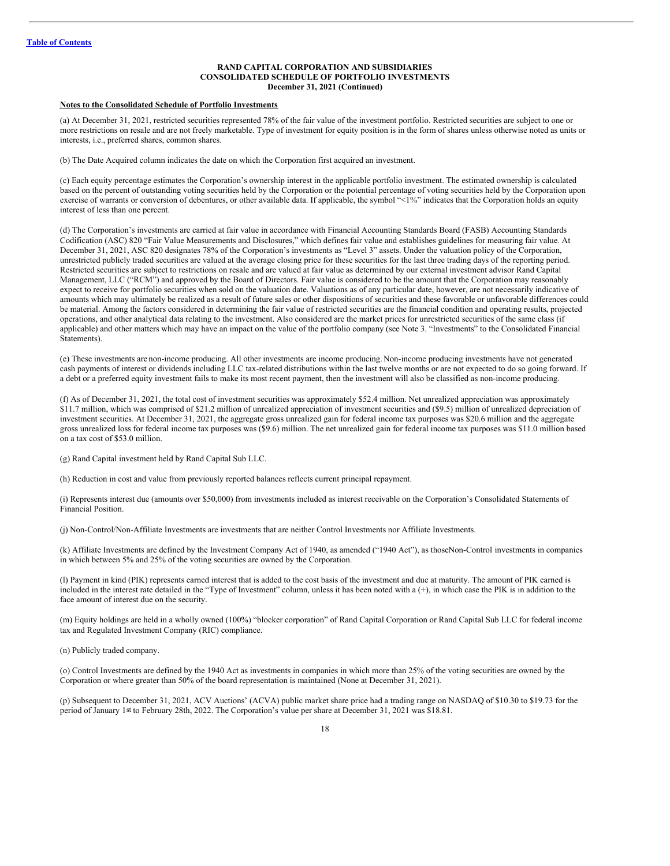#### **Notes to the Consolidated Schedule of Portfolio Investments**

(a) At December 31, 2021, restricted securities represented 78% of the fair value of the investment portfolio. Restricted securities are subject to one or more restrictions on resale and are not freely marketable. Type of investment for equity position is in the form of shares unless otherwise noted as units or interests, i.e., preferred shares, common shares.

(b) The Date Acquired column indicates the date on which the Corporation first acquired an investment.

(c) Each equity percentage estimates the Corporation's ownership interest in the applicable portfolio investment. The estimated ownership is calculated based on the percent of outstanding voting securities held by the Corporation or the potential percentage of voting securities held by the Corporation upon exercise of warrants or conversion of debentures, or other available data. If applicable, the symbol "<1%" indicates that the Corporation holds an equity interest of less than one percent.

(d) The Corporation's investments are carried at fair value in accordance with Financial Accounting Standards Board (FASB) Accounting Standards Codification (ASC) 820 "Fair Value Measurements and Disclosures," which defines fair value and establishes guidelines for measuring fair value. At December 31, 2021, ASC 820 designates 78% of the Corporation's investments as "Level 3" assets. Under the valuation policy of the Corporation, unrestricted publicly traded securities are valued at the average closing price for these securities for the last three trading days of the reporting period. Restricted securities are subject to restrictions on resale and are valued at fair value as determined by our external investment advisor Rand Capital Management, LLC ("RCM") and approved by the Board of Directors. Fair value is considered to be the amount that the Corporation may reasonably expect to receive for portfolio securities when sold on the valuation date. Valuations as of any particular date, however, are not necessarily indicative of amounts which may ultimately be realized as a result of future sales or other dispositions of securities and these favorable or unfavorable differences could be material. Among the factors considered in determining the fair value of restricted securities are the financial condition and operating results, projected operations, and other analytical data relating to the investment. Also considered are the market prices for unrestricted securities of the same class (if applicable) and other matters which may have an impact on the value of the portfolio company (see Note 3. "Investments" to the Consolidated Financial Statements).

(e) These investments are non-income producing. All other investments are income producing. Non-income producing investments have not generated cash payments of interest or dividends including LLC tax-related distributions within the last twelve months or are not expected to do so going forward. If a debt or a preferred equity investment fails to make its most recent payment, then the investment will also be classified as non-income producing.

(f) As of December 31, 2021, the total cost of investment securities was approximately \$52.4 million. Net unrealized appreciation was approximately \$11.7 million, which was comprised of \$21.2 million of unrealized appreciation of investment securities and (\$9.5) million of unrealized depreciation of investment securities. At December 31, 2021, the aggregate gross unrealized gain for federal income tax purposes was \$20.6 million and the aggregate gross unrealized loss for federal income tax purposes was (\$9.6) million. The net unrealized gain for federal income tax purposes was \$11.0 million based on a tax cost of \$53.0 million.

(g) Rand Capital investment held by Rand Capital Sub LLC.

(h) Reduction in cost and value from previously reported balances reflects current principal repayment.

(i) Represents interest due (amounts over \$50,000) from investments included as interest receivable on the Corporation's Consolidated Statements of Financial Position.

(j) Non-Control/Non-Affiliate Investments are investments that are neither Control Investments nor Affiliate Investments.

(k) Affiliate Investments are defined by the Investment Company Act of 1940, as amended ("1940 Act"), as thoseNon-Control investments in companies in which between 5% and 25% of the voting securities are owned by the Corporation.

(l) Payment in kind (PIK) represents earned interest that is added to the cost basis of the investment and due at maturity. The amount of PIK earned is included in the interest rate detailed in the "Type of Investment" column, unless it has been noted with a (+), in which case the PIK is in addition to the face amount of interest due on the security.

(m) Equity holdings are held in a wholly owned (100%) "blocker corporation" of Rand Capital Corporation or Rand Capital Sub LLC for federal income tax and Regulated Investment Company (RIC) compliance.

(n) Publicly traded company.

(o) Control Investments are defined by the 1940 Act as investments in companies in which more than 25% of the voting securities are owned by the Corporation or where greater than 50% of the board representation is maintained (None at December 31, 2021).

(p) Subsequent to December 31, 2021, ACV Auctions' (ACVA) public market share price had a trading range on NASDAQ of \$10.30 to \$19.73 for the period of January 1st to February 28th, 2022. The Corporation's value per share at December 31, 2021 was \$18.81.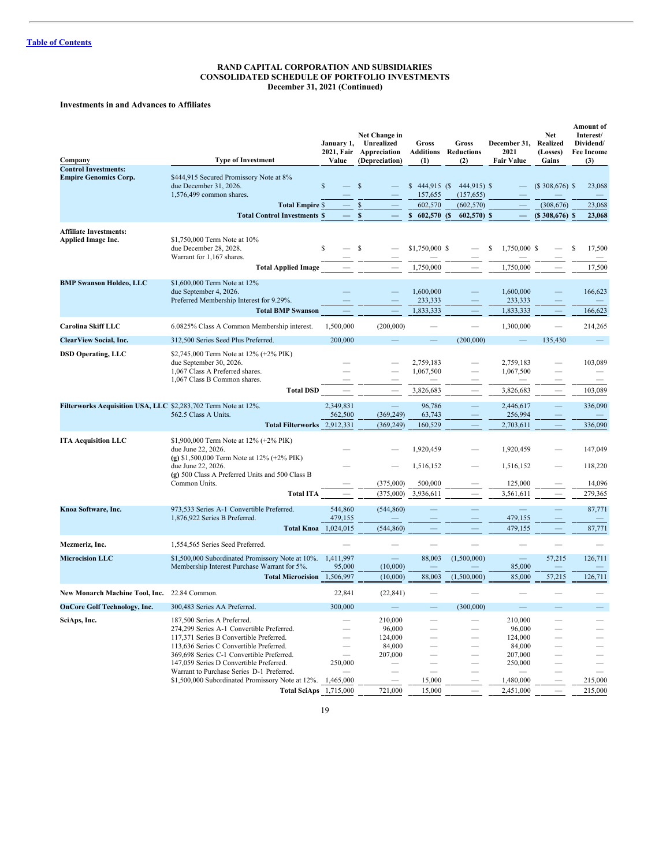## **Investments in and Advances to Affiliates**

| Company                                                        | <b>Type of Investment</b>                                                                                                                                                                                   | January 1,<br>2021, Fair<br>Value | Net Change in<br>Unrealized<br>Appreciation<br>(Depreciation) | Gross<br><b>Additions</b><br>(1) | Gross<br><b>Reductions</b><br>(2) | December 31, Realized<br>2021<br><b>Fair Value</b> | <b>Net</b><br>(Losses)<br>Gains | <b>Amount</b> of<br>Interest/<br>Dividend/<br><b>Fee Income</b><br>(3) |
|----------------------------------------------------------------|-------------------------------------------------------------------------------------------------------------------------------------------------------------------------------------------------------------|-----------------------------------|---------------------------------------------------------------|----------------------------------|-----------------------------------|----------------------------------------------------|---------------------------------|------------------------------------------------------------------------|
| <b>Control Investments:</b>                                    |                                                                                                                                                                                                             |                                   |                                                               |                                  |                                   |                                                    |                                 |                                                                        |
| <b>Empire Genomics Corp.</b>                                   | \$444,915 Secured Promissory Note at 8%<br>due December 31, 2026.<br>1,576,499 common shares.                                                                                                               | \$                                | \$                                                            | $$444,915$ (\$<br>157,655        | $444,915$ ) \$<br>(157, 655)      |                                                    | $($308,676)$ \,                 | 23,068                                                                 |
|                                                                | <b>Total Empire \$</b>                                                                                                                                                                                      |                                   | \$                                                            | 602,570                          | (602, 570)                        |                                                    | (308, 676)                      | 23,068                                                                 |
|                                                                | <b>Total Control Investments \$</b>                                                                                                                                                                         |                                   | \$                                                            | 602,570                          | 602,570) \$<br>(S                 |                                                    | $($ \$308,676 $)$               | 23,068                                                                 |
| <b>Affiliate Investments:</b><br>Applied Image Inc.            | \$1,750,000 Term Note at 10%<br>due December 28, 2028.<br>Warrant for 1,167 shares.<br><b>Total Applied Image</b>                                                                                           |                                   | S                                                             | \$1,750,000 \$<br>1,750,000      |                                   | \$<br>1,750,000 \$<br>1,750,000                    |                                 | 17,500<br>17,500                                                       |
| <b>BMP Swanson Holdco, LLC</b>                                 | \$1,600,000 Term Note at 12%                                                                                                                                                                                |                                   |                                                               |                                  |                                   |                                                    |                                 |                                                                        |
|                                                                | due September 4, 2026.<br>Preferred Membership Interest for 9.29%.                                                                                                                                          |                                   |                                                               | 1,600,000<br>233,333             |                                   | 1,600,000<br>233,333                               |                                 | 166,623                                                                |
|                                                                | <b>Total BMP Swanson</b>                                                                                                                                                                                    |                                   |                                                               | 1,833,333                        |                                   | 1,833,333                                          |                                 | 166,623                                                                |
| Carolina Skiff LLC                                             | 6.0825% Class A Common Membership interest.                                                                                                                                                                 | 1,500,000                         | (200,000)                                                     |                                  |                                   | 1,300,000                                          |                                 | 214,265                                                                |
| <b>ClearView Social, Inc.</b>                                  | 312,500 Series Seed Plus Preferred.                                                                                                                                                                         | 200,000                           |                                                               |                                  | (200,000)                         |                                                    | 135,430                         |                                                                        |
| <b>DSD Operating, LLC</b>                                      | \$2,745,000 Term Note at 12% (+2% PIK)<br>due September 30, 2026.<br>1,067 Class A Preferred shares.<br>1,067 Class B Common shares.                                                                        |                                   |                                                               | 2,759,183<br>1,067,500           |                                   | 2,759,183<br>1,067,500                             |                                 | 103,089                                                                |
|                                                                | <b>Total DSD</b>                                                                                                                                                                                            |                                   |                                                               | 3,826,683                        |                                   | 3,826,683                                          | $\qquad \qquad$                 | 103,089                                                                |
| Filterworks Acquisition USA, LLC \$2,283,702 Term Note at 12%. |                                                                                                                                                                                                             | 2,349,831                         |                                                               | 96,786                           |                                   |                                                    |                                 |                                                                        |
|                                                                | 562.5 Class A Units.                                                                                                                                                                                        | 562,500                           | (369, 249)                                                    | 63,743                           |                                   | 2,446,617<br>256,994                               |                                 | 336,090                                                                |
|                                                                | Total Filterworks 2,912,331                                                                                                                                                                                 |                                   | (369, 249)                                                    | 160,529                          |                                   | 2,703,611                                          |                                 | 336,090                                                                |
| <b>ITA Acquisition LLC</b>                                     | \$1,900,000 Term Note at 12% (+2% PIK)<br>due June 22, 2026.<br>(g) \$1,500,000 Term Note at 12% (+2% PIK)<br>due June 22, 2026.<br>(g) 500 Class A Preferred Units and 500 Class B                         |                                   |                                                               | 1,920,459<br>1,516,152           |                                   | 1,920,459<br>1,516,152                             |                                 | 147,049<br>118,220                                                     |
|                                                                | Common Units.                                                                                                                                                                                               |                                   | (375,000)                                                     | 500,000                          |                                   | 125,000                                            |                                 | 14,096                                                                 |
|                                                                | <b>Total ITA</b>                                                                                                                                                                                            |                                   | (375,000)                                                     | 3,936,611                        |                                   | 3,561,611                                          |                                 | 279,365                                                                |
| Knoa Software, Inc.                                            | 973,533 Series A-1 Convertible Preferred.<br>1,876,922 Series B Preferred.                                                                                                                                  | 544,860<br>479,155                | (544, 860)                                                    |                                  |                                   | 479,155                                            |                                 | 87,771<br>$\overline{\phantom{m}}$                                     |
|                                                                | <b>Total Knoa</b>                                                                                                                                                                                           | 1,024,015                         | (544, 860)                                                    |                                  |                                   | 479,155                                            |                                 | 87,771                                                                 |
| Mezmeriz, Inc.                                                 | 1,554,565 Series Seed Preferred.                                                                                                                                                                            |                                   |                                                               |                                  |                                   |                                                    | $\overline{\phantom{m}}$        |                                                                        |
| <b>Microcision LLC</b>                                         | \$1,500,000 Subordinated Promissory Note at 10%.                                                                                                                                                            | 1,411,997                         | $\overline{\phantom{0}}$                                      | 88,003                           | (1,500,000)                       | $\overline{\phantom{0}}$                           | 57,215                          | 126,711                                                                |
|                                                                | Membership Interest Purchase Warrant for 5%.<br>Total Microcision 1,506,997                                                                                                                                 | 95,000                            | (10,000)<br>(10,000)                                          | 88,003                           | (1,500,000)                       | 85,000<br>85,000                                   | 57,215                          | 126,711                                                                |
| New Monarch Machine Tool, Inc.                                 | 22.84 Common.                                                                                                                                                                                               | 22,841                            | (22, 841)                                                     |                                  |                                   |                                                    |                                 |                                                                        |
| <b>OnCore Golf Technology, Inc.</b>                            | 300,483 Series AA Preferred.                                                                                                                                                                                | 300,000                           |                                                               |                                  | (300,000)                         |                                                    |                                 |                                                                        |
| SciAps, Inc.                                                   | 187,500 Series A Preferred.<br>274,299 Series A-1 Convertible Preferred.<br>117,371 Series B Convertible Preferred.<br>113,636 Series C Convertible Preferred.<br>369,698 Series C-1 Convertible Preferred. | -<br>$\overline{\phantom{0}}$     | 210,000<br>96,000<br>124,000<br>84,000<br>207,000             |                                  |                                   | 210,000<br>96,000<br>124,000<br>84,000<br>207,000  |                                 |                                                                        |
|                                                                | 147,059 Series D Convertible Preferred.                                                                                                                                                                     | 250,000                           |                                                               | $\overline{\phantom{0}}$         |                                   | 250,000                                            |                                 | $\overbrace{\qquad \qquad }^{}$                                        |
|                                                                | Warrant to Purchase Series D-1 Preferred.                                                                                                                                                                   |                                   |                                                               |                                  |                                   |                                                    |                                 |                                                                        |
|                                                                | \$1,500,000 Subordinated Promissory Note at 12%. 1,465,000<br>Total SciAps 1,715,000                                                                                                                        |                                   | 721,000                                                       | 15,000<br>15,000                 |                                   | 1,480,000<br>2,451,000                             |                                 | 215,000<br>215,000                                                     |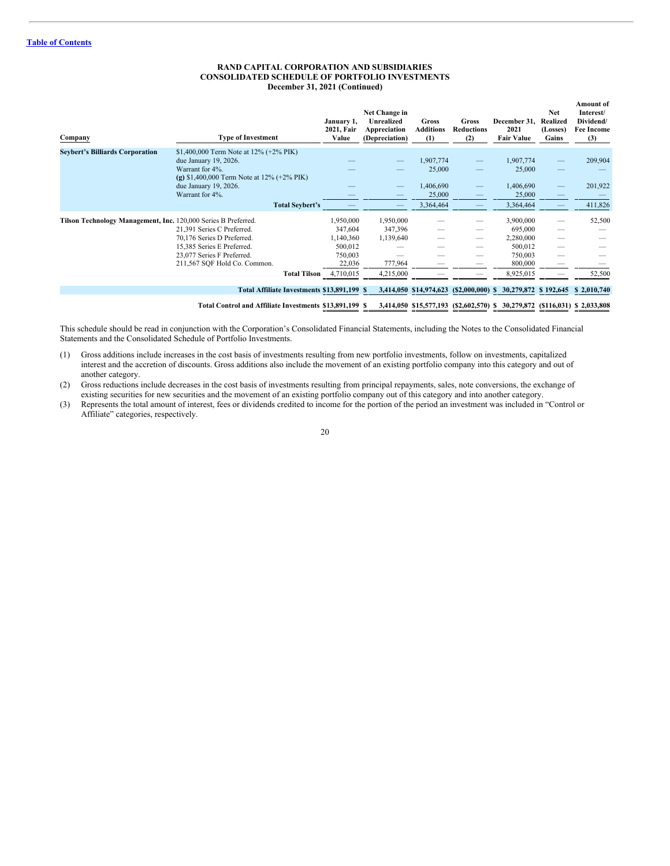| Company                                                        | <b>Type of Investment</b>                               |                        | January 1,<br>2021, Fair<br>Value | Net Change in<br><b>Unrealized</b><br>Appreciation<br>(Depreciation) | Gross<br>Additions<br>(1) | Gross<br><b>Reductions</b><br>(2) | December 31,<br>2021<br><b>Fair Value</b>                                   | <b>Net</b><br><b>Realized</b><br>(Losses)<br>Gains | <b>Amount of</b><br>Interest/<br>Dividend/<br><b>Fee Income</b><br>(3) |
|----------------------------------------------------------------|---------------------------------------------------------|------------------------|-----------------------------------|----------------------------------------------------------------------|---------------------------|-----------------------------------|-----------------------------------------------------------------------------|----------------------------------------------------|------------------------------------------------------------------------|
| <b>Seybert's Billiards Corporation</b>                         | \$1,400,000 Term Note at 12% (+2% PIK)                  |                        |                                   |                                                                      |                           |                                   |                                                                             |                                                    |                                                                        |
|                                                                | due January 19, 2026.<br>Warrant for 4%.                |                        |                                   |                                                                      | 1,907,774                 |                                   | 1,907,774                                                                   |                                                    | 209,904                                                                |
|                                                                | (g) \$1,400,000 Term Note at 12% (+2% PIK)              |                        |                                   |                                                                      | 25,000                    |                                   | 25,000                                                                      |                                                    |                                                                        |
|                                                                | due January 19, 2026.                                   |                        |                                   |                                                                      | 1,406,690                 |                                   | 1,406,690                                                                   |                                                    | 201,922                                                                |
|                                                                | Warrant for 4%.                                         |                        |                                   |                                                                      | 25,000                    |                                   | 25,000                                                                      |                                                    |                                                                        |
|                                                                |                                                         | <b>Total Seybert's</b> |                                   |                                                                      | 3,364,464                 |                                   | 3,364,464                                                                   |                                                    | 411,826                                                                |
| Tilson Technology Management, Inc. 120,000 Series B Preferred. |                                                         |                        | 1,950,000                         | 1,950,000                                                            |                           |                                   | 3,900,000                                                                   |                                                    | 52,500                                                                 |
|                                                                | 21,391 Series C Preferred.                              |                        | 347,604                           | 347,396                                                              |                           |                                   | 695,000                                                                     |                                                    |                                                                        |
|                                                                | 70,176 Series D Preferred.                              |                        | 1,140,360                         | 1,139,640                                                            |                           |                                   | 2,280,000                                                                   |                                                    |                                                                        |
|                                                                | 15,385 Series E Preferred.                              |                        | 500,012                           |                                                                      |                           |                                   | 500,012                                                                     | —                                                  |                                                                        |
|                                                                | 23,077 Series F Preferred.                              |                        | 750,003                           |                                                                      |                           |                                   | 750,003                                                                     |                                                    |                                                                        |
|                                                                | 211,567 SQF Hold Co. Common.                            |                        | 22,036                            | 777,964                                                              |                           |                                   | 800,000                                                                     | _                                                  |                                                                        |
|                                                                |                                                         | <b>Total Tilson</b>    | 4,710,015                         | 4,215,000                                                            |                           |                                   | 8,925,015                                                                   |                                                    | 52,500                                                                 |
|                                                                | Total Affiliate Investments \$13,891,199 \$             |                        |                                   |                                                                      | 3,414,050 \$14,974,623    | $(S2,000,000)$ S                  | 30,279,872 \$192,645                                                        |                                                    | \$2,010,740                                                            |
|                                                                | Total Control and Affiliate Investments \$13,891,199 \$ |                        |                                   |                                                                      |                           |                                   | 3,414,050 \$15,577,193 (\$2,602,570) \$ 30,279,872 (\$116,031) \$ 2,033,808 |                                                    |                                                                        |

This schedule should be read in conjunction with the Corporation's Consolidated Financial Statements, including the Notes to the Consolidated Financial Statements and the Consolidated Schedule of Portfolio Investments.

- (1) Gross additions include increases in the cost basis of investments resulting from new portfolio investments, follow on investments, capitalized interest and the accretion of discounts. Gross additions also include the movement of an existing portfolio company into this category and out of another category.
- (2) Gross reductions include decreases in the cost basis of investments resulting from principal repayments, sales, note conversions, the exchange of existing securities for new securities and the movement of an existing portfolio company out of this category and into another category.
- (3) Represents the total amount of interest, fees or dividends credited to income for the portion of the period an investment was included in "Control or Affiliate" categories, respectively.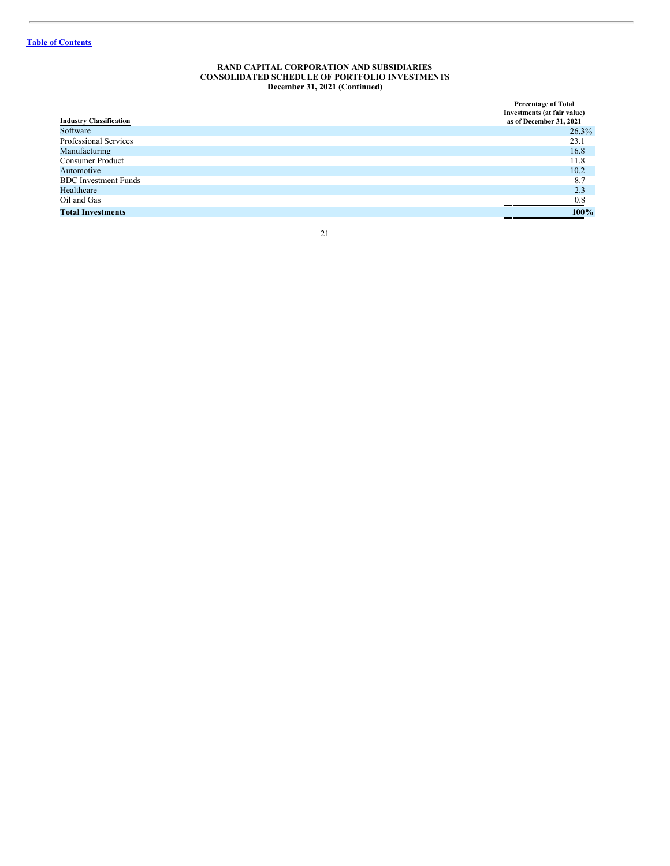|                                | <b>Percentage of Total</b>  |  |  |  |  |
|--------------------------------|-----------------------------|--|--|--|--|
|                                | Investments (at fair value) |  |  |  |  |
| <b>Industry Classification</b> | as of December 31, 2021     |  |  |  |  |
| Software                       | 26.3%                       |  |  |  |  |
| <b>Professional Services</b>   | 23.1                        |  |  |  |  |
| Manufacturing                  | 16.8                        |  |  |  |  |
| <b>Consumer Product</b>        | 11.8                        |  |  |  |  |
| Automotive                     | 10.2                        |  |  |  |  |
| <b>BDC</b> Investment Funds    | 8.7                         |  |  |  |  |
| Healthcare                     | 2.3                         |  |  |  |  |
| Oil and Gas                    | 0.8                         |  |  |  |  |
| <b>Total Investments</b>       | $100\%$                     |  |  |  |  |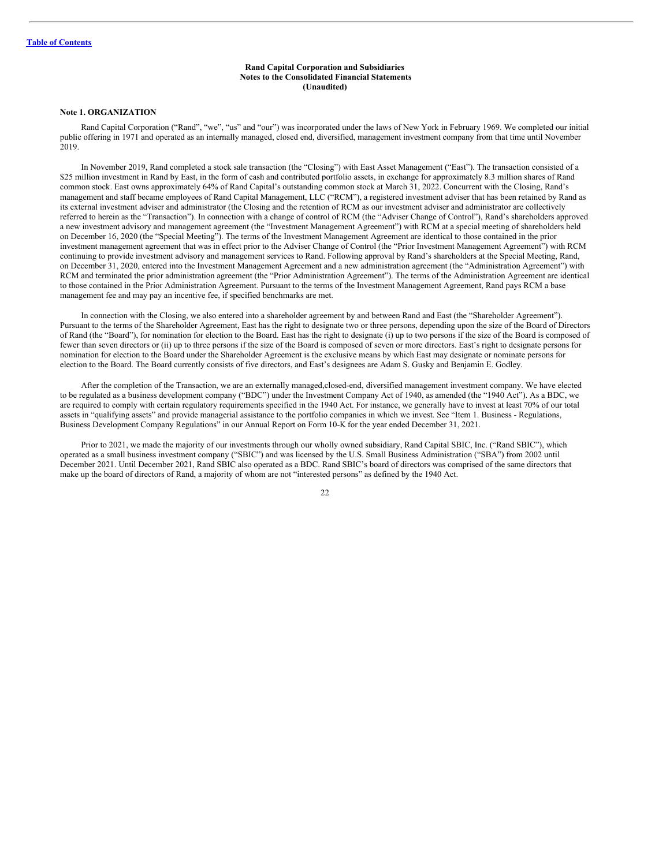#### <span id="page-24-0"></span>**Rand Capital Corporation and Subsidiaries Notes to the Consolidated Financial Statements (Unaudited)**

#### **Note 1. ORGANIZATION**

Rand Capital Corporation ("Rand", "we", "us" and "our") was incorporated under the laws of New York in February 1969. We completed our initial public offering in 1971 and operated as an internally managed, closed end, diversified, management investment company from that time until November 2019.

In November 2019, Rand completed a stock sale transaction (the "Closing") with East Asset Management ("East"). The transaction consisted of a \$25 million investment in Rand by East, in the form of cash and contributed portfolio assets, in exchange for approximately 8.3 million shares of Rand common stock. East owns approximately 64% of Rand Capital's outstanding common stock at March 31, 2022. Concurrent with the Closing, Rand's management and staff became employees of Rand Capital Management, LLC ("RCM"), a registered investment adviser that has been retained by Rand as its external investment adviser and administrator (the Closing and the retention of RCM as our investment adviser and administrator are collectively referred to herein as the "Transaction"). In connection with a change of control of RCM (the "Adviser Change of Control"), Rand's shareholders approved a new investment advisory and management agreement (the "Investment Management Agreement") with RCM at a special meeting of shareholders held on December 16, 2020 (the "Special Meeting"). The terms of the Investment Management Agreement are identical to those contained in the prior investment management agreement that was in effect prior to the Adviser Change of Control (the "Prior Investment Management Agreement") with RCM continuing to provide investment advisory and management services to Rand. Following approval by Rand's shareholders at the Special Meeting, Rand, on December 31, 2020, entered into the Investment Management Agreement and a new administration agreement (the "Administration Agreement") with RCM and terminated the prior administration agreement (the "Prior Administration Agreement"). The terms of the Administration Agreement are identical to those contained in the Prior Administration Agreement. Pursuant to the terms of the Investment Management Agreement, Rand pays RCM a base management fee and may pay an incentive fee, if specified benchmarks are met.

In connection with the Closing, we also entered into a shareholder agreement by and between Rand and East (the "Shareholder Agreement"). Pursuant to the terms of the Shareholder Agreement, East has the right to designate two or three persons, depending upon the size of the Board of Directors of Rand (the "Board"), for nomination for election to the Board. East has the right to designate (i) up to two persons if the size of the Board is composed of fewer than seven directors or (ii) up to three persons if the size of the Board is composed of seven or more directors. East's right to designate persons for nomination for election to the Board under the Shareholder Agreement is the exclusive means by which East may designate or nominate persons for election to the Board. The Board currently consists of five directors, and East's designees are Adam S. Gusky and Benjamin E. Godley.

After the completion of the Transaction, we are an externally managed,closed-end, diversified management investment company. We have elected to be regulated as a business development company ("BDC") under the Investment Company Act of 1940, as amended (the "1940 Act"). As a BDC, we are required to comply with certain regulatory requirements specified in the 1940 Act. For instance, we generally have to invest at least 70% of our total assets in "qualifying assets" and provide managerial assistance to the portfolio companies in which we invest. See "Item 1. Business - Regulations, Business Development Company Regulations" in our Annual Report on Form 10-K for the year ended December 31, 2021.

Prior to 2021, we made the majority of our investments through our wholly owned subsidiary, Rand Capital SBIC, Inc. ("Rand SBIC"), which operated as a small business investment company ("SBIC") and was licensed by the U.S. Small Business Administration ("SBA") from 2002 until December 2021. Until December 2021, Rand SBIC also operated as a BDC. Rand SBIC's board of directors was comprised of the same directors that make up the board of directors of Rand, a majority of whom are not "interested persons" as defined by the 1940 Act.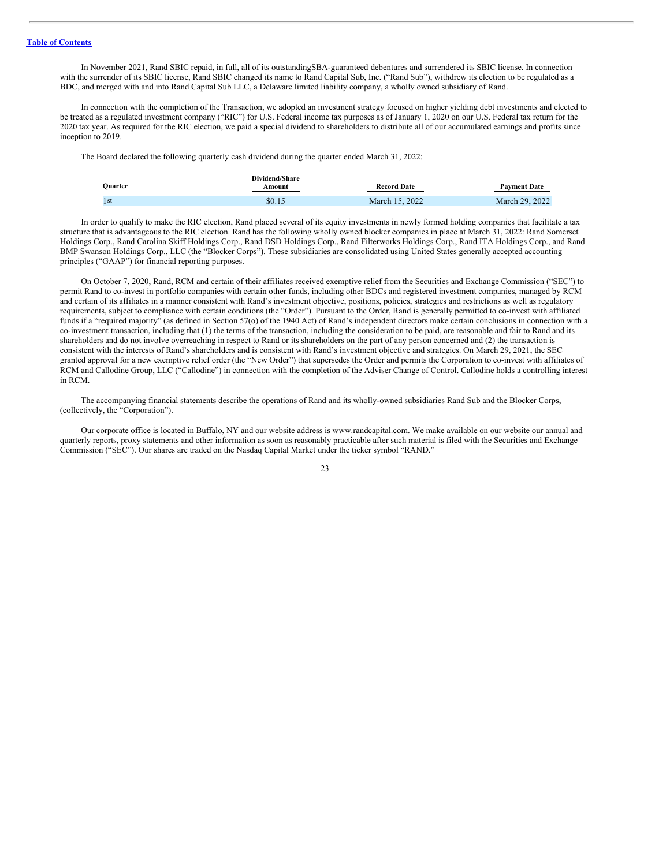In November 2021, Rand SBIC repaid, in full, all of its outstandingSBA-guaranteed debentures and surrendered its SBIC license. In connection with the surrender of its SBIC license, Rand SBIC changed its name to Rand Capital Sub, Inc. ("Rand Sub"), withdrew its election to be regulated as a BDC, and merged with and into Rand Capital Sub LLC, a Delaware limited liability company, a wholly owned subsidiary of Rand.

In connection with the completion of the Transaction, we adopted an investment strategy focused on higher yielding debt investments and elected to be treated as a regulated investment company ("RIC") for U.S. Federal income tax purposes as of January 1, 2020 on our U.S. Federal tax return for the 2020 tax year. As required for the RIC election, we paid a special dividend to shareholders to distribute all of our accumulated earnings and profits since inception to 2019.

The Board declared the following quarterly cash dividend during the quarter ended March 31, 2022:

|                                                                                                                                 | Dividend/Share |                    |                     |
|---------------------------------------------------------------------------------------------------------------------------------|----------------|--------------------|---------------------|
| Quarter<br><u> 1989 - 1991 - 1992 - 1993 - 1994 - 1994 - 1994 - 1994 - 1994 - 1994 - 1994 - 1994 - 1994 - 1994 - 1994 - 199</u> | Amount         | <b>Record Date</b> | <b>Payment Date</b> |
| 1 <sub>st</sub>                                                                                                                 | \$0.15         | March 15, 2022     | March 29, 2022      |

In order to qualify to make the RIC election, Rand placed several of its equity investments in newly formed holding companies that facilitate a tax structure that is advantageous to the RIC election. Rand has the following wholly owned blocker companies in place at March 31, 2022: Rand Somerset Holdings Corp., Rand Carolina Skiff Holdings Corp., Rand DSD Holdings Corp., Rand Filterworks Holdings Corp., Rand ITA Holdings Corp., and Rand BMP Swanson Holdings Corp., LLC (the "Blocker Corps"). These subsidiaries are consolidated using United States generally accepted accounting principles ("GAAP") for financial reporting purposes.

On October 7, 2020, Rand, RCM and certain of their affiliates received exemptive relief from the Securities and Exchange Commission ("SEC") to permit Rand to co-invest in portfolio companies with certain other funds, including other BDCs and registered investment companies, managed by RCM and certain of its affiliates in a manner consistent with Rand's investment objective, positions, policies, strategies and restrictions as well as regulatory requirements, subject to compliance with certain conditions (the "Order"). Pursuant to the Order, Rand is generally permitted to co-invest with affiliated funds if a "required majority" (as defined in Section 57(o) of the 1940 Act) of Rand's independent directors make certain conclusions in connection with a co-investment transaction, including that (1) the terms of the transaction, including the consideration to be paid, are reasonable and fair to Rand and its shareholders and do not involve overreaching in respect to Rand or its shareholders on the part of any person concerned and (2) the transaction is consistent with the interests of Rand's shareholders and is consistent with Rand's investment objective and strategies. On March 29, 2021, the SEC granted approval for a new exemptive relief order (the "New Order") that supersedes the Order and permits the Corporation to co-invest with affiliates of RCM and Callodine Group, LLC ("Callodine") in connection with the completion of the Adviser Change of Control. Callodine holds a controlling interest in RCM.

The accompanying financial statements describe the operations of Rand and its wholly-owned subsidiaries Rand Sub and the Blocker Corps, (collectively, the "Corporation").

Our corporate office is located in Buffalo, NY and our website address is www.randcapital.com. We make available on our website our annual and quarterly reports, proxy statements and other information as soon as reasonably practicable after such material is filed with the Securities and Exchange Commission ("SEC"). Our shares are traded on the Nasdaq Capital Market under the ticker symbol "RAND."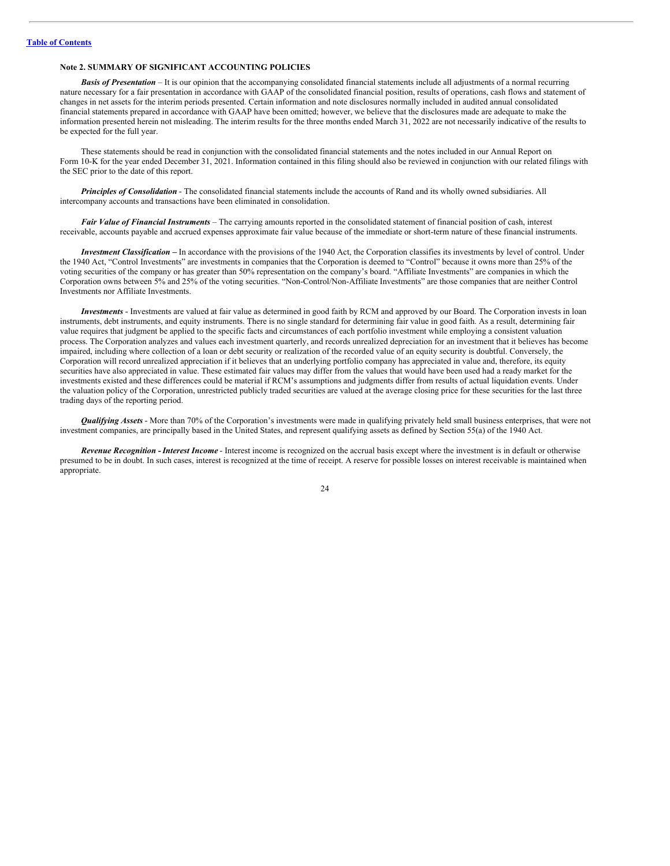#### **Note 2. SUMMARY OF SIGNIFICANT ACCOUNTING POLICIES**

*Basis of Presentation* – It is our opinion that the accompanying consolidated financial statements include all adjustments of a normal recurring nature necessary for a fair presentation in accordance with GAAP of the consolidated financial position, results of operations, cash flows and statement of changes in net assets for the interim periods presented. Certain information and note disclosures normally included in audited annual consolidated financial statements prepared in accordance with GAAP have been omitted; however, we believe that the disclosures made are adequate to make the information presented herein not misleading. The interim results for the three months ended March 31, 2022 are not necessarily indicative of the results to be expected for the full year.

These statements should be read in conjunction with the consolidated financial statements and the notes included in our Annual Report on Form 10-K for the year ended December 31, 2021. Information contained in this filing should also be reviewed in conjunction with our related filings with the SEC prior to the date of this report.

*Principles of Consolidation* - The consolidated financial statements include the accounts of Rand and its wholly owned subsidiaries. All intercompany accounts and transactions have been eliminated in consolidation.

*Fair Value of Financial Instruments* – The carrying amounts reported in the consolidated statement of financial position of cash, interest receivable, accounts payable and accrued expenses approximate fair value because of the immediate or short-term nature of these financial instruments.

*Investment Classification –* In accordance with the provisions of the 1940 Act, the Corporation classifies its investments by level of control. Under the 1940 Act, "Control Investments" are investments in companies that the Corporation is deemed to "Control" because it owns more than 25% of the voting securities of the company or has greater than 50% representation on the company's board. "Affiliate Investments" are companies in which the Corporation owns between 5% and 25% of the voting securities. "Non-Control/Non-Affiliate Investments" are those companies that are neither Control Investments nor Affiliate Investments.

*Investments* - Investments are valued at fair value as determined in good faith by RCM and approved by our Board. The Corporation invests in loan instruments, debt instruments, and equity instruments. There is no single standard for determining fair value in good faith. As a result, determining fair value requires that judgment be applied to the specific facts and circumstances of each portfolio investment while employing a consistent valuation process. The Corporation analyzes and values each investment quarterly, and records unrealized depreciation for an investment that it believes has become impaired, including where collection of a loan or debt security or realization of the recorded value of an equity security is doubtful. Conversely, the Corporation will record unrealized appreciation if it believes that an underlying portfolio company has appreciated in value and, therefore, its equity securities have also appreciated in value. These estimated fair values may differ from the values that would have been used had a ready market for the investments existed and these differences could be material if RCM's assumptions and judgments differ from results of actual liquidation events. Under the valuation policy of the Corporation, unrestricted publicly traded securities are valued at the average closing price for these securities for the last three trading days of the reporting period.

*Qualifying Assets* - More than 70% of the Corporation's investments were made in qualifying privately held small business enterprises, that were not investment companies, are principally based in the United States, and represent qualifying assets as defined by Section 55(a) of the 1940 Act.

*Revenue Recognition -Interest Income* - Interest income is recognized on the accrual basis except where the investment is in default or otherwise presumed to be in doubt. In such cases, interest is recognized at the time of receipt. A reserve for possible losses on interest receivable is maintained when appropriate.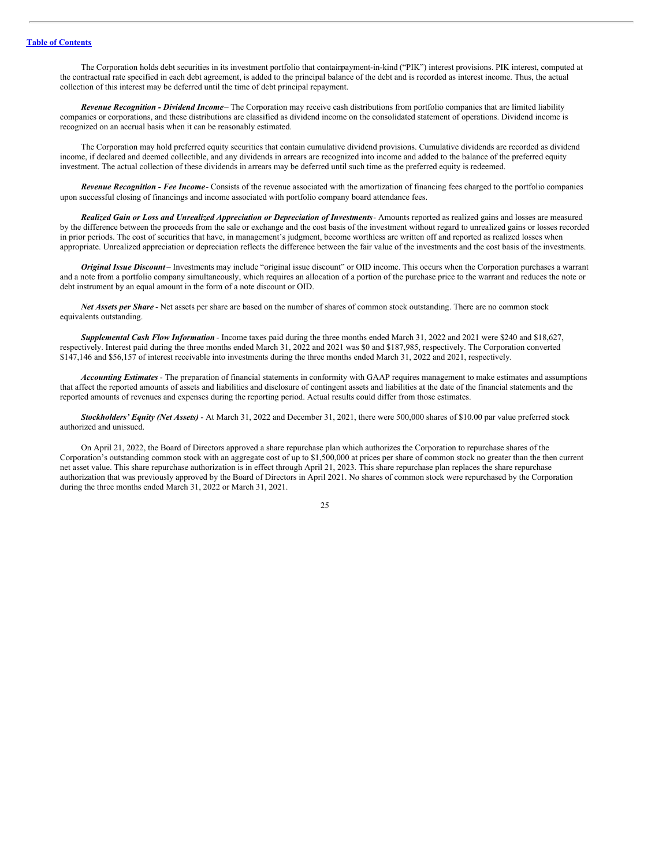The Corporation holds debt securities in its investment portfolio that containpayment-in-kind ("PIK") interest provisions. PIK interest, computed at the contractual rate specified in each debt agreement, is added to the principal balance of the debt and is recorded as interest income. Thus, the actual collection of this interest may be deferred until the time of debt principal repayment.

*Revenue Recognition - Dividend Income*– The Corporation may receive cash distributions from portfolio companies that are limited liability companies or corporations, and these distributions are classified as dividend income on the consolidated statement of operations. Dividend income is recognized on an accrual basis when it can be reasonably estimated.

The Corporation may hold preferred equity securities that contain cumulative dividend provisions. Cumulative dividends are recorded as dividend income, if declared and deemed collectible, and any dividends in arrears are recognized into income and added to the balance of the preferred equity investment. The actual collection of these dividends in arrears may be deferred until such time as the preferred equity is redeemed.

*Revenue Recognition - Fee Income*- Consists of the revenue associated with the amortization of financing fees charged to the portfolio companies upon successful closing of financings and income associated with portfolio company board attendance fees.

*Realized Gain or Loss and Unrealized Appreciation or Depreciation of Investments*- Amounts reported as realized gains and losses are measured by the difference between the proceeds from the sale or exchange and the cost basis of the investment without regard to unrealized gains or losses recorded in prior periods. The cost of securities that have, in management's judgment, become worthless are written off and reported as realized losses when appropriate. Unrealized appreciation or depreciation reflects the difference between the fair value of the investments and the cost basis of the investments.

*Original Issue Discount* – Investments may include "original issue discount" or OID income. This occurs when the Corporation purchases a warrant and a note from a portfolio company simultaneously, which requires an allocation of a portion of the purchase price to the warrant and reduces the note or debt instrument by an equal amount in the form of a note discount or OID.

*Net Assets per Share* - Net assets per share are based on the number of shares of common stock outstanding. There are no common stock equivalents outstanding.

*Supplemental Cash Flow Information* - Income taxes paid during the three months ended March 31, 2022 and 2021 were \$240 and \$18,627, respectively. Interest paid during the three months ended March 31, 2022 and 2021 was \$0 and \$187,985, respectively. The Corporation converted \$147,146 and \$56,157 of interest receivable into investments during the three months ended March 31, 2022 and 2021, respectively.

*Accounting Estimates* - The preparation of financial statements in conformity with GAAP requires management to make estimates and assumptions that affect the reported amounts of assets and liabilities and disclosure of contingent assets and liabilities at the date of the financial statements and the reported amounts of revenues and expenses during the reporting period. Actual results could differ from those estimates.

*Stockholders' Equity (Net Assets)* - At March 31, 2022 and December 31, 2021, there were 500,000 shares of \$10.00 par value preferred stock authorized and unissued.

On April 21, 2022, the Board of Directors approved a share repurchase plan which authorizes the Corporation to repurchase shares of the Corporation's outstanding common stock with an aggregate cost of up to \$1,500,000 at prices per share of common stock no greater than the then current net asset value. This share repurchase authorization is in effect through April 21, 2023. This share repurchase plan replaces the share repurchase authorization that was previously approved by the Board of Directors in April 2021. No shares of common stock were repurchased by the Corporation during the three months ended March 31, 2022 or March 31, 2021.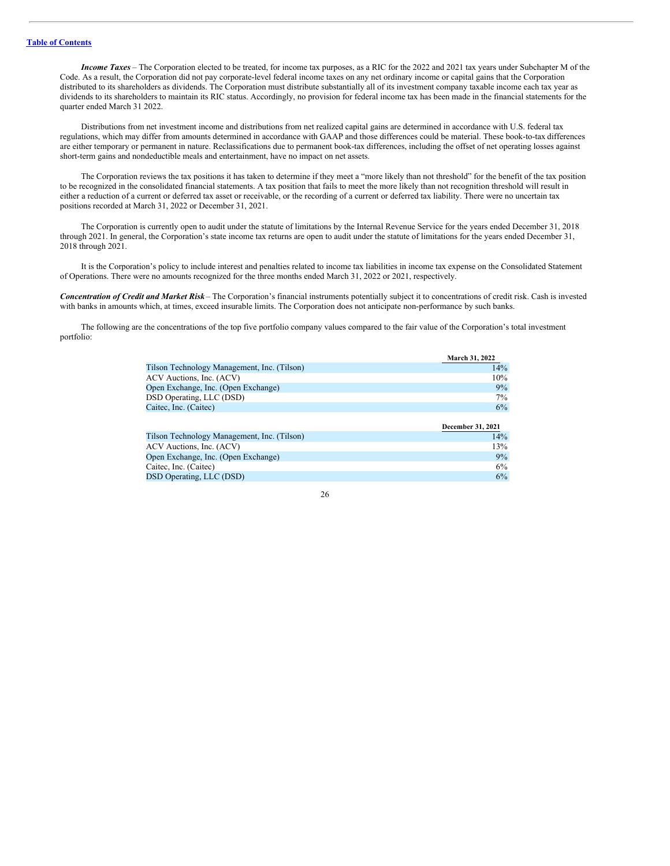*Income Taxes* – The Corporation elected to be treated, for income tax purposes, as a RIC for the 2022 and 2021 tax years under Subchapter M of the Code. As a result, the Corporation did not pay corporate-level federal income taxes on any net ordinary income or capital gains that the Corporation distributed to its shareholders as dividends. The Corporation must distribute substantially all of its investment company taxable income each tax year as dividends to its shareholders to maintain its RIC status. Accordingly, no provision for federal income tax has been made in the financial statements for the quarter ended March 31 2022.

Distributions from net investment income and distributions from net realized capital gains are determined in accordance with U.S. federal tax regulations, which may differ from amounts determined in accordance with GAAP and those differences could be material. These book-to-tax differences are either temporary or permanent in nature. Reclassifications due to permanent book-tax differences, including the offset of net operating losses against short-term gains and nondeductible meals and entertainment, have no impact on net assets.

The Corporation reviews the tax positions it has taken to determine if they meet a "more likely than not threshold" for the benefit of the tax position to be recognized in the consolidated financial statements. A tax position that fails to meet the more likely than not recognition threshold will result in either a reduction of a current or deferred tax asset or receivable, or the recording of a current or deferred tax liability. There were no uncertain tax positions recorded at March 31, 2022 or December 31, 2021.

The Corporation is currently open to audit under the statute of limitations by the Internal Revenue Service for the years ended December 31, 2018 through 2021. In general, the Corporation's state income tax returns are open to audit under the statute of limitations for the years ended December 31, 2018 through 2021.

It is the Corporation's policy to include interest and penalties related to income tax liabilities in income tax expense on the Consolidated Statement of Operations. There were no amounts recognized for the three months ended March 31, 2022 or 2021, respectively.

*Concentration of Credit and Market Risk* – The Corporation's financial instruments potentially subject it to concentrations of credit risk. Cash is invested with banks in amounts which, at times, exceed insurable limits. The Corporation does not anticipate non-performance by such banks.

The following are the concentrations of the top five portfolio company values compared to the fair value of the Corporation's total investment portfolio:

| March 31, 2022    |
|-------------------|
| 14%               |
| 10%               |
| 9%                |
| $7\%$             |
| $6\%$             |
| December 31, 2021 |
| 14%               |
| 13%               |
| 9%                |
| 6%                |
|                   |
|                   |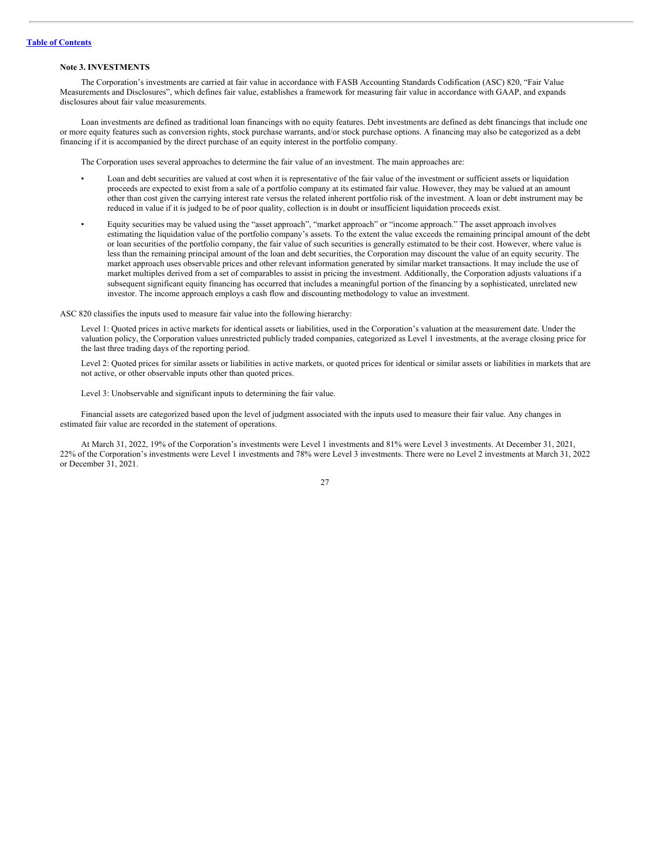#### **Note 3. INVESTMENTS**

The Corporation's investments are carried at fair value in accordance with FASB Accounting Standards Codification (ASC) 820, "Fair Value Measurements and Disclosures", which defines fair value, establishes a framework for measuring fair value in accordance with GAAP, and expands disclosures about fair value measurements.

Loan investments are defined as traditional loan financings with no equity features. Debt investments are defined as debt financings that include one or more equity features such as conversion rights, stock purchase warrants, and/or stock purchase options. A financing may also be categorized as a debt financing if it is accompanied by the direct purchase of an equity interest in the portfolio company.

The Corporation uses several approaches to determine the fair value of an investment. The main approaches are:

- Loan and debt securities are valued at cost when it is representative of the fair value of the investment or sufficient assets or liquidation proceeds are expected to exist from a sale of a portfolio company at its estimated fair value. However, they may be valued at an amount other than cost given the carrying interest rate versus the related inherent portfolio risk of the investment. A loan or debt instrument may be reduced in value if it is judged to be of poor quality, collection is in doubt or insufficient liquidation proceeds exist.
- Equity securities may be valued using the "asset approach", "market approach" or "income approach." The asset approach involves estimating the liquidation value of the portfolio company's assets. To the extent the value exceeds the remaining principal amount of the debt or loan securities of the portfolio company, the fair value of such securities is generally estimated to be their cost. However, where value is less than the remaining principal amount of the loan and debt securities, the Corporation may discount the value of an equity security. The market approach uses observable prices and other relevant information generated by similar market transactions. It may include the use of market multiples derived from a set of comparables to assist in pricing the investment. Additionally, the Corporation adjusts valuations if a subsequent significant equity financing has occurred that includes a meaningful portion of the financing by a sophisticated, unrelated new investor. The income approach employs a cash flow and discounting methodology to value an investment.
- ASC 820 classifies the inputs used to measure fair value into the following hierarchy:

Level 1: Quoted prices in active markets for identical assets or liabilities, used in the Corporation's valuation at the measurement date. Under the valuation policy, the Corporation values unrestricted publicly traded companies, categorized as Level 1 investments, at the average closing price for the last three trading days of the reporting period.

Level 2: Quoted prices for similar assets or liabilities in active markets, or quoted prices for identical or similar assets or liabilities in markets that are not active, or other observable inputs other than quoted prices.

Level 3: Unobservable and significant inputs to determining the fair value.

Financial assets are categorized based upon the level of judgment associated with the inputs used to measure their fair value. Any changes in estimated fair value are recorded in the statement of operations.

At March 31, 2022, 19% of the Corporation's investments were Level 1 investments and 81% were Level 3 investments. At December 31, 2021, 22% of the Corporation's investments were Level 1 investments and 78% were Level 3 investments. There were no Level 2 investments at March 31, 2022 or December 31, 2021.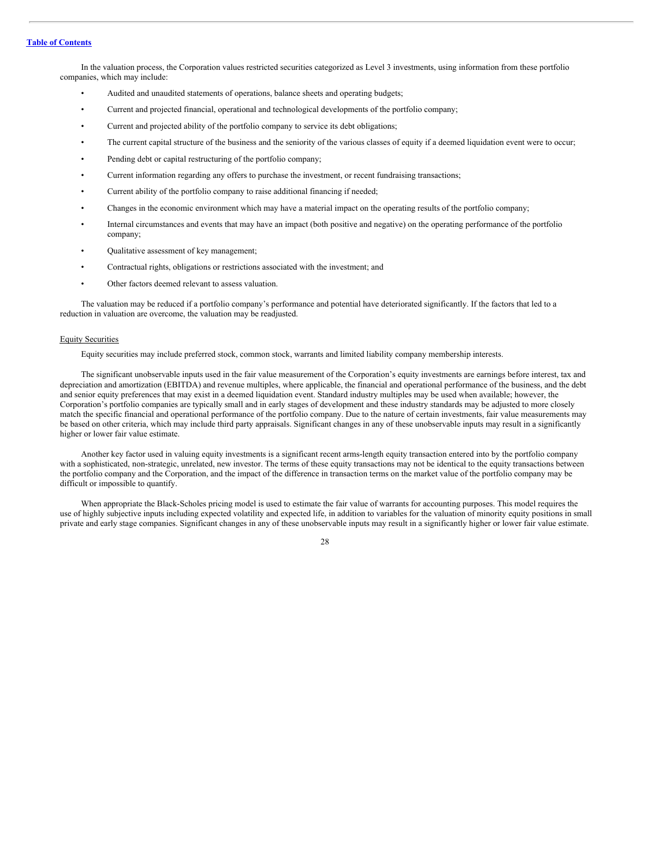In the valuation process, the Corporation values restricted securities categorized as Level 3 investments, using information from these portfolio companies, which may include:

- Audited and unaudited statements of operations, balance sheets and operating budgets;
- Current and projected financial, operational and technological developments of the portfolio company;
- Current and projected ability of the portfolio company to service its debt obligations;
- The current capital structure of the business and the seniority of the various classes of equity if a deemed liquidation event were to occur;
- Pending debt or capital restructuring of the portfolio company;
- Current information regarding any offers to purchase the investment, or recent fundraising transactions;
- Current ability of the portfolio company to raise additional financing if needed;
- Changes in the economic environment which may have a material impact on the operating results of the portfolio company;
- Internal circumstances and events that may have an impact (both positive and negative) on the operating performance of the portfolio company;
- Qualitative assessment of key management;
- Contractual rights, obligations or restrictions associated with the investment; and
- Other factors deemed relevant to assess valuation.

The valuation may be reduced if a portfolio company's performance and potential have deteriorated significantly. If the factors that led to a reduction in valuation are overcome, the valuation may be readjusted.

#### Equity Securities

Equity securities may include preferred stock, common stock, warrants and limited liability company membership interests.

The significant unobservable inputs used in the fair value measurement of the Corporation's equity investments are earnings before interest, tax and depreciation and amortization (EBITDA) and revenue multiples, where applicable, the financial and operational performance of the business, and the debt and senior equity preferences that may exist in a deemed liquidation event. Standard industry multiples may be used when available; however, the Corporation's portfolio companies are typically small and in early stages of development and these industry standards may be adjusted to more closely match the specific financial and operational performance of the portfolio company. Due to the nature of certain investments, fair value measurements may be based on other criteria, which may include third party appraisals. Significant changes in any of these unobservable inputs may result in a significantly higher or lower fair value estimate.

Another key factor used in valuing equity investments is a significant recent arms-length equity transaction entered into by the portfolio company with a sophisticated, non-strategic, unrelated, new investor. The terms of these equity transactions may not be identical to the equity transactions between the portfolio company and the Corporation, and the impact of the difference in transaction terms on the market value of the portfolio company may be difficult or impossible to quantify.

When appropriate the Black-Scholes pricing model is used to estimate the fair value of warrants for accounting purposes. This model requires the use of highly subjective inputs including expected volatility and expected life, in addition to variables for the valuation of minority equity positions in small private and early stage companies. Significant changes in any of these unobservable inputs may result in a significantly higher or lower fair value estimate.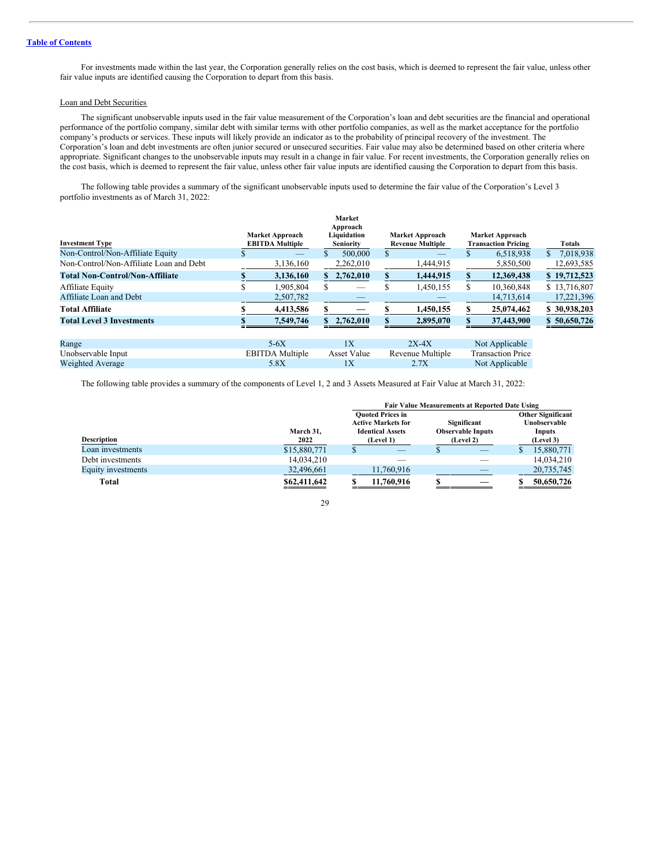For investments made within the last year, the Corporation generally relies on the cost basis, which is deemed to represent the fair value, unless other fair value inputs are identified causing the Corporation to depart from this basis.

## Loan and Debt Securities

The significant unobservable inputs used in the fair value measurement of the Corporation's loan and debt securities are the financial and operational performance of the portfolio company, similar debt with similar terms with other portfolio companies, as well as the market acceptance for the portfolio company's products or services. These inputs will likely provide an indicator as to the probability of principal recovery of the investment. The Corporation's loan and debt investments are often junior secured or unsecured securities. Fair value may also be determined based on other criteria where appropriate. Significant changes to the unobservable inputs may result in a change in fair value. For recent investments, the Corporation generally relies on the cost basis, which is deemed to represent the fair value, unless other fair value inputs are identified causing the Corporation to depart from this basis.

The following table provides a summary of the significant unobservable inputs used to determine the fair value of the Corporation's Level 3 portfolio investments as of March 31, 2022:

|                                         |                                                  |    | Market<br>Approach              |   |                                                   |                                                      |    |               |
|-----------------------------------------|--------------------------------------------------|----|---------------------------------|---|---------------------------------------------------|------------------------------------------------------|----|---------------|
| <b>Investment Type</b>                  | <b>Market Approach</b><br><b>EBITDA Multiple</b> |    | Liquidation<br><b>Seniority</b> |   | <b>Market Approach</b><br><b>Revenue Multiple</b> | <b>Market Approach</b><br><b>Transaction Pricing</b> |    | <b>Totals</b> |
| Non-Control/Non-Affiliate Equity        | _                                                |    | 500,000                         | ъ | _                                                 | 6,518,938                                            | S. | 7,018,938     |
| Non-Control/Non-Affiliate Loan and Debt | 3,136,160                                        |    | 2,262,010                       |   | 1,444,915                                         | 5,850,500                                            |    | 12,693,585    |
| <b>Total Non-Control/Non-Affiliate</b>  | 3,136,160                                        | S. | 2,762,010                       |   | 1,444,915                                         | 12,369,438                                           |    | \$19,712,523  |
| Affiliate Equity                        | 1.905.804                                        | Ф  | _                               |   | 1,450,155                                         | 10.360.848                                           |    | \$13,716,807  |
| Affiliate Loan and Debt                 | 2,507,782                                        |    |                                 |   |                                                   | 14,713,614                                           |    | 17,221,396    |
| Total Affiliate                         | 4,413,586                                        |    |                                 |   | 1,450,155                                         | 25,074,462                                           |    | \$30,938,203  |
| <b>Total Level 3 Investments</b>        | 7,549,746                                        | S. | 2,762,010                       |   | 2,895,070                                         | 37,443,900                                           |    | \$50,650,726  |
| Range                                   | $5-6X$                                           |    | 1X                              |   | $2X-4X$                                           | Not Applicable                                       |    |               |

| range              | $2 - 122$              |             | $22 - 72$        | $1$ vot $\pi$ ppneable   |
|--------------------|------------------------|-------------|------------------|--------------------------|
| Unobservable Input | <b>EBITDA</b> Multiple | Asset Value | Revenue Multiple | <b>Transaction Price</b> |
| Weighted Average   | 5.8X                   |             |                  | Not Applicable           |

The following table provides a summary of the components of Level 1, 2 and 3 Assets Measured at Fair Value at March 31, 2022:

|                    |              | <b>Fair Value Measurements at Reported Date Using</b>                           |                                         |                                                    |  |  |
|--------------------|--------------|---------------------------------------------------------------------------------|-----------------------------------------|----------------------------------------------------|--|--|
|                    | March 31,    | <b>Ouoted Prices in</b><br><b>Active Markets for</b><br><b>Identical Assets</b> | Significant<br><b>Observable Inputs</b> | <b>Other Significant</b><br>Unobservable<br>Inputs |  |  |
| <b>Description</b> | 2022         | (Level 1)                                                                       | (Level 2)                               | (Level 3)                                          |  |  |
| Loan investments   | \$15,880,771 |                                                                                 | _                                       | 15,880,771                                         |  |  |
| Debt investments   | 14.034.210   |                                                                                 |                                         | 14.034.210                                         |  |  |
| Equity investments | 32,496,661   | 11,760,916                                                                      | _                                       | 20,735,745                                         |  |  |
| <b>Total</b>       | \$62,411,642 | 11.760.916                                                                      |                                         | 50,650,726                                         |  |  |

<sup>29</sup>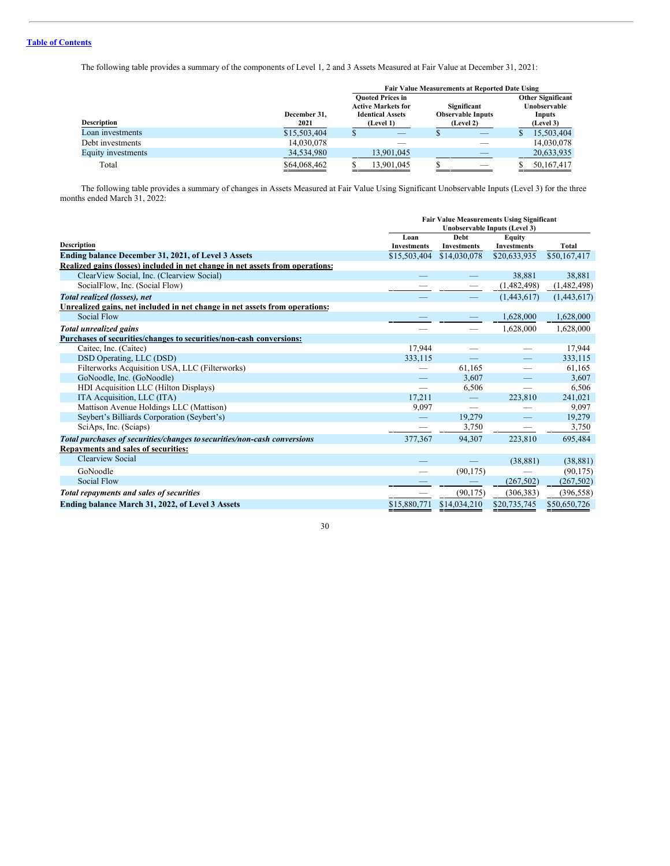The following table provides a summary of the components of Level 1, 2 and 3 Assets Measured at Fair Value at December 31, 2021:

|                    |              | <b>Fair Value Measurements at Reported Date Using</b> |                                         |                          |
|--------------------|--------------|-------------------------------------------------------|-----------------------------------------|--------------------------|
|                    |              | <b>Ouoted Prices in</b>                               |                                         | <b>Other Significant</b> |
|                    | December 31, | <b>Active Markets for</b><br><b>Identical Assets</b>  | Significant<br><b>Observable Inputs</b> | Unobservable<br>Inputs   |
| <b>Description</b> | 2021         | (Level 1)                                             | (Level 2)                               | (Level 3)                |
| Loan investments   | \$15,503,404 |                                                       |                                         | 15.503.404               |
| Debt investments   | 14,030,078   |                                                       |                                         | 14,030,078               |
| Equity investments | 34,534,980   | 13,901,045                                            |                                         | 20,633,935               |
| Total              | \$64,068,462 | 13,901,045                                            |                                         | 50,167,417               |

The following table provides a summary of changes in Assets Measured at Fair Value Using Significant Unobservable Inputs (Level 3) for the three months ended March 31, 2022:

|                                                                               | <b>Fair Value Measurements Using Significant</b><br>Unobservable Inputs (Level 3) |              |                    |              |
|-------------------------------------------------------------------------------|-----------------------------------------------------------------------------------|--------------|--------------------|--------------|
|                                                                               | Loan                                                                              | <b>Debt</b>  | <b>Equity</b>      |              |
| <b>Description</b>                                                            | <b>Investments</b>                                                                | Investments  | <b>Investments</b> | <b>Total</b> |
| Ending balance December 31, 2021, of Level 3 Assets                           | \$15,503,404                                                                      | \$14,030,078 | \$20,633,935       | \$50,167,417 |
| Realized gains (losses) included in net change in net assets from operations: |                                                                                   |              |                    |              |
| ClearView Social, Inc. (Clearview Social)                                     |                                                                                   |              | 38,881             | 38,881       |
| SocialFlow, Inc. (Social Flow)                                                |                                                                                   |              | (1,482,498)        | (1,482,498)  |
| Total realized (losses), net                                                  |                                                                                   |              | (1,443,617)        | (1,443,617)  |
| Unrealized gains, net included in net change in net assets from operations:   |                                                                                   |              |                    |              |
| <b>Social Flow</b>                                                            |                                                                                   |              | 1,628,000          | 1,628,000    |
| <b>Total unrealized gains</b>                                                 |                                                                                   |              | 1,628,000          | 1,628,000    |
| Purchases of securities/changes to securities/non-cash conversions:           |                                                                                   |              |                    |              |
| Caitec, Inc. (Caitec)                                                         | 17.944                                                                            |              |                    | 17,944       |
| DSD Operating, LLC (DSD)                                                      | 333,115                                                                           |              |                    | 333,115      |
| Filterworks Acquisition USA, LLC (Filterworks)                                |                                                                                   | 61,165       |                    | 61,165       |
| GoNoodle, Inc. (GoNoodle)                                                     |                                                                                   | 3,607        |                    | 3,607        |
| HDI Acquisition LLC (Hilton Displays)                                         |                                                                                   | 6,506        |                    | 6,506        |
| ITA Acquisition, LLC (ITA)                                                    | 17,211                                                                            |              | 223,810            | 241,021      |
| Mattison Avenue Holdings LLC (Mattison)                                       | 9,097                                                                             |              |                    | 9,097        |
| Seybert's Billiards Corporation (Seybert's)                                   |                                                                                   | 19,279       |                    | 19,279       |
| SciAps, Inc. (Sciaps)                                                         |                                                                                   | 3,750        |                    | 3,750        |
| Total purchases of securities/changes to securities/non-cash conversions      | 377,367                                                                           | 94,307       | 223,810            | 695,484      |
| <b>Repayments and sales of securities:</b>                                    |                                                                                   |              |                    |              |
| <b>Clearview Social</b>                                                       |                                                                                   |              | (38, 881)          | (38, 881)    |
| GoNoodle                                                                      |                                                                                   | (90, 175)    |                    | (90, 175)    |
| Social Flow                                                                   |                                                                                   |              | (267, 502)         | (267, 502)   |
| Total repayments and sales of securities                                      |                                                                                   | (90, 175)    | (306, 383)         | (396, 558)   |
| Ending balance March 31, 2022, of Level 3 Assets                              | \$15,880,771                                                                      | \$14,034,210 | \$20,735,745       | \$50,650,726 |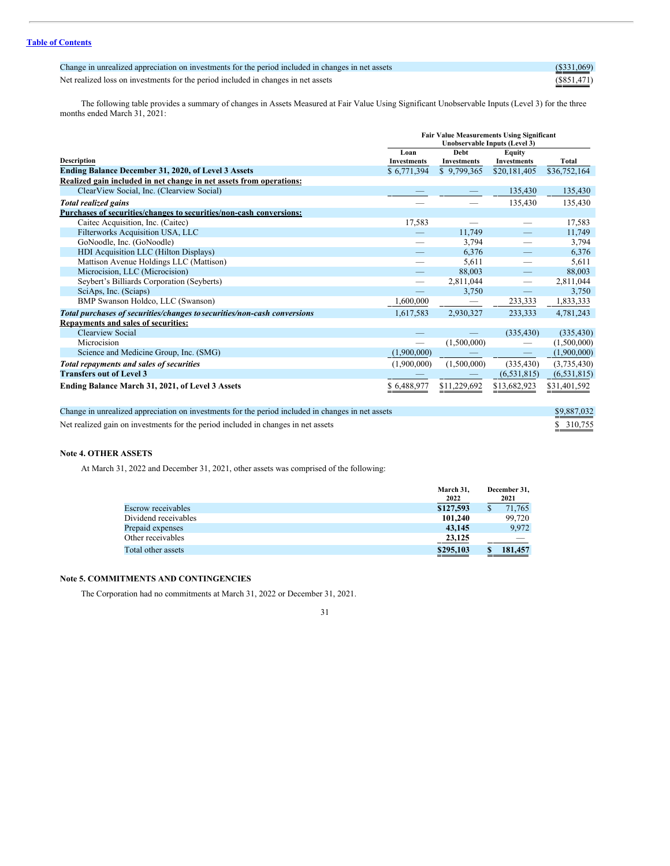| Change in unrealized appreciation on investments for the period included in changes in net assets | (S331.069) |
|---------------------------------------------------------------------------------------------------|------------|
|---------------------------------------------------------------------------------------------------|------------|

Net realized loss on investments for the period included in changes in net assets (\$851,471)

The following table provides a summary of changes in Assets Measured at Fair Value Using Significant Unobservable Inputs (Level 3) for the three months ended March 31, 2021:

|                                                                                                   | <b>Fair Value Measurements Using Significant</b> |                    |                               |               |  |
|---------------------------------------------------------------------------------------------------|--------------------------------------------------|--------------------|-------------------------------|---------------|--|
|                                                                                                   |                                                  |                    | Unobservable Inputs (Level 3) |               |  |
|                                                                                                   | Loan                                             | Debt               | Equity                        |               |  |
| <b>Description</b>                                                                                | <b>Investments</b>                               | <b>Investments</b> | <b>Investments</b>            | <b>Total</b>  |  |
| <b>Ending Balance December 31, 2020, of Level 3 Assets</b>                                        | \$6,771,394                                      | \$9.799.365        | \$20,181,405                  | \$36,752,164  |  |
| Realized gain included in net change in net assets from operations:                               |                                                  |                    |                               |               |  |
| ClearView Social, Inc. (Clearview Social)                                                         |                                                  |                    | 135,430                       | 135,430       |  |
| <b>Total realized gains</b>                                                                       |                                                  |                    | 135,430                       | 135,430       |  |
| Purchases of securities/changes to securities/non-cash conversions:                               |                                                  |                    |                               |               |  |
| Caitec Acquisition, Inc. (Caitec)                                                                 | 17,583                                           |                    |                               | 17,583        |  |
| Filterworks Acquisition USA, LLC                                                                  |                                                  | 11,749             |                               | 11,749        |  |
| GoNoodle, Inc. (GoNoodle)                                                                         |                                                  | 3,794              |                               | 3,794         |  |
| HDI Acquisition LLC (Hilton Displays)                                                             |                                                  | 6,376              |                               | 6,376         |  |
| Mattison Avenue Holdings LLC (Mattison)                                                           |                                                  | 5,611              |                               | 5,611         |  |
| Microcision, LLC (Microcision)                                                                    |                                                  | 88,003             |                               | 88,003        |  |
| Seybert's Billiards Corporation (Seyberts)                                                        | -                                                | 2,811,044          |                               | 2,811,044     |  |
| SciAps, Inc. (Sciaps)                                                                             |                                                  | 3,750              | $\qquad \qquad -$             | 3,750         |  |
| BMP Swanson Holdco, LLC (Swanson)                                                                 | 1,600,000                                        |                    | 233,333                       | 1,833,333     |  |
| Total purchases of securities/changes to securities/non-cash conversions                          | 1,617,583                                        | 2,930,327          | 233,333                       | 4,781,243     |  |
| Repayments and sales of securities:                                                               |                                                  |                    |                               |               |  |
| <b>Clearview Social</b>                                                                           |                                                  |                    | (335, 430)                    | (335, 430)    |  |
| Microcision                                                                                       |                                                  | (1,500,000)        |                               | (1,500,000)   |  |
| Science and Medicine Group, Inc. (SMG)                                                            | (1.900.000)                                      |                    |                               | (1,900,000)   |  |
| Total repayments and sales of securities                                                          | (1,900,000)                                      | (1,500,000)        | (335, 430)                    | (3,735,430)   |  |
| <b>Transfers out of Level 3</b>                                                                   |                                                  |                    | (6,531,815)                   | (6, 531, 815) |  |
| Ending Balance March 31, 2021, of Level 3 Assets                                                  | \$6,488,977                                      | \$11,229,692       | \$13,682,923                  | \$31,401,592  |  |
| Change in unrealized appreciation on investments for the period included in changes in net assets |                                                  |                    |                               | \$9,887,032   |  |
| Net realized gain on investments for the period included in changes in net assets                 |                                                  |                    |                               | 310,755       |  |

## **Note 4. OTHER ASSETS**

At March 31, 2022 and December 31, 2021, other assets was comprised of the following:

|                      | March 31,<br>2022 | December 31.<br>2021     |
|----------------------|-------------------|--------------------------|
| Escrow receivables   | \$127,593         | 71,765                   |
| Dividend receivables | 101.240           | 99.720                   |
| Prepaid expenses     | 43,145            | 9,972                    |
| Other receivables    | 23,125            | $\overline{\phantom{a}}$ |
| Total other assets   | \$295,103         | 181,457                  |

## **Note 5. COMMITMENTS AND CONTINGENCIES**

The Corporation had no commitments at March 31, 2022 or December 31, 2021.

<sup>31</sup>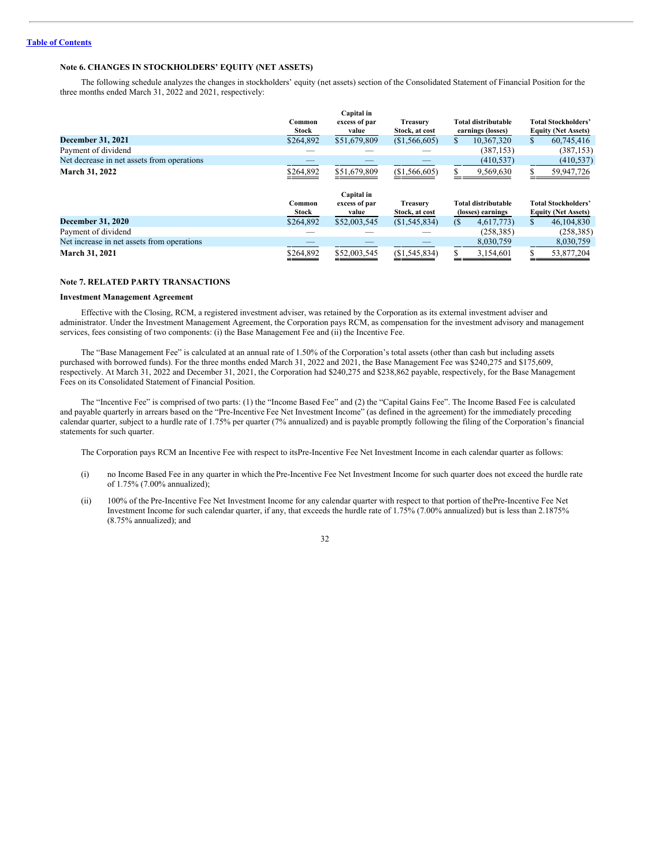## **Note 6. CHANGES IN STOCKHOLDERS' EQUITY (NET ASSETS)**

The following schedule analyzes the changes in stockholders' equity (net assets) section of the Consolidated Statement of Financial Position for the three months ended March 31, 2022 and 2021, respectively:

|                                            |                        | Capital in             |                            |    |                                                 |    |                                                          |
|--------------------------------------------|------------------------|------------------------|----------------------------|----|-------------------------------------------------|----|----------------------------------------------------------|
|                                            | Common<br><b>Stock</b> | excess of par<br>value | Treasurv<br>Stock, at cost |    | <b>Total distributable</b><br>earnings (losses) |    | <b>Total Stockholders'</b><br><b>Equity (Net Assets)</b> |
| <b>December 31, 2021</b>                   | \$264,892              | \$51,679,809           | (\$1,566,605)              | \$ | 10.367.320                                      | \$ | 60,745,416                                               |
| Payment of dividend                        |                        |                        |                            |    | (387, 153)                                      |    | (387, 153)                                               |
| Net decrease in net assets from operations |                        |                        |                            |    | (410, 537)                                      |    | (410, 537)                                               |
| March 31, 2022                             | \$264,892              | \$51,679,809           | (\$1,566,605)              |    | 9,569,630                                       | S  | 59,947,726                                               |
|                                            | Common                 | Capital in             |                            |    | <b>Total distributable</b>                      |    | <b>Total Stockholders'</b>                               |
|                                            | <b>Stock</b>           | excess of par<br>value | Treasurv<br>Stock, at cost |    | (losses) earnings                               |    | <b>Equity (Net Assets)</b>                               |
| <b>December 31, 2020</b>                   | \$264.892              | \$52,003,545           | (\$1,545,834)              | (S | 4,617,773)                                      | S. | 46,104,830                                               |
| Payment of dividend                        |                        |                        |                            |    | (258, 385)                                      |    | (258, 385)                                               |
| Net increase in net assets from operations |                        |                        |                            |    | 8,030,759                                       |    | 8,030,759                                                |

#### **Note 7. RELATED PARTY TRANSACTIONS**

#### **Investment Management Agreement**

Effective with the Closing, RCM, a registered investment adviser, was retained by the Corporation as its external investment adviser and administrator. Under the Investment Management Agreement, the Corporation pays RCM, as compensation for the investment advisory and management services, fees consisting of two components: (i) the Base Management Fee and (ii) the Incentive Fee.

The "Base Management Fee" is calculated at an annual rate of 1.50% of the Corporation's total assets (other than cash but including assets purchased with borrowed funds). For the three months ended March 31, 2022 and 2021, the Base Management Fee was \$240,275 and \$175,609, respectively. At March 31, 2022 and December 31, 2021, the Corporation had \$240,275 and \$238,862 payable, respectively, for the Base Management Fees on its Consolidated Statement of Financial Position.

The "Incentive Fee" is comprised of two parts: (1) the "Income Based Fee" and (2) the "Capital Gains Fee". The Income Based Fee is calculated and payable quarterly in arrears based on the "Pre-Incentive Fee Net Investment Income" (as defined in the agreement) for the immediately preceding calendar quarter, subject to a hurdle rate of 1.75% per quarter (7% annualized) and is payable promptly following the filing of the Corporation's financial statements for such quarter.

The Corporation pays RCM an Incentive Fee with respect to itsPre-Incentive Fee Net Investment Income in each calendar quarter as follows:

- (i) no Income Based Fee in any quarter in which the Pre-Incentive Fee Net Investment Income for such quarter does not exceed the hurdle rate of 1.75% (7.00% annualized);
- (ii) 100% of the Pre-Incentive Fee Net Investment Income for any calendar quarter with respect to that portion of thePre-Incentive Fee Net Investment Income for such calendar quarter, if any, that exceeds the hurdle rate of 1.75% (7.00% annualized) but is less than 2.1875% (8.75% annualized); and
	- 32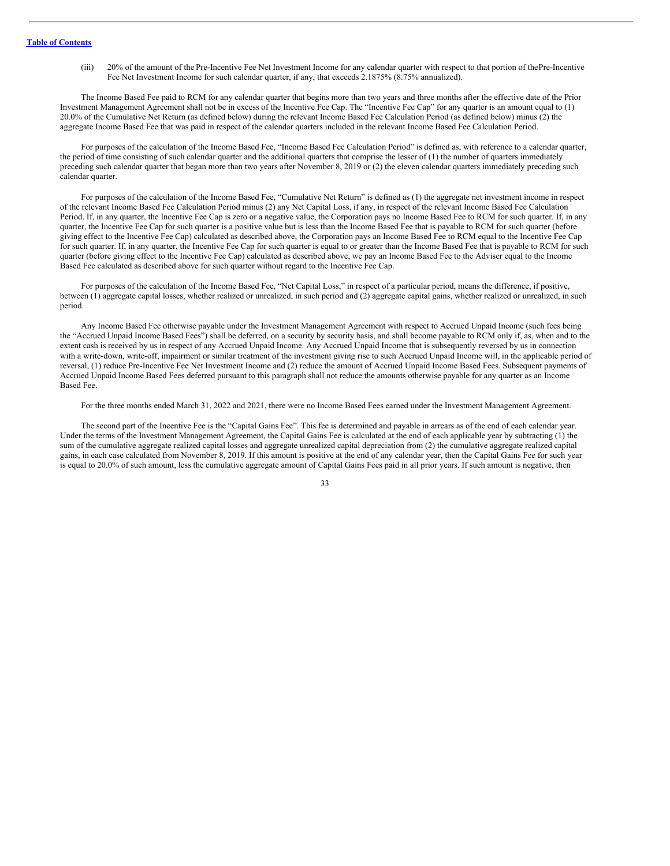(iii) 20% of the amount of the Pre-Incentive Fee Net Investment Income for any calendar quarter with respect to that portion of thePre-Incentive Fee Net Investment Income for such calendar quarter, if any, that exceeds 2.1875% (8.75% annualized).

The Income Based Fee paid to RCM for any calendar quarter that begins more than two years and three months after the effective date of the Prior Investment Management Agreement shall not be in excess of the Incentive Fee Cap. The "Incentive Fee Cap" for any quarter is an amount equal to (1) 20.0% of the Cumulative Net Return (as defined below) during the relevant Income Based Fee Calculation Period (as defined below) minus (2) the aggregate Income Based Fee that was paid in respect of the calendar quarters included in the relevant Income Based Fee Calculation Period.

For purposes of the calculation of the Income Based Fee, "Income Based Fee Calculation Period" is defined as, with reference to a calendar quarter, the period of time consisting of such calendar quarter and the additional quarters that comprise the lesser of (1) the number of quarters immediately preceding such calendar quarter that began more than two years after November 8, 2019 or (2) the eleven calendar quarters immediately preceding such calendar quarter.

For purposes of the calculation of the Income Based Fee, "Cumulative Net Return" is defined as (1) the aggregate net investment income in respect of the relevant Income Based Fee Calculation Period minus (2) any Net Capital Loss, if any, in respect of the relevant Income Based Fee Calculation Period. If, in any quarter, the Incentive Fee Cap is zero or a negative value, the Corporation pays no Income Based Fee to RCM for such quarter. If, in any quarter, the Incentive Fee Cap for such quarter is a positive value but is less than the Income Based Fee that is payable to RCM for such quarter (before giving effect to the Incentive Fee Cap) calculated as described above, the Corporation pays an Income Based Fee to RCM equal to the Incentive Fee Cap for such quarter. If, in any quarter, the Incentive Fee Cap for such quarter is equal to or greater than the Income Based Fee that is payable to RCM for such quarter (before giving effect to the Incentive Fee Cap) calculated as described above, we pay an Income Based Fee to the Adviser equal to the Income Based Fee calculated as described above for such quarter without regard to the Incentive Fee Cap.

For purposes of the calculation of the Income Based Fee, "Net Capital Loss," in respect of a particular period, means the difference, if positive, between  $(1)$  aggregate capital losses, whether realized or unrealized, in such period and  $(2)$  aggregate capital gains, whether realized or unrealized, in such period.

Any Income Based Fee otherwise payable under the Investment Management Agreement with respect to Accrued Unpaid Income (such fees being the "Accrued Unpaid Income Based Fees") shall be deferred, on a security by security basis, and shall become payable to RCM only if, as, when and to the extent cash is received by us in respect of any Accrued Unpaid Income. Any Accrued Unpaid Income that is subsequently reversed by us in connection with a write-down, write-off, impairment or similar treatment of the investment giving rise to such Accrued Unpaid Income will, in the applicable period of reversal, (1) reduce Pre-Incentive Fee Net Investment Income and (2) reduce the amount of Accrued Unpaid Income Based Fees. Subsequent payments of Accrued Unpaid Income Based Fees deferred pursuant to this paragraph shall not reduce the amounts otherwise payable for any quarter as an Income Based Fee.

For the three months ended March 31, 2022 and 2021, there were no Income Based Fees earned under the Investment Management Agreement.

The second part of the Incentive Fee is the "Capital Gains Fee". This fee is determined and payable in arrears as of the end of each calendar year. Under the terms of the Investment Management Agreement, the Capital Gains Fee is calculated at the end of each applicable year by subtracting (1) the sum of the cumulative aggregate realized capital losses and aggregate unrealized capital depreciation from (2) the cumulative aggregate realized capital gains, in each case calculated from November 8, 2019. If this amount is positive at the end of any calendar year, then the Capital Gains Fee for such year is equal to 20.0% of such amount, less the cumulative aggregate amount of Capital Gains Fees paid in all prior years. If such amount is negative, then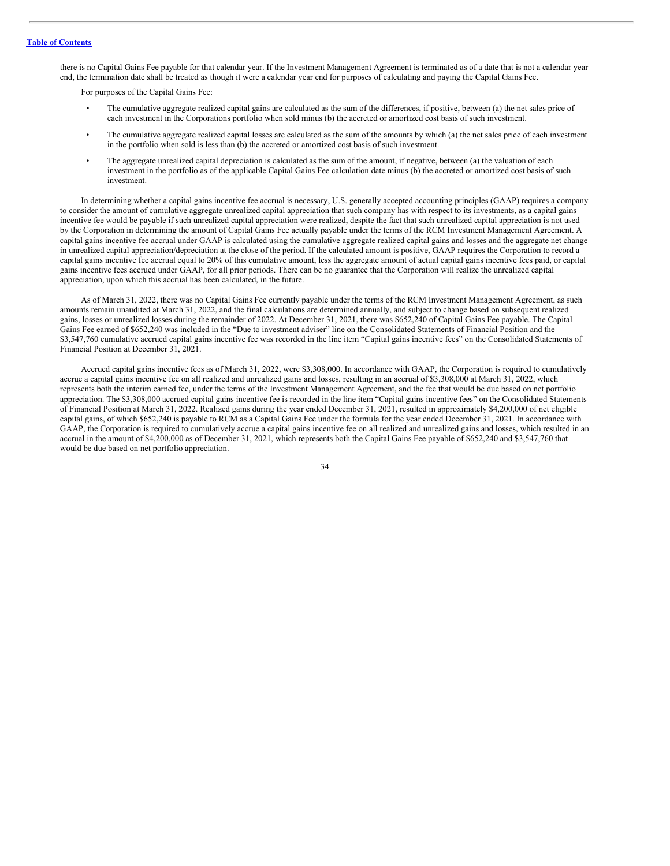there is no Capital Gains Fee payable for that calendar year. If the Investment Management Agreement is terminated as of a date that is not a calendar year end, the termination date shall be treated as though it were a calendar year end for purposes of calculating and paying the Capital Gains Fee.

For purposes of the Capital Gains Fee:

- The cumulative aggregate realized capital gains are calculated as the sum of the differences, if positive, between (a) the net sales price of each investment in the Corporations portfolio when sold minus (b) the accreted or amortized cost basis of such investment.
- The cumulative aggregate realized capital losses are calculated as the sum of the amounts by which (a) the net sales price of each investment in the portfolio when sold is less than (b) the accreted or amortized cost basis of such investment.
- The aggregate unrealized capital depreciation is calculated as the sum of the amount, if negative, between (a) the valuation of each investment in the portfolio as of the applicable Capital Gains Fee calculation date minus (b) the accreted or amortized cost basis of such investment.

In determining whether a capital gains incentive fee accrual is necessary, U.S. generally accepted accounting principles (GAAP) requires a company to consider the amount of cumulative aggregate unrealized capital appreciation that such company has with respect to its investments, as a capital gains incentive fee would be payable if such unrealized capital appreciation were realized, despite the fact that such unrealized capital appreciation is not used by the Corporation in determining the amount of Capital Gains Fee actually payable under the terms of the RCM Investment Management Agreement. A capital gains incentive fee accrual under GAAP is calculated using the cumulative aggregate realized capital gains and losses and the aggregate net change in unrealized capital appreciation/depreciation at the close of the period. If the calculated amount is positive, GAAP requires the Corporation to record a capital gains incentive fee accrual equal to 20% of this cumulative amount, less the aggregate amount of actual capital gains incentive fees paid, or capital gains incentive fees accrued under GAAP, for all prior periods. There can be no guarantee that the Corporation will realize the unrealized capital appreciation, upon which this accrual has been calculated, in the future.

As of March 31, 2022, there was no Capital Gains Fee currently payable under the terms of the RCM Investment Management Agreement, as such amounts remain unaudited at March 31, 2022, and the final calculations are determined annually, and subject to change based on subsequent realized gains, losses or unrealized losses during the remainder of 2022. At December 31, 2021, there was \$652,240 of Capital Gains Fee payable. The Capital Gains Fee earned of \$652,240 was included in the "Due to investment adviser" line on the Consolidated Statements of Financial Position and the \$3,547,760 cumulative accrued capital gains incentive fee was recorded in the line item "Capital gains incentive fees" on the Consolidated Statements of Financial Position at December 31, 2021.

Accrued capital gains incentive fees as of March 31, 2022, were \$3,308,000. In accordance with GAAP, the Corporation is required to cumulatively accrue a capital gains incentive fee on all realized and unrealized gains and losses, resulting in an accrual of \$3,308,000 at March 31, 2022, which represents both the interim earned fee, under the terms of the Investment Management Agreement, and the fee that would be due based on net portfolio appreciation. The \$3,308,000 accrued capital gains incentive fee is recorded in the line item "Capital gains incentive fees" on the Consolidated Statements of Financial Position at March 31, 2022. Realized gains during the year ended December 31, 2021, resulted in approximately \$4,200,000 of net eligible capital gains, of which \$652,240 is payable to RCM as a Capital Gains Fee under the formula for the year ended December 31, 2021. In accordance with GAAP, the Corporation is required to cumulatively accrue a capital gains incentive fee on all realized and unrealized gains and losses, which resulted in an accrual in the amount of \$4,200,000 as of December 31, 2021, which represents both the Capital Gains Fee payable of \$652,240 and \$3,547,760 that would be due based on net portfolio appreciation.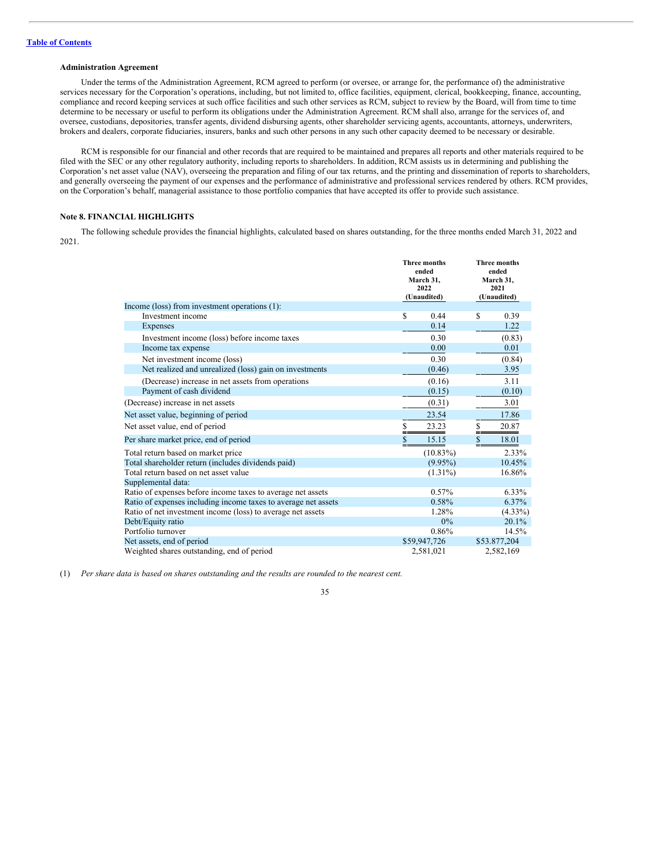#### **Administration Agreement**

Under the terms of the Administration Agreement, RCM agreed to perform (or oversee, or arrange for, the performance of) the administrative services necessary for the Corporation's operations, including, but not limited to, office facilities, equipment, clerical, bookkeeping, finance, accounting, compliance and record keeping services at such office facilities and such other services as RCM, subject to review by the Board, will from time to time determine to be necessary or useful to perform its obligations under the Administration Agreement. RCM shall also, arrange for the services of, and oversee, custodians, depositories, transfer agents, dividend disbursing agents, other shareholder servicing agents, accountants, attorneys, underwriters, brokers and dealers, corporate fiduciaries, insurers, banks and such other persons in any such other capacity deemed to be necessary or desirable.

RCM is responsible for our financial and other records that are required to be maintained and prepares all reports and other materials required to be filed with the SEC or any other regulatory authority, including reports to shareholders. In addition, RCM assists us in determining and publishing the Corporation's net asset value (NAV), overseeing the preparation and filing of our tax returns, and the printing and dissemination of reports to shareholders, and generally overseeing the payment of our expenses and the performance of administrative and professional services rendered by others. RCM provides, on the Corporation's behalf, managerial assistance to those portfolio companies that have accepted its offer to provide such assistance.

## **Note 8. FINANCIAL HIGHLIGHTS**

The following schedule provides the financial highlights, calculated based on shares outstanding, for the three months ended March 31, 2022 and 2021.

|                                                                | <b>Three months</b><br>ended<br>March 31,<br>2022<br>(Unaudited) | <b>Three months</b><br>ended<br>March 31,<br>2021<br>(Unaudited) |
|----------------------------------------------------------------|------------------------------------------------------------------|------------------------------------------------------------------|
| Income (loss) from investment operations (1):                  |                                                                  |                                                                  |
| Investment income                                              | S<br>0.44                                                        | \$<br>0.39                                                       |
| Expenses                                                       | 0.14                                                             | 1.22                                                             |
| Investment income (loss) before income taxes                   | 0.30                                                             | (0.83)                                                           |
| Income tax expense                                             | 0.00                                                             | 0.01                                                             |
| Net investment income (loss)                                   | 0.30                                                             | (0.84)                                                           |
| Net realized and unrealized (loss) gain on investments         | (0.46)                                                           | 3.95                                                             |
| (Decrease) increase in net assets from operations              | (0.16)                                                           | 3.11                                                             |
| Payment of cash dividend                                       | (0.15)                                                           | (0.10)                                                           |
| (Decrease) increase in net assets                              | (0.31)                                                           | 3.01                                                             |
| Net asset value, beginning of period                           | 23.54                                                            | 17.86                                                            |
| Net asset value, end of period                                 | \$<br>23.23<br>÷                                                 | 20.87<br>\$                                                      |
| Per share market price, end of period                          | \$<br>15.15                                                      | \$<br>18.01                                                      |
| Total return based on market price                             | $(10.83\%)$                                                      | 2.33%                                                            |
| Total shareholder return (includes dividends paid)             | $(9.95\%)$                                                       | 10.45%                                                           |
| Total return based on net asset value                          | $(1.31\%)$                                                       | 16.86%                                                           |
| Supplemental data:                                             |                                                                  |                                                                  |
| Ratio of expenses before income taxes to average net assets    | 0.57%                                                            | $6.33\%$                                                         |
| Ratio of expenses including income taxes to average net assets | 0.58%                                                            | $6.37\%$                                                         |
| Ratio of net investment income (loss) to average net assets    | 1.28%                                                            | $(4.33\%)$                                                       |
| Debt/Equity ratio                                              | 0%                                                               | 20.1%                                                            |
| Portfolio turnover                                             | 0.86%                                                            | 14.5%                                                            |
| Net assets, end of period                                      | \$59,947,726                                                     | \$53.877,204                                                     |
| Weighted shares outstanding, end of period                     | 2.581.021                                                        | 2.582.169                                                        |

(1) *Per share data is based on shares outstanding and the results are rounded to the nearest cent.*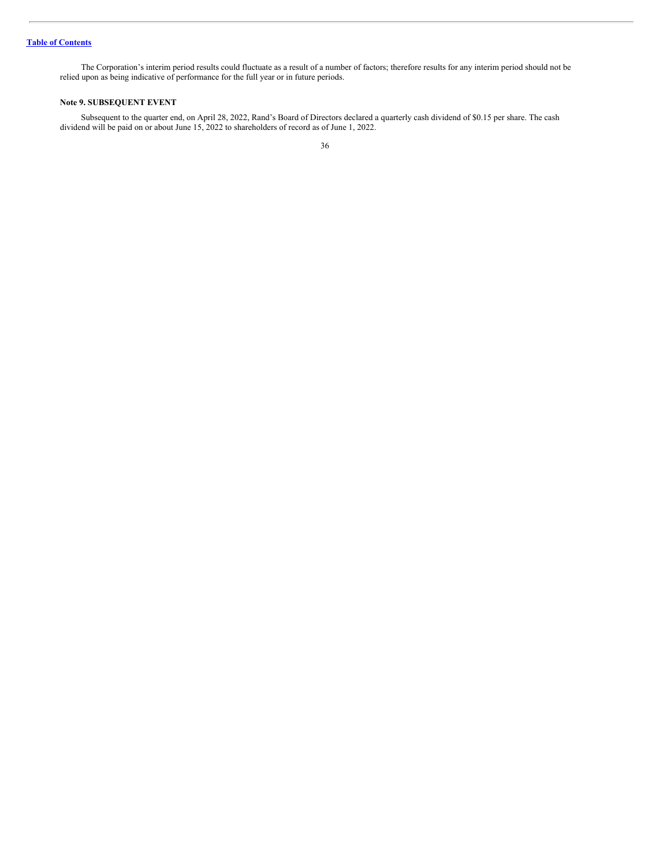The Corporation's interim period results could fluctuate as a result of a number of factors; therefore results for any interim period should not be relied upon as being indicative of performance for the full year or in future periods.

## **Note 9. SUBSEQUENT EVENT**

Subsequent to the quarter end, on April 28, 2022, Rand's Board of Directors declared a quarterly cash dividend of \$0.15 per share. The cash dividend will be paid on or about June 15, 2022 to shareholders of record as of June 1, 2022.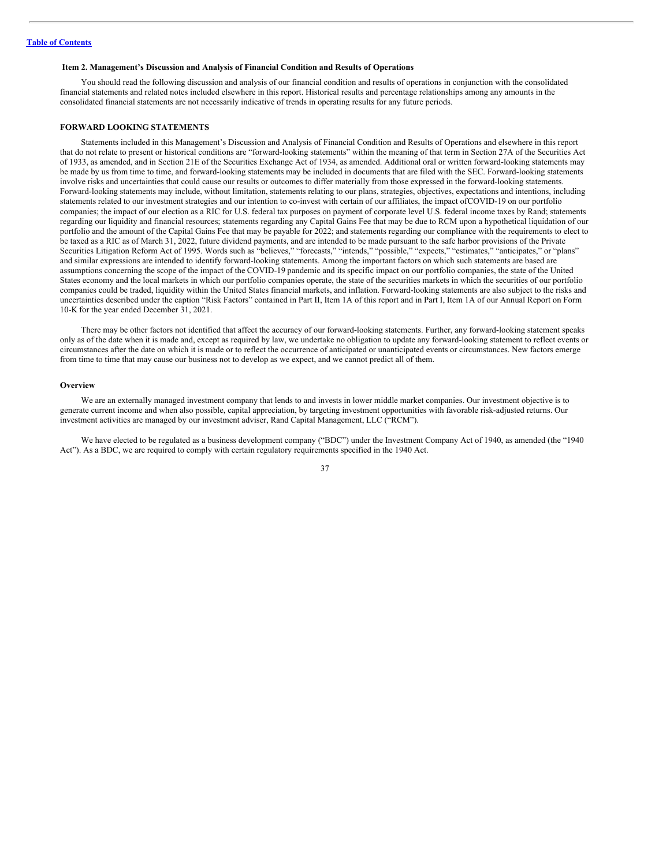#### <span id="page-39-0"></span>**Item 2. Management's Discussion and Analysis of Financial Condition and Results of Operations**

You should read the following discussion and analysis of our financial condition and results of operations in conjunction with the consolidated financial statements and related notes included elsewhere in this report. Historical results and percentage relationships among any amounts in the consolidated financial statements are not necessarily indicative of trends in operating results for any future periods.

#### **FORWARD LOOKING STATEMENTS**

Statements included in this Management's Discussion and Analysis of Financial Condition and Results of Operations and elsewhere in this report that do not relate to present or historical conditions are "forward-looking statements" within the meaning of that term in Section 27A of the Securities Act of 1933, as amended, and in Section 21E of the Securities Exchange Act of 1934, as amended. Additional oral or written forward-looking statements may be made by us from time to time, and forward-looking statements may be included in documents that are filed with the SEC. Forward-looking statements involve risks and uncertainties that could cause our results or outcomes to differ materially from those expressed in the forward-looking statements. Forward-looking statements may include, without limitation, statements relating to our plans, strategies, objectives, expectations and intentions, including statements related to our investment strategies and our intention to co-invest with certain of our affiliates, the impact ofCOVID-19 on our portfolio companies; the impact of our election as a RIC for U.S. federal tax purposes on payment of corporate level U.S. federal income taxes by Rand; statements regarding our liquidity and financial resources; statements regarding any Capital Gains Fee that may be due to RCM upon a hypothetical liquidation of our portfolio and the amount of the Capital Gains Fee that may be payable for 2022; and statements regarding our compliance with the requirements to elect to be taxed as a RIC as of March 31, 2022, future dividend payments, and are intended to be made pursuant to the safe harbor provisions of the Private Securities Litigation Reform Act of 1995. Words such as "believes," "forecasts," "intends," "possible," "expects," "estimates," "anticipates," or "plans" and similar expressions are intended to identify forward-looking statements. Among the important factors on which such statements are based are assumptions concerning the scope of the impact of the COVID-19 pandemic and its specific impact on our portfolio companies, the state of the United States economy and the local markets in which our portfolio companies operate, the state of the securities markets in which the securities of our portfolio companies could be traded, liquidity within the United States financial markets, and inflation. Forward-looking statements are also subject to the risks and uncertainties described under the caption "Risk Factors" contained in Part II, Item 1A of this report and in Part I, Item 1A of our Annual Report on Form 10-K for the year ended December 31, 2021.

There may be other factors not identified that affect the accuracy of our forward-looking statements. Further, any forward-looking statement speaks only as of the date when it is made and, except as required by law, we undertake no obligation to update any forward-looking statement to reflect events or circumstances after the date on which it is made or to reflect the occurrence of anticipated or unanticipated events or circumstances. New factors emerge from time to time that may cause our business not to develop as we expect, and we cannot predict all of them.

#### **Overview**

We are an externally managed investment company that lends to and invests in lower middle market companies. Our investment objective is to generate current income and when also possible, capital appreciation, by targeting investment opportunities with favorable risk-adjusted returns. Our investment activities are managed by our investment adviser, Rand Capital Management, LLC ("RCM").

We have elected to be regulated as a business development company ("BDC") under the Investment Company Act of 1940, as amended (the "1940 Act"). As a BDC, we are required to comply with certain regulatory requirements specified in the 1940 Act.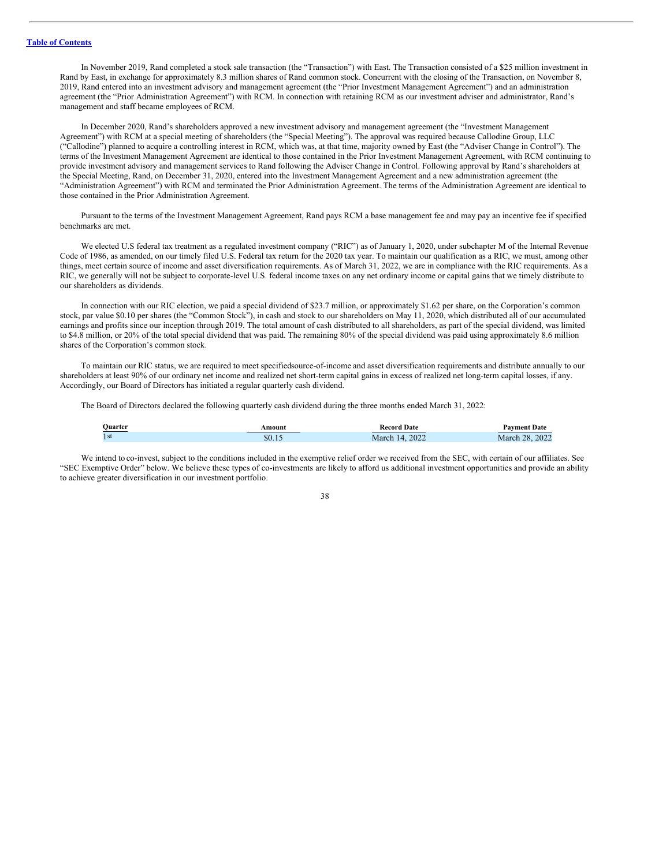In November 2019, Rand completed a stock sale transaction (the "Transaction") with East. The Transaction consisted of a \$25 million investment in Rand by East, in exchange for approximately 8.3 million shares of Rand common stock. Concurrent with the closing of the Transaction, on November 8, 2019, Rand entered into an investment advisory and management agreement (the "Prior Investment Management Agreement") and an administration agreement (the "Prior Administration Agreement") with RCM. In connection with retaining RCM as our investment adviser and administrator, Rand's management and staff became employees of RCM.

In December 2020, Rand's shareholders approved a new investment advisory and management agreement (the "Investment Management Agreement") with RCM at a special meeting of shareholders (the "Special Meeting"). The approval was required because Callodine Group, LLC ("Callodine") planned to acquire a controlling interest in RCM, which was, at that time, majority owned by East (the "Adviser Change in Control"). The terms of the Investment Management Agreement are identical to those contained in the Prior Investment Management Agreement, with RCM continuing to provide investment advisory and management services to Rand following the Adviser Change in Control. Following approval by Rand's shareholders at the Special Meeting, Rand, on December 31, 2020, entered into the Investment Management Agreement and a new administration agreement (the "Administration Agreement") with RCM and terminated the Prior Administration Agreement. The terms of the Administration Agreement are identical to those contained in the Prior Administration Agreement.

Pursuant to the terms of the Investment Management Agreement, Rand pays RCM a base management fee and may pay an incentive fee if specified benchmarks are met.

We elected U.S federal tax treatment as a regulated investment company ("RIC") as of January 1, 2020, under subchapter M of the Internal Revenue Code of 1986, as amended, on our timely filed U.S. Federal tax return for the 2020 tax year. To maintain our qualification as a RIC, we must, among other things, meet certain source of income and asset diversification requirements. As of March 31, 2022, we are in compliance with the RIC requirements. As a RIC, we generally will not be subject to corporate-level U.S. federal income taxes on any net ordinary income or capital gains that we timely distribute to our shareholders as dividends.

In connection with our RIC election, we paid a special dividend of \$23.7 million, or approximately \$1.62 per share, on the Corporation's common stock, par value \$0.10 per shares (the "Common Stock"), in cash and stock to our shareholders on May 11, 2020, which distributed all of our accumulated earnings and profits since our inception through 2019. The total amount of cash distributed to all shareholders, as part of the special dividend, was limited to \$4.8 million, or 20% of the total special dividend that was paid. The remaining 80% of the special dividend was paid using approximately 8.6 million shares of the Corporation's common stock.

To maintain our RIC status, we are required to meet specifiedsource-of-income and asset diversification requirements and distribute annually to our shareholders at least 90% of our ordinary net income and realized net short-term capital gains in excess of realized net long-term capital losses, if any. Accordingly, our Board of Directors has initiated a regular quarterly cash dividend.

The Board of Directors declared the following quarterly cash dividend during the three months ended March 31, 2022:

| $\sim$<br>Quarter | \mount | <b>Pecord Date</b>   | <b>Payment Date</b>               |
|-------------------|--------|----------------------|-----------------------------------|
| 1st               | \$0.15 | 2022<br>March<br>-12 | 2022<br>$\cap$<br>March<br>$\sim$ |

We intend to co-invest, subject to the conditions included in the exemptive relief order we received from the SEC, with certain of our affiliates. See "SEC Exemptive Order" below. We believe these types of co-investments are likely to afford us additional investment opportunities and provide an ability to achieve greater diversification in our investment portfolio.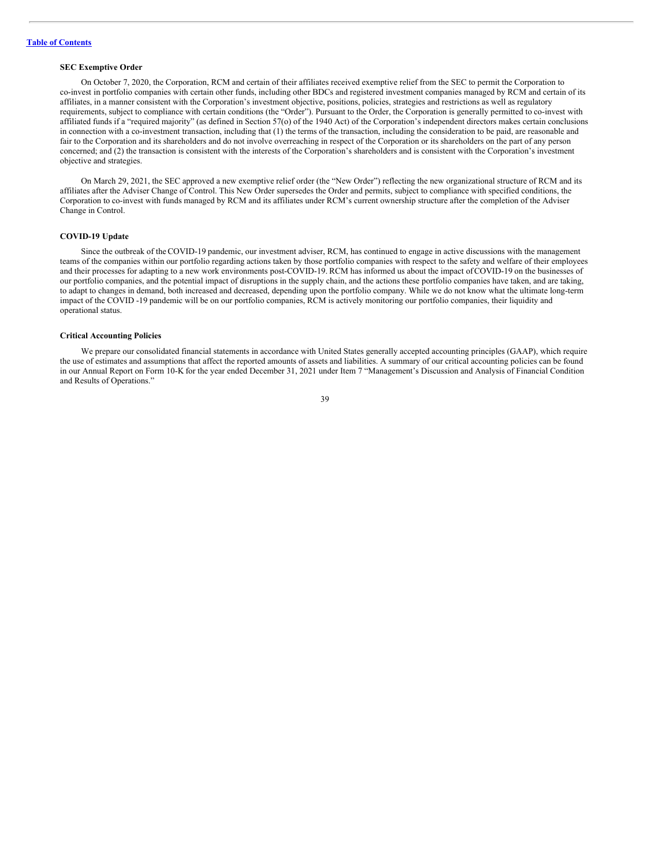#### **SEC Exemptive Order**

On October 7, 2020, the Corporation, RCM and certain of their affiliates received exemptive relief from the SEC to permit the Corporation to co-invest in portfolio companies with certain other funds, including other BDCs and registered investment companies managed by RCM and certain of its affiliates, in a manner consistent with the Corporation's investment objective, positions, policies, strategies and restrictions as well as regulatory requirements, subject to compliance with certain conditions (the "Order"). Pursuant to the Order, the Corporation is generally permitted to co-invest with affiliated funds if a "required majority" (as defined in Section 57(o) of the 1940 Act) of the Corporation's independent directors makes certain conclusions in connection with a co-investment transaction, including that (1) the terms of the transaction, including the consideration to be paid, are reasonable and fair to the Corporation and its shareholders and do not involve overreaching in respect of the Corporation or its shareholders on the part of any person concerned; and (2) the transaction is consistent with the interests of the Corporation's shareholders and is consistent with the Corporation's investment objective and strategies.

On March 29, 2021, the SEC approved a new exemptive relief order (the "New Order") reflecting the new organizational structure of RCM and its affiliates after the Adviser Change of Control. This New Order supersedes the Order and permits, subject to compliance with specified conditions, the Corporation to co-invest with funds managed by RCM and its affiliates under RCM's current ownership structure after the completion of the Adviser Change in Control.

#### **COVID-19 Update**

Since the outbreak of theCOVID-19 pandemic, our investment adviser, RCM, has continued to engage in active discussions with the management teams of the companies within our portfolio regarding actions taken by those portfolio companies with respect to the safety and welfare of their employees and their processes for adapting to a new work environments post-COVID-19. RCM has informed us about the impact ofCOVID-19 on the businesses of our portfolio companies, and the potential impact of disruptions in the supply chain, and the actions these portfolio companies have taken, and are taking, to adapt to changes in demand, both increased and decreased, depending upon the portfolio company. While we do not know what the ultimate long-term impact of the COVID -19 pandemic will be on our portfolio companies, RCM is actively monitoring our portfolio companies, their liquidity and operational status.

#### **Critical Accounting Policies**

We prepare our consolidated financial statements in accordance with United States generally accepted accounting principles (GAAP), which require the use of estimates and assumptions that affect the reported amounts of assets and liabilities. A summary of our critical accounting policies can be found in our Annual Report on Form 10-K for the year ended December 31, 2021 under Item 7 "Management's Discussion and Analysis of Financial Condition and Results of Operations."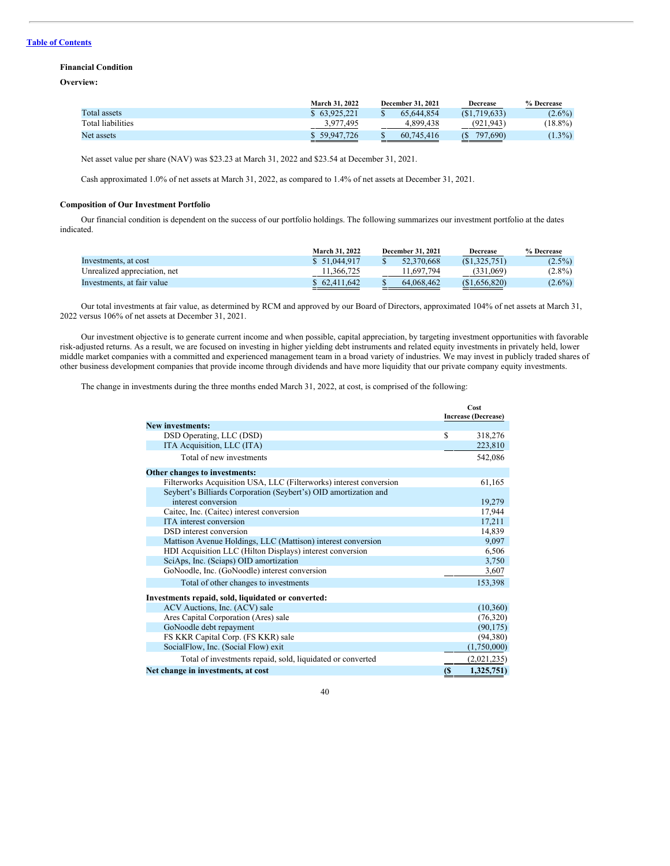#### **Table of [Contents](#page-2-0)**

#### **Financial Condition**

**Overview:**

|                   | March 31, 2022 | <b>December 31, 2021</b> | <b>Decrease</b> | % Decrease |
|-------------------|----------------|--------------------------|-----------------|------------|
| Total assets      | \$63,925,221   | 65.644.854               | (S1,719,633)    | $(2.6\%)$  |
| Total liabilities | 3.977.495      | 4.899.438                | (921.943)       | $18.8\%$   |
| Net assets        | \$59.947.726   | 60.745.416               | 797.<br>(0.690) | $(1.3\%)$  |

Net asset value per share (NAV) was \$23.23 at March 31, 2022 and \$23.54 at December 31, 2021.

Cash approximated 1.0% of net assets at March 31, 2022, as compared to 1.4% of net assets at December 31, 2021.

#### **Composition of Our Investment Portfolio**

Our financial condition is dependent on the success of our portfolio holdings. The following summarizes our investment portfolio at the dates indicated.

|                              | March 31, 2022 | <b>December 31, 2021</b> | <b>Decrease</b> | % Decrease |
|------------------------------|----------------|--------------------------|-----------------|------------|
| Investments, at cost         | \$ 51,044,917  | 52,370,668               | (S1, 325, 751)  | $(2.5\%)$  |
| Unrealized appreciation, net | 11,366,725     | 11,697,794               | (331,069)       | $(2.8\%)$  |
| Investments, at fair value   | \$62,411,642   | 64.068.462               | (S1.656.820)    | $(2.6\%)$  |

Our total investments at fair value, as determined by RCM and approved by our Board of Directors, approximated 104% of net assets at March 31, 2022 versus 106% of net assets at December 31, 2021.

Our investment objective is to generate current income and when possible, capital appreciation, by targeting investment opportunities with favorable risk-adjusted returns. As a result, we are focused on investing in higher yielding debt instruments and related equity investments in privately held, lower middle market companies with a committed and experienced management team in a broad variety of industries. We may invest in publicly traded shares of other business development companies that provide income through dividends and have more liquidity that our private company equity investments.

The change in investments during the three months ended March 31, 2022, at cost, is comprised of the following:

|                                                                    | Cost |                            |
|--------------------------------------------------------------------|------|----------------------------|
|                                                                    |      | <b>Increase (Decrease)</b> |
| <b>New investments:</b>                                            |      |                            |
| DSD Operating, LLC (DSD)                                           | \$   | 318,276                    |
| ITA Acquisition, LLC (ITA)                                         |      | 223,810                    |
| Total of new investments                                           |      | 542,086                    |
| Other changes to investments:                                      |      |                            |
| Filterworks Acquisition USA, LLC (Filterworks) interest conversion |      | 61,165                     |
| Seybert's Billiards Corporation (Seybert's) OID amortization and   |      |                            |
| interest conversion                                                |      | 19,279                     |
| Caitec, Inc. (Caitec) interest conversion                          |      | 17,944                     |
| ITA interest conversion                                            |      | 17,211                     |
| DSD interest conversion                                            |      | 14,839                     |
| Mattison Avenue Holdings, LLC (Mattison) interest conversion       |      | 9,097                      |
| HDI Acquisition LLC (Hilton Displays) interest conversion          |      | 6,506                      |
| SciAps, Inc. (Sciaps) OID amortization                             |      | 3,750                      |
| GoNoodle, Inc. (GoNoodle) interest conversion                      |      | 3,607                      |
| Total of other changes to investments                              |      | 153,398                    |
| Investments repaid, sold, liquidated or converted:                 |      |                            |
| ACV Auctions, Inc. (ACV) sale                                      |      | (10, 360)                  |
| Ares Capital Corporation (Ares) sale                               |      | (76,320)                   |
| GoNoodle debt repayment                                            |      | (90, 175)                  |
| FS KKR Capital Corp. (FS KKR) sale                                 |      | (94,380)                   |
| SocialFlow, Inc. (Social Flow) exit                                |      | (1,750,000)                |
| Total of investments repaid, sold, liquidated or converted         |      | (2,021,235)                |
| Net change in investments, at cost                                 | (S)  | 1,325,751)                 |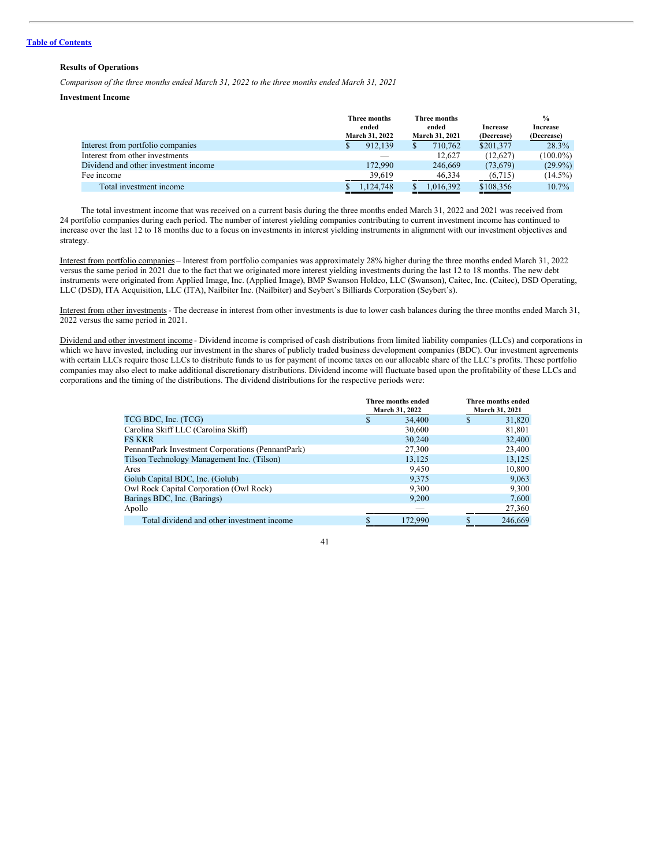#### **Table of [Contents](#page-2-0)**

#### **Results of Operations**

*Comparison of the three months ended March 31, 2022 to the three months ended March 31, 2021*

#### **Investment Income**

|                                      | Three months<br>ended<br>March 31, 2022 | Three months<br>ended<br>March 31, 2021 | Increase<br>(Decrease) | $\frac{0}{0}$<br>Increase<br>(Decrease) |
|--------------------------------------|-----------------------------------------|-----------------------------------------|------------------------|-----------------------------------------|
| Interest from portfolio companies    | 912,139<br>S                            | 710,762                                 | \$201,377              | 28.3%                                   |
| Interest from other investments      |                                         | 12.627                                  | (12,627)               | $(100.0\%)$                             |
| Dividend and other investment income | 172,990                                 | 246,669                                 | (73, 679)              | $(29.9\%)$                              |
| Fee income                           | 39.619                                  | 46,334                                  | (6,715)                | $(14.5\%)$                              |
| Total investment income              | 1,124,748<br>ъ                          | 1,016,392                               | \$108,356<br>_______   | $10.7\%$                                |

The total investment income that was received on a current basis during the three months ended March 31, 2022 and 2021 was received from 24 portfolio companies during each period. The number of interest yielding companies contributing to current investment income has continued to increase over the last 12 to 18 months due to a focus on investments in interest yielding instruments in alignment with our investment objectives and strategy.

Interest from portfolio companies – Interest from portfolio companies was approximately 28% higher during the three months ended March 31, 2022 versus the same period in 2021 due to the fact that we originated more interest yielding investments during the last 12 to 18 months. The new debt instruments were originated from Applied Image, Inc. (Applied Image), BMP Swanson Holdco, LLC (Swanson), Caitec, Inc. (Caitec), DSD Operating, LLC (DSD), ITA Acquisition, LLC (ITA), Nailbiter Inc. (Nailbiter) and Seybert's Billiards Corporation (Seybert's).

Interest from other investments - The decrease in interest from other investments is due to lower cash balances during the three months ended March 31, 2022 versus the same period in 2021.

Dividend and other investment income - Dividend income is comprised of cash distributions from limited liability companies (LLCs) and corporations in which we have invested, including our investment in the shares of publicly traded business development companies (BDC). Our investment agreements with certain LLCs require those LLCs to distribute funds to us for payment of income taxes on our allocable share of the LLC's profits. These portfolio companies may also elect to make additional discretionary distributions. Dividend income will fluctuate based upon the profitability of these LLCs and corporations and the timing of the distributions. The dividend distributions for the respective periods were:

|                                                   | Three months ended<br><b>March 31, 2022</b> | Three months ended<br>March 31, 2021 |
|---------------------------------------------------|---------------------------------------------|--------------------------------------|
| TCG BDC, Inc. (TCG)                               | \$.<br>34,400                               | 31,820                               |
| Carolina Skiff LLC (Carolina Skiff)               | 30,600                                      | 81,801                               |
| FS KKR                                            | 30,240                                      | 32,400                               |
| PennantPark Investment Corporations (PennantPark) | 27,300                                      | 23,400                               |
| Tilson Technology Management Inc. (Tilson)        | 13,125                                      | 13,125                               |
| Ares                                              | 9,450                                       | 10,800                               |
| Golub Capital BDC, Inc. (Golub)                   | 9,375                                       | 9,063                                |
| Owl Rock Capital Corporation (Owl Rock)           | 9,300                                       | 9,300                                |
| Barings BDC, Inc. (Barings)                       | 9,200                                       | 7,600                                |
| Apollo                                            |                                             | 27,360                               |
| Total dividend and other investment income        | 172,990                                     | 246,669                              |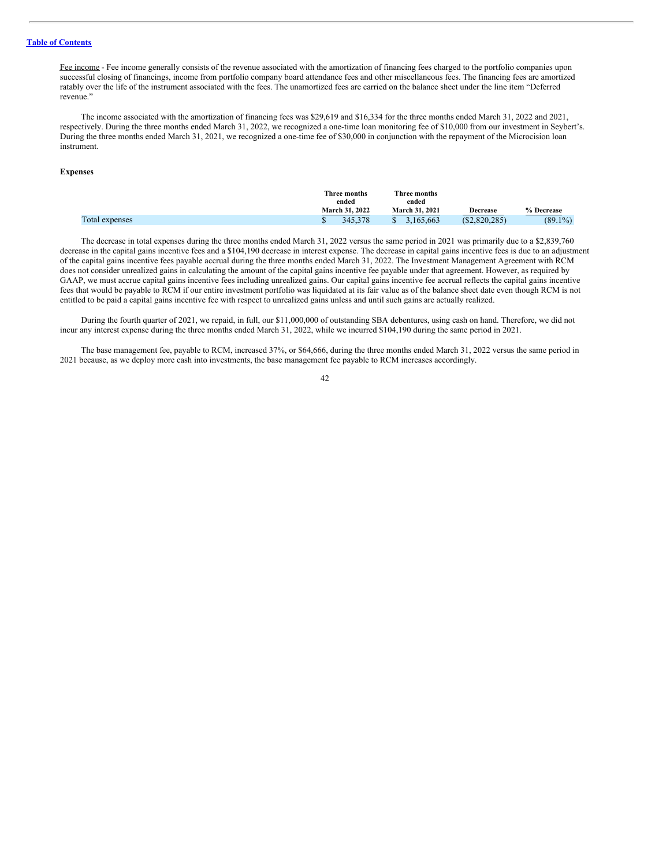Fee income - Fee income generally consists of the revenue associated with the amortization of financing fees charged to the portfolio companies upon successful closing of financings, income from portfolio company board attendance fees and other miscellaneous fees. The financing fees are amortized ratably over the life of the instrument associated with the fees. The unamortized fees are carried on the balance sheet under the line item "Deferred revenue."

The income associated with the amortization of financing fees was \$29,619 and \$16,334 for the three months ended March 31, 2022 and 2021, respectively. During the three months ended March 31, 2022, we recognized a one-time loan monitoring fee of \$10,000 from our investment in Seybert's. During the three months ended March 31, 2021, we recognized a one-time fee of \$30,000 in conjunction with the repayment of the Microcision loan instrument.

#### **Expenses**

|                | Three months   | Three months   |                 |            |
|----------------|----------------|----------------|-----------------|------------|
|                | ended          | ended          |                 |            |
|                | March 31, 2022 | March 31, 2021 | <b>Decrease</b> | % Decrease |
| Total expenses | 345,378        | 3.165.663      | (S2, 820, 285)  | $(89.1\%)$ |

The decrease in total expenses during the three months ended March 31, 2022 versus the same period in 2021 was primarily due to a \$2,839,760 decrease in the capital gains incentive fees and a \$104,190 decrease in interest expense. The decrease in capital gains incentive fees is due to an adjustment of the capital gains incentive fees payable accrual during the three months ended March 31, 2022. The Investment Management Agreement with RCM does not consider unrealized gains in calculating the amount of the capital gains incentive fee payable under that agreement. However, as required by GAAP, we must accrue capital gains incentive fees including unrealized gains. Our capital gains incentive fee accrual reflects the capital gains incentive fees that would be payable to RCM if our entire investment portfolio was liquidated at its fair value as of the balance sheet date even though RCM is not entitled to be paid a capital gains incentive fee with respect to unrealized gains unless and until such gains are actually realized.

During the fourth quarter of 2021, we repaid, in full, our \$11,000,000 of outstanding SBA debentures, using cash on hand. Therefore, we did not incur any interest expense during the three months ended March 31, 2022, while we incurred \$104,190 during the same period in 2021.

The base management fee, payable to RCM, increased 37%, or \$64,666, during the three months ended March 31, 2022 versus the same period in 2021 because, as we deploy more cash into investments, the base management fee payable to RCM increases accordingly.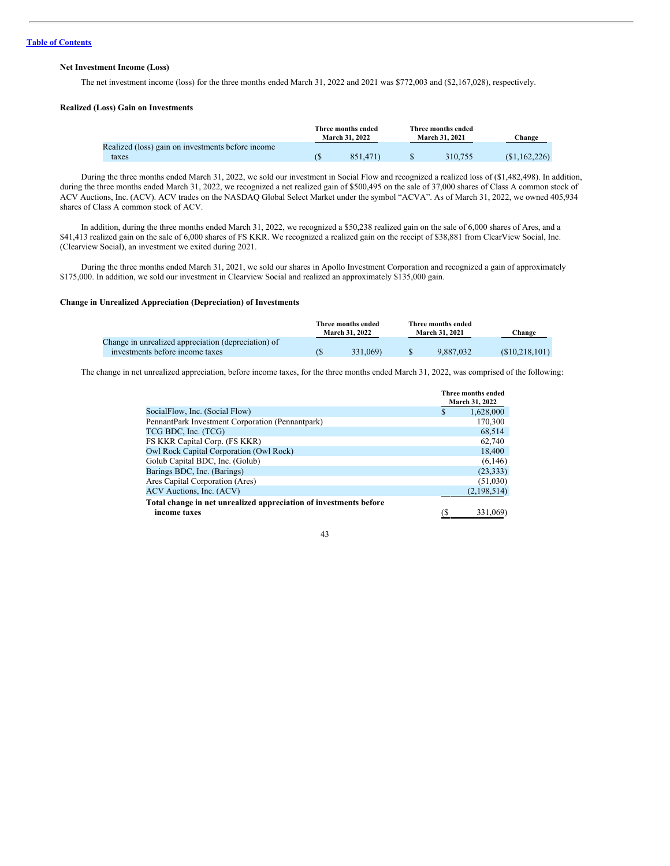#### **Net Investment Income (Loss)**

The net investment income (loss) for the three months ended March 31, 2022 and 2021 was \$772,003 and (\$2,167,028), respectively.

#### **Realized (Loss) Gain on Investments**

|                                                   | Three months ended<br><b>March 31, 2022</b> | Three months ended<br><b>March 31, 2021</b> | Change       |
|---------------------------------------------------|---------------------------------------------|---------------------------------------------|--------------|
| Realized (loss) gain on investments before income |                                             |                                             |              |
| taxes                                             | 851.471)                                    | 310.755                                     | (S1.162.226) |

During the three months ended March 31, 2022, we sold our investment in Social Flow and recognized a realized loss of (\$1,482,498). In addition, during the three months ended March 31, 2022, we recognized a net realized gain of \$500,495 on the sale of 37,000 shares of Class A common stock of ACV Auctions, Inc. (ACV). ACV trades on the NASDAQ Global Select Market under the symbol "ACVA". As of March 31, 2022, we owned 405,934 shares of Class A common stock of ACV.

In addition, during the three months ended March 31, 2022, we recognized a \$50,238 realized gain on the sale of 6,000 shares of Ares, and a \$41,413 realized gain on the sale of 6,000 shares of FS KKR. We recognized a realized gain on the receipt of \$38,881 from ClearView Social, Inc. (Clearview Social), an investment we exited during 2021.

During the three months ended March 31, 2021, we sold our shares in Apollo Investment Corporation and recognized a gain of approximately \$175,000. In addition, we sold our investment in Clearview Social and realized an approximately \$135,000 gain.

#### **Change in Unrealized Appreciation (Depreciation) of Investments**

|                                                     | Three months ended<br><b>March 31, 2022</b> | Three months ended<br><b>March 31, 2021</b> | Change        |
|-----------------------------------------------------|---------------------------------------------|---------------------------------------------|---------------|
| Change in unrealized appreciation (depreciation) of |                                             |                                             |               |
| investments before income taxes                     | 331,069)                                    | 9.887.032                                   | (S10.218.101) |

The change in net unrealized appreciation, before income taxes, for the three months ended March 31, 2022, was comprised of the following:

|                                                                   |     | Three months ended<br>March 31, 2022 |
|-------------------------------------------------------------------|-----|--------------------------------------|
| SocialFlow, Inc. (Social Flow)                                    |     | 1,628,000                            |
| PennantPark Investment Corporation (Pennantpark)                  |     | 170,300                              |
| TCG BDC, Inc. (TCG)                                               |     | 68,514                               |
| FS KKR Capital Corp. (FS KKR)                                     |     | 62,740                               |
| Owl Rock Capital Corporation (Owl Rock)                           |     | 18,400                               |
| Golub Capital BDC, Inc. (Golub)                                   |     | (6, 146)                             |
| Barings BDC, Inc. (Barings)                                       |     | (23, 333)                            |
| Ares Capital Corporation (Ares)                                   |     | (51,030)                             |
| ACV Auctions, Inc. (ACV)                                          |     | (2,198,514)                          |
| Total change in net unrealized appreciation of investments before |     |                                      |
| income taxes                                                      | (\$ | 331.069                              |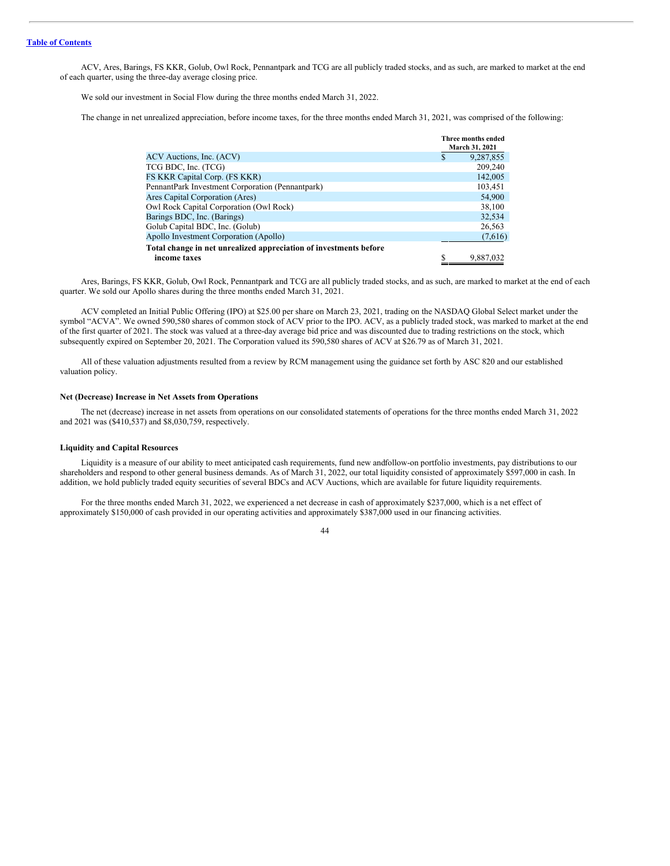ACV, Ares, Barings, FS KKR, Golub, Owl Rock, Pennantpark and TCG are all publicly traded stocks, and as such, are marked to market at the end of each quarter, using the three-day average closing price.

We sold our investment in Social Flow during the three months ended March 31, 2022.

The change in net unrealized appreciation, before income taxes, for the three months ended March 31, 2021, was comprised of the following:

|                                                                   |  | Three months ended<br><b>March 31, 2021</b> |  |  |
|-------------------------------------------------------------------|--|---------------------------------------------|--|--|
| ACV Auctions, Inc. (ACV)                                          |  | 9,287,855                                   |  |  |
| TCG BDC, Inc. (TCG)                                               |  | 209,240                                     |  |  |
| FS KKR Capital Corp. (FS KKR)                                     |  | 142,005                                     |  |  |
| PennantPark Investment Corporation (Pennantpark)                  |  | 103,451                                     |  |  |
| Ares Capital Corporation (Ares)                                   |  | 54,900                                      |  |  |
| Owl Rock Capital Corporation (Owl Rock)                           |  | 38,100                                      |  |  |
| Barings BDC, Inc. (Barings)                                       |  | 32,534                                      |  |  |
| Golub Capital BDC, Inc. (Golub)                                   |  | 26,563                                      |  |  |
| Apollo Investment Corporation (Apollo)                            |  | (7,616)                                     |  |  |
| Total change in net unrealized appreciation of investments before |  |                                             |  |  |
| income taxes                                                      |  | 9,887,032                                   |  |  |

Ares, Barings, FS KKR, Golub, Owl Rock, Pennantpark and TCG are all publicly traded stocks, and as such, are marked to market at the end of each quarter. We sold our Apollo shares during the three months ended March 31, 2021.

ACV completed an Initial Public Offering (IPO) at \$25.00 per share on March 23, 2021, trading on the NASDAQ Global Select market under the symbol "ACVA". We owned 590,580 shares of common stock of ACV prior to the IPO. ACV, as a publicly traded stock, was marked to market at the end of the first quarter of 2021. The stock was valued at a three-day average bid price and was discounted due to trading restrictions on the stock, which subsequently expired on September 20, 2021. The Corporation valued its 590,580 shares of ACV at \$26.79 as of March 31, 2021.

All of these valuation adjustments resulted from a review by RCM management using the guidance set forth by ASC 820 and our established valuation policy.

#### **Net (Decrease) Increase in Net Assets from Operations**

The net (decrease) increase in net assets from operations on our consolidated statements of operations for the three months ended March 31, 2022 and 2021 was (\$410,537) and \$8,030,759, respectively.

#### **Liquidity and Capital Resources**

Liquidity is a measure of our ability to meet anticipated cash requirements, fund new andfollow-on portfolio investments, pay distributions to our shareholders and respond to other general business demands. As of March 31, 2022, our total liquidity consisted of approximately \$597,000 in cash. In addition, we hold publicly traded equity securities of several BDCs and ACV Auctions, which are available for future liquidity requirements.

For the three months ended March 31, 2022, we experienced a net decrease in cash of approximately \$237,000, which is a net effect of approximately \$150,000 of cash provided in our operating activities and approximately \$387,000 used in our financing activities.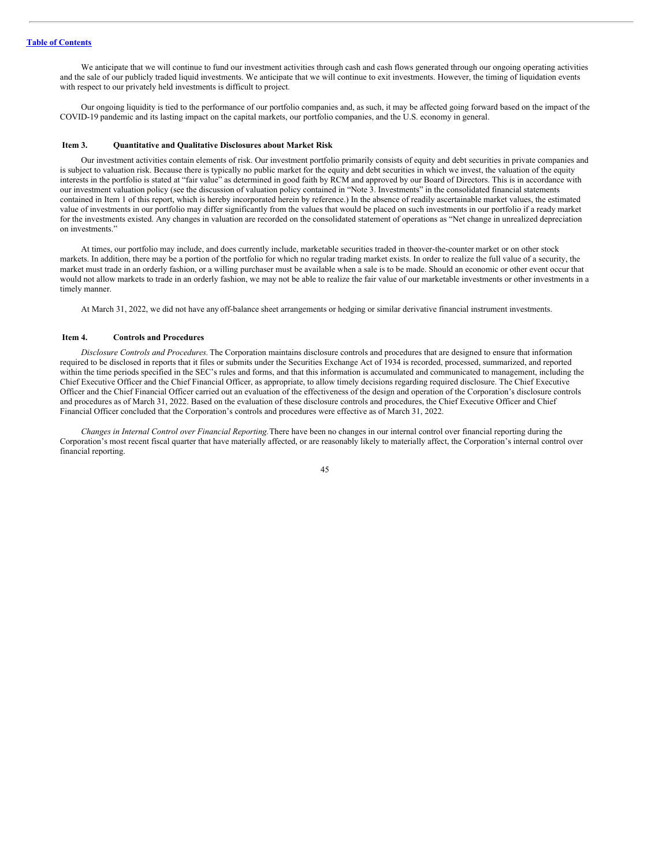We anticipate that we will continue to fund our investment activities through cash and cash flows generated through our ongoing operating activities and the sale of our publicly traded liquid investments. We anticipate that we will continue to exit investments. However, the timing of liquidation events with respect to our privately held investments is difficult to project.

Our ongoing liquidity is tied to the performance of our portfolio companies and, as such, it may be affected going forward based on the impact of the COVID-19 pandemic and its lasting impact on the capital markets, our portfolio companies, and the U.S. economy in general.

#### <span id="page-47-0"></span>**Item 3. Quantitative and Qualitative Disclosures about Market Risk**

Our investment activities contain elements of risk. Our investment portfolio primarily consists of equity and debt securities in private companies and is subject to valuation risk. Because there is typically no public market for the equity and debt securities in which we invest, the valuation of the equity interests in the portfolio is stated at "fair value" as determined in good faith by RCM and approved by our Board of Directors. This is in accordance with our investment valuation policy (see the discussion of valuation policy contained in "Note 3. Investments" in the consolidated financial statements contained in Item 1 of this report, which is hereby incorporated herein by reference.) In the absence of readily ascertainable market values, the estimated value of investments in our portfolio may differ significantly from the values that would be placed on such investments in our portfolio if a ready market for the investments existed. Any changes in valuation are recorded on the consolidated statement of operations as "Net change in unrealized depreciation on investments."

At times, our portfolio may include, and does currently include, marketable securities traded in theover-the-counter market or on other stock markets. In addition, there may be a portion of the portfolio for which no regular trading market exists. In order to realize the full value of a security, the market must trade in an orderly fashion, or a willing purchaser must be available when a sale is to be made. Should an economic or other event occur that would not allow markets to trade in an orderly fashion, we may not be able to realize the fair value of our marketable investments or other investments in a timely manner.

At March 31, 2022, we did not have any off-balance sheet arrangements or hedging or similar derivative financial instrument investments.

#### <span id="page-47-1"></span>**Item 4. Controls and Procedures**

*Disclosure Controls and Procedures.*The Corporation maintains disclosure controls and procedures that are designed to ensure that information required to be disclosed in reports that it files or submits under the Securities Exchange Act of 1934 is recorded, processed, summarized, and reported within the time periods specified in the SEC's rules and forms, and that this information is accumulated and communicated to management, including the Chief Executive Officer and the Chief Financial Officer, as appropriate, to allow timely decisions regarding required disclosure. The Chief Executive Officer and the Chief Financial Officer carried out an evaluation of the effectiveness of the design and operation of the Corporation's disclosure controls and procedures as of March 31, 2022. Based on the evaluation of these disclosure controls and procedures, the Chief Executive Officer and Chief Financial Officer concluded that the Corporation's controls and procedures were effective as of March 31, 2022.

*Changes in Internal Control over Financial Reporting.*There have been no changes in our internal control over financial reporting during the Corporation's most recent fiscal quarter that have materially affected, or are reasonably likely to materially affect, the Corporation's internal control over financial reporting.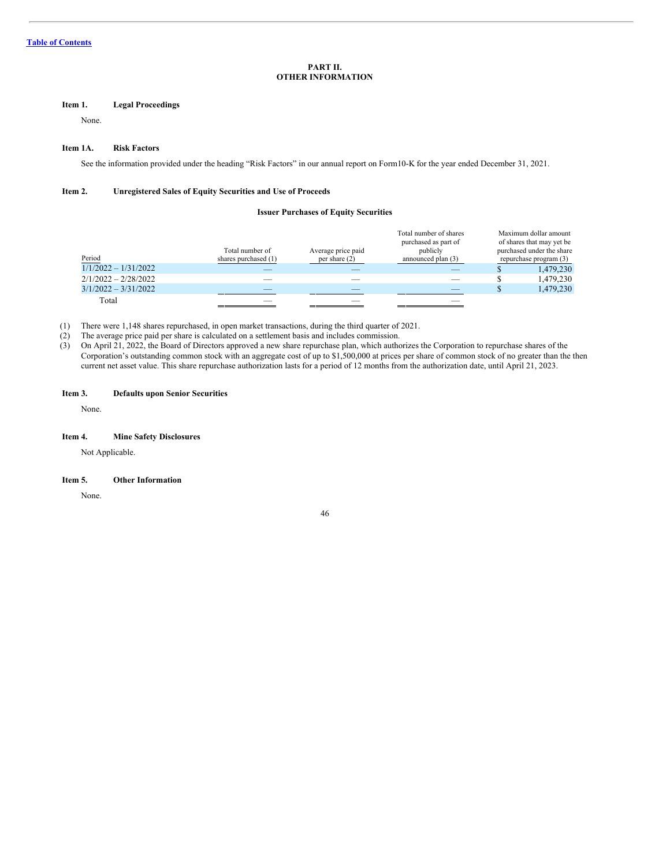## **PART II. OTHER INFORMATION**

## <span id="page-48-0"></span>**Item 1. Legal Proceedings**

None.

## <span id="page-48-1"></span>**Item 1A. Risk Factors**

See the information provided under the heading "Risk Factors" in our annual report on Form10-K for the year ended December 31, 2021.

## <span id="page-48-2"></span>**Item 2. Unregistered Sales of Equity Securities and Use of Proceeds**

#### **Issuer Purchases of Equity Securities**

|                                        |                      |                    | Total number of shares |   | Maximum dollar amount     |
|----------------------------------------|----------------------|--------------------|------------------------|---|---------------------------|
|                                        |                      |                    | purchased as part of   |   | of shares that may yet be |
|                                        | Total number of      | Average price paid | publicly               |   | purchased under the share |
| Period                                 | shares purchased (1) | per share $(2)$    | announced plan (3)     |   | repurchase program (3)    |
| $\frac{1}{1/2022} - \frac{1}{31/2022}$ |                      |                    |                        |   | 1,479,230                 |
| $2/1/2022 - 2/28/2022$                 |                      |                    |                        |   | 1,479,230                 |
| $3/1/2022 - 3/31/2022$                 |                      |                    |                        | S | 1,479,230                 |
| Total                                  |                      |                    |                        |   |                           |

(1) There were 1,148 shares repurchased, in open market transactions, during the third quarter of 2021.

(2) The average price paid per share is calculated on a settlement basis and includes commission.

(3) On April 21, 2022, the Board of Directors approved a new share repurchase plan, which authorizes the Corporation to repurchase shares of the Corporation's outstanding common stock with an aggregate cost of up to \$1,500,000 at prices per share of common stock of no greater than the then current net asset value. This share repurchase authorization lasts for a period of 12 months from the authorization date, until April 21, 2023.

## <span id="page-48-3"></span>**Item 3. Defaults upon Senior Securities**

None.

#### <span id="page-48-4"></span>**Item 4. Mine Safety Disclosures**

Not Applicable.

#### <span id="page-48-5"></span>**Item 5. Other Information**

None.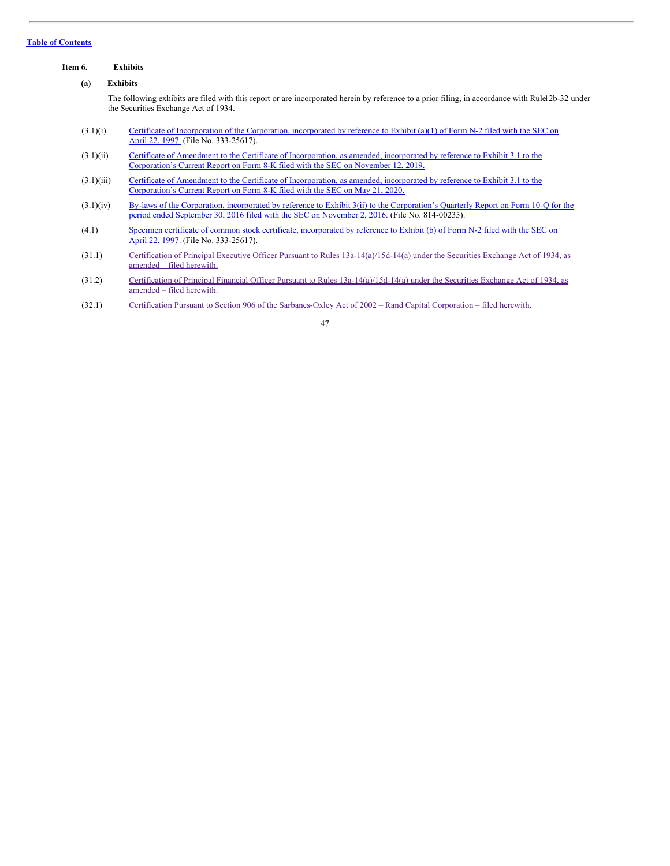## **Table of [Contents](#page-2-0)**

<span id="page-49-0"></span>

| Item 6.  |            | <b>Exhibits</b>                                                                                                                                                                                                                    |
|----------|------------|------------------------------------------------------------------------------------------------------------------------------------------------------------------------------------------------------------------------------------|
| (a)      |            | <b>Exhibits</b>                                                                                                                                                                                                                    |
|          |            | The following exhibits are filed with this report or are incorporated herein by reference to a prior filing, in accordance with Rule 2b-32 under<br>the Securities Exchange Act of 1934.                                           |
| (3.1)(i) |            | Certificate of Incorporation of the Corporation, incorporated by reference to Exhibit (a)(1) of Form N-2 filed with the SEC on<br>April 22, 1997. (File No. 333-25617).                                                            |
|          | (3.1)(ii)  | Certificate of Amendment to the Certificate of Incorporation, as amended, incorporated by reference to Exhibit 3.1 to the<br>Corporation's Current Report on Form 8-K filed with the SEC on November 12, 2019.                     |
|          | (3.1)(iii) | Certificate of Amendment to the Certificate of Incorporation, as amended, incorporated by reference to Exhibit 3.1 to the<br>Corporation's Current Report on Form 8-K filed with the SEC on May 21, 2020.                          |
|          | (3.1)(iv)  | By-laws of the Corporation, incorporated by reference to Exhibit 3(ii) to the Corporation's Quarterly Report on Form 10-Q for the<br>period ended September 30, 2016 filed with the SEC on November 2, 2016. (File No. 814-00235). |
| (4.1)    |            | Specimen certificate of common stock certificate, incorporated by reference to Exhibit (b) of Form N-2 filed with the SEC on<br>April 22, 1997. (File No. 333-25617).                                                              |
| (31.1)   |            | Certification of Principal Executive Officer Pursuant to Rules 13a-14(a)/15d-14(a) under the Securities Exchange Act of 1934, as<br>amended – filed herewith.                                                                      |
| (31.2)   |            | Certification of Principal Financial Officer Pursuant to Rules 13a-14(a)/15d-14(a) under the Securities Exchange Act of 1934, as<br>amended – filed herewith.                                                                      |

(32.1) Certification Pursuant to Section 906 of the [Sarbanes-Oxley](#page-53-0) Act of 2002 – Rand Capital Corporation – filed herewith.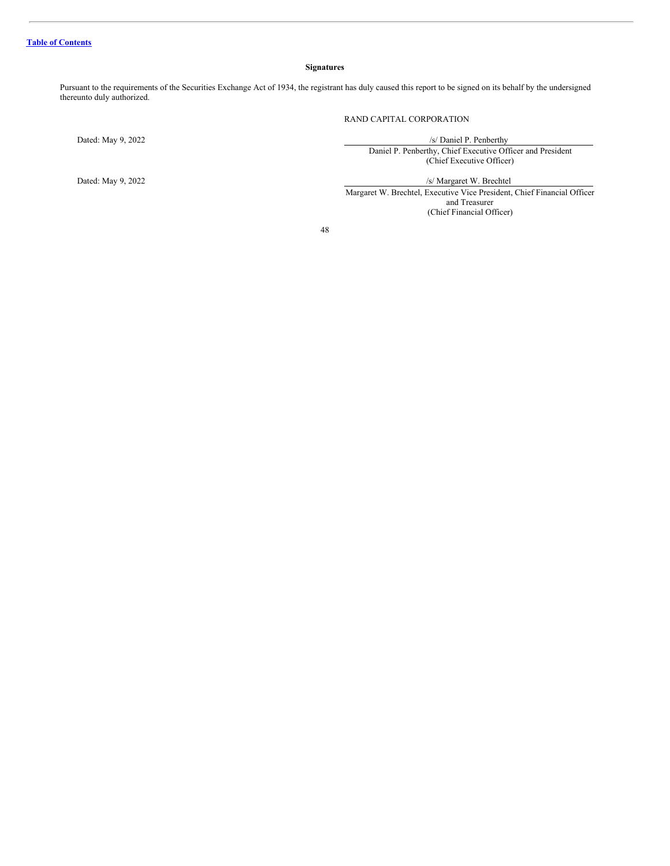## **Signatures**

Pursuant to the requirements of the Securities Exchange Act of 1934, the registrant has duly caused this report to be signed on its behalf by the undersigned thereunto duly authorized.

## RAND CAPITAL CORPORATION

Dated: May 9, 2022 /s/ Daniel P. Penberthy Daniel P. Penberthy, Chief Executive Officer and President (Chief Executive Officer)

Dated: May 9, 2022 /s/ Margaret W. Brechtel

Margaret W. Brechtel, Executive Vice President, Chief Financial Officer and Treasurer (Chief Financial Officer)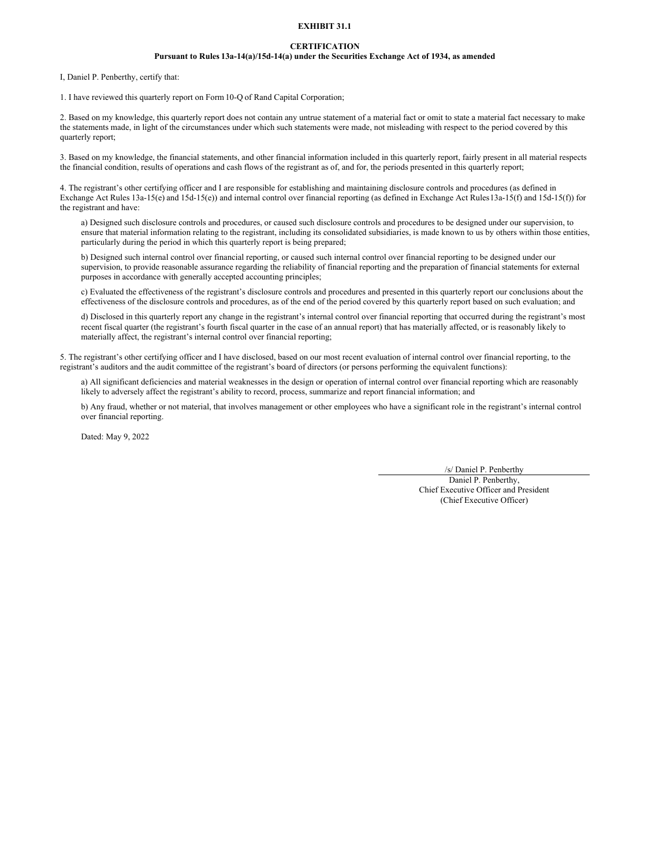## **EXHIBIT 31.1**

#### **CERTIFICATION**

#### **Pursuant to Rules 13a-14(a)/15d-14(a) under the Securities Exchange Act of 1934, as amended**

<span id="page-51-0"></span>I, Daniel P. Penberthy, certify that:

1. I have reviewed this quarterly report on Form10-Q of Rand Capital Corporation;

2. Based on my knowledge, this quarterly report does not contain any untrue statement of a material fact or omit to state a material fact necessary to make the statements made, in light of the circumstances under which such statements were made, not misleading with respect to the period covered by this quarterly report;

3. Based on my knowledge, the financial statements, and other financial information included in this quarterly report, fairly present in all material respects the financial condition, results of operations and cash flows of the registrant as of, and for, the periods presented in this quarterly report;

4. The registrant's other certifying officer and I are responsible for establishing and maintaining disclosure controls and procedures (as defined in Exchange Act Rules 13a-15(e) and 15d-15(e)) and internal control over financial reporting (as defined in Exchange Act Rules13a-15(f) and 15d-15(f)) for the registrant and have:

a) Designed such disclosure controls and procedures, or caused such disclosure controls and procedures to be designed under our supervision, to ensure that material information relating to the registrant, including its consolidated subsidiaries, is made known to us by others within those entities, particularly during the period in which this quarterly report is being prepared;

b) Designed such internal control over financial reporting, or caused such internal control over financial reporting to be designed under our supervision, to provide reasonable assurance regarding the reliability of financial reporting and the preparation of financial statements for external purposes in accordance with generally accepted accounting principles;

c) Evaluated the effectiveness of the registrant's disclosure controls and procedures and presented in this quarterly report our conclusions about the effectiveness of the disclosure controls and procedures, as of the end of the period covered by this quarterly report based on such evaluation; and

d) Disclosed in this quarterly report any change in the registrant's internal control over financial reporting that occurred during the registrant's most recent fiscal quarter (the registrant's fourth fiscal quarter in the case of an annual report) that has materially affected, or is reasonably likely to materially affect, the registrant's internal control over financial reporting;

5. The registrant's other certifying officer and I have disclosed, based on our most recent evaluation of internal control over financial reporting, to the registrant's auditors and the audit committee of the registrant's board of directors (or persons performing the equivalent functions):

a) All significant deficiencies and material weaknesses in the design or operation of internal control over financial reporting which are reasonably likely to adversely affect the registrant's ability to record, process, summarize and report financial information; and

b) Any fraud, whether or not material, that involves management or other employees who have a significant role in the registrant's internal control over financial reporting.

Dated: May 9, 2022

/s/ Daniel P. Penberthy

Daniel P. Penberthy, Chief Executive Officer and President (Chief Executive Officer)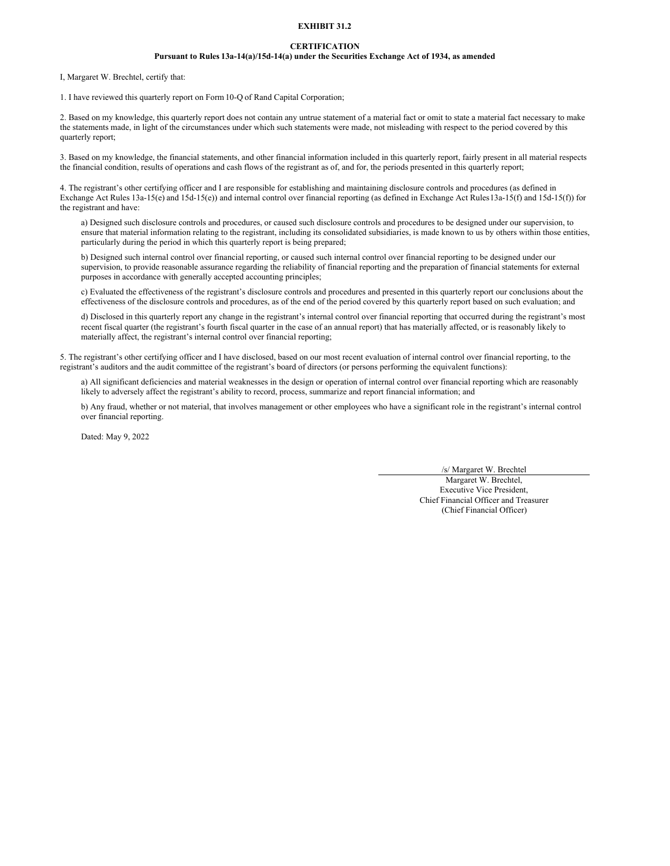## **EXHIBIT 31.2**

#### **CERTIFICATION**

#### **Pursuant to Rules 13a-14(a)/15d-14(a) under the Securities Exchange Act of 1934, as amended**

<span id="page-52-0"></span>I, Margaret W. Brechtel, certify that:

1. I have reviewed this quarterly report on Form10-Q of Rand Capital Corporation;

2. Based on my knowledge, this quarterly report does not contain any untrue statement of a material fact or omit to state a material fact necessary to make the statements made, in light of the circumstances under which such statements were made, not misleading with respect to the period covered by this quarterly report;

3. Based on my knowledge, the financial statements, and other financial information included in this quarterly report, fairly present in all material respects the financial condition, results of operations and cash flows of the registrant as of, and for, the periods presented in this quarterly report;

4. The registrant's other certifying officer and I are responsible for establishing and maintaining disclosure controls and procedures (as defined in Exchange Act Rules 13a-15(e) and 15d-15(e)) and internal control over financial reporting (as defined in Exchange Act Rules13a-15(f) and 15d-15(f)) for the registrant and have:

a) Designed such disclosure controls and procedures, or caused such disclosure controls and procedures to be designed under our supervision, to ensure that material information relating to the registrant, including its consolidated subsidiaries, is made known to us by others within those entities, particularly during the period in which this quarterly report is being prepared;

b) Designed such internal control over financial reporting, or caused such internal control over financial reporting to be designed under our supervision, to provide reasonable assurance regarding the reliability of financial reporting and the preparation of financial statements for external purposes in accordance with generally accepted accounting principles;

c) Evaluated the effectiveness of the registrant's disclosure controls and procedures and presented in this quarterly report our conclusions about the effectiveness of the disclosure controls and procedures, as of the end of the period covered by this quarterly report based on such evaluation; and

d) Disclosed in this quarterly report any change in the registrant's internal control over financial reporting that occurred during the registrant's most recent fiscal quarter (the registrant's fourth fiscal quarter in the case of an annual report) that has materially affected, or is reasonably likely to materially affect, the registrant's internal control over financial reporting;

5. The registrant's other certifying officer and I have disclosed, based on our most recent evaluation of internal control over financial reporting, to the registrant's auditors and the audit committee of the registrant's board of directors (or persons performing the equivalent functions):

a) All significant deficiencies and material weaknesses in the design or operation of internal control over financial reporting which are reasonably likely to adversely affect the registrant's ability to record, process, summarize and report financial information; and

b) Any fraud, whether or not material, that involves management or other employees who have a significant role in the registrant's internal control over financial reporting.

Dated: May 9, 2022

/s/ Margaret W. Brechtel

Margaret W. Brechtel, Executive Vice President, Chief Financial Officer and Treasurer (Chief Financial Officer)